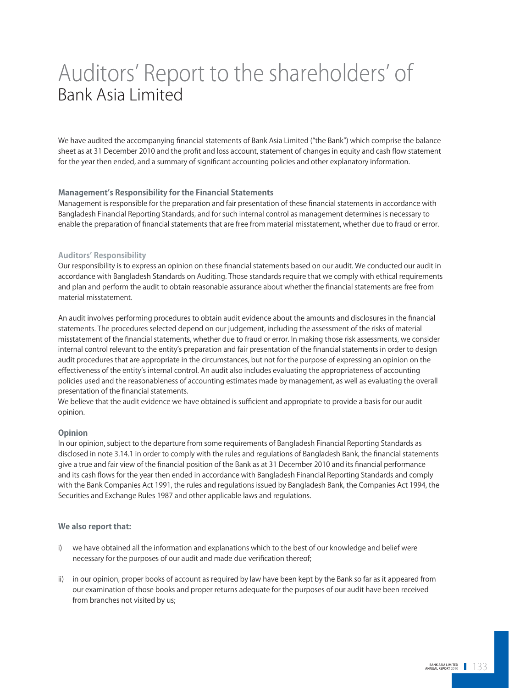# Auditors' Report to the shareholders' of Bank Asia Limited

We have audited the accompanying financial statements of Bank Asia Limited ("the Bank") which comprise the balance sheet as at 31 December 2010 and the profit and loss account, statement of changes in equity and cash flow statement for the year then ended, and a summary of significant accounting policies and other explanatory information.

# **Management's Responsibility for the Financial Statements**

Management is responsible for the preparation and fair presentation of these financial statements in accordance with Bangladesh Financial Reporting Standards, and for such internal control as management determines is necessary to enable the preparation of financial statements that are free from material misstatement, whether due to fraud or error.

# **Auditors' Responsibility**

Our responsibility is to express an opinion on these financial statements based on our audit. We conducted our audit in accordance with Bangladesh Standards on Auditing. Those standards require that we comply with ethical requirements and plan and perform the audit to obtain reasonable assurance about whether the financial statements are free from material misstatement.

An audit involves performing procedures to obtain audit evidence about the amounts and disclosures in the financial statements. The procedures selected depend on our judgement, including the assessment of the risks of material misstatement of the financial statements, whether due to fraud or error. In making those risk assessments, we consider internal control relevant to the entity's preparation and fair presentation of the financial statements in order to design audit procedures that are appropriate in the circumstances, but not for the purpose of expressing an opinion on the effectiveness of the entity's internal control. An audit also includes evaluating the appropriateness of accounting policies used and the reasonableness of accounting estimates made by management, as well as evaluating the overall presentation of the financial statements.

We believe that the audit evidence we have obtained is sufficient and appropriate to provide a basis for our audit opinion.

# **Opinion**

In our opinion, subject to the departure from some requirements of Bangladesh Financial Reporting Standards as disclosed in note 3.14.1 in order to comply with the rules and regulations of Bangladesh Bank, the financial statements give a true and fair view of the financial position of the Bank as at 31 December 2010 and its financial performance and its cash flows for the year then ended in accordance with Bangladesh Financial Reporting Standards and comply with the Bank Companies Act 1991, the rules and regulations issued by Bangladesh Bank, the Companies Act 1994, the Securities and Exchange Rules 1987 and other applicable laws and regulations.

# **We also report that:**

- i) we have obtained all the information and explanations which to the best of our knowledge and belief were necessary for the purposes of our audit and made due verification thereof;
- ii) in our opinion, proper books of account as required by law have been kept by the Bank so far as it appeared from our examination of those books and proper returns adequate for the purposes of our audit have been received from branches not visited by us;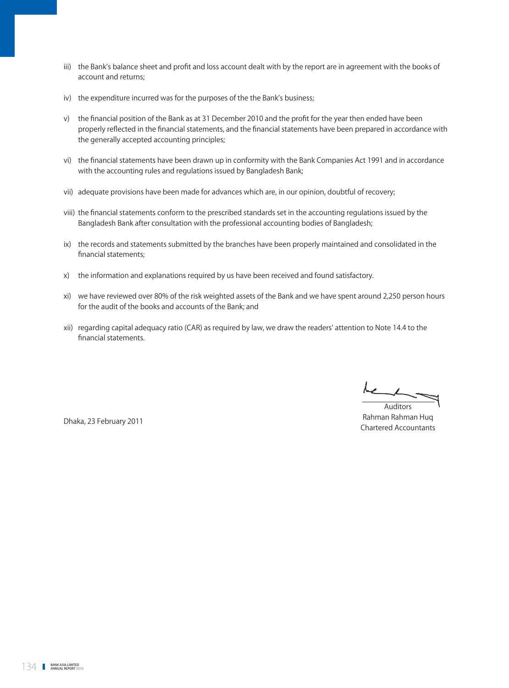- iii) the Bank's balance sheet and profit and loss account dealt with by the report are in agreement with the books of account and returns;
- iv) the expenditure incurred was for the purposes of the the Bank's business;
- v) the financial position of the Bank as at 31 December 2010 and the profit for the year then ended have been properly reflected in the financial statements, and the financial statements have been prepared in accordance with the generally accepted accounting principles;
- vi) the financial statements have been drawn up in conformity with the Bank Companies Act 1991 and in accordance with the accounting rules and regulations issued by Bangladesh Bank;
- vii) adequate provisions have been made for advances which are, in our opinion, doubtful of recovery;
- viii) the financial statements conform to the prescribed standards set in the accounting regulations issued by the Bangladesh Bank after consultation with the professional accounting bodies of Bangladesh;
- ix) the records and statements submitted by the branches have been properly maintained and consolidated in the financial statements;
- x) the information and explanations required by us have been received and found satisfactory.
- xi) we have reviewed over 80% of the risk weighted assets of the Bank and we have spent around 2,250 person hours for the audit of the books and accounts of the Bank; and
- xii) regarding capital adequacy ratio (CAR) as required by law, we draw the readers' attention to Note 14.4 to the financial statements.

**Auditors** Rahman Rahman Huq Chartered Accountants

Dhaka, 23 February 2011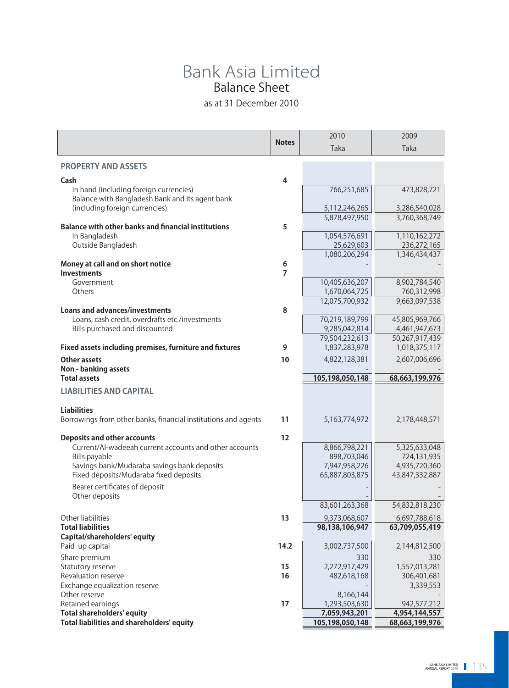# Bank Asia Limited Balance Sheet as at 31 December 2010

|                                                                                              |                | 2010                            | 2009                         |
|----------------------------------------------------------------------------------------------|----------------|---------------------------------|------------------------------|
|                                                                                              | <b>Notes</b>   | Taka                            | Taka                         |
| <b>PROPERTY AND ASSETS</b>                                                                   |                |                                 |                              |
| Cash                                                                                         | 4              |                                 |                              |
| In hand (including foreign currencies)                                                       |                | 766,251,685                     | 473,828,721                  |
| Balance with Bangladesh Bank and its agent bank                                              |                |                                 |                              |
| (including foreign currencies)                                                               |                | 5,112,246,265                   | 3,286,540,028                |
| <b>Balance with other banks and financial institutions</b>                                   | 5              | 5,878,497,950                   | 3,760,368,749                |
| In Bangladesh                                                                                |                | 1,054,576,691                   | 1,110,162,272                |
| Outside Bangladesh                                                                           |                | 25,629,603                      | 236,272,165                  |
|                                                                                              |                | 1,080,206,294                   | 1,346,434,437                |
| Money at call and on short notice                                                            | 6              |                                 |                              |
| <b>Investments</b>                                                                           | $\overline{7}$ |                                 |                              |
| Government<br>Others                                                                         |                | 10,405,636,207<br>1,670,064,725 | 8,902,784,540<br>760,312,998 |
|                                                                                              |                | 12,075,700,932                  | 9,663,097,538                |
| <b>Loans and advances/investments</b>                                                        | 8              |                                 |                              |
| Loans, cash credit, overdrafts etc./investments                                              |                | 70,219,189,799                  | 45,805,969,766               |
| Bills purchased and discounted                                                               |                | 9,285,042,814                   | 4,461,947,673                |
|                                                                                              |                | 79,504,232,613                  | 50,267,917,439               |
| Fixed assets including premises, furniture and fixtures                                      | 9              | 1,837,283,978                   | 1,018,375,117                |
| <b>Other assets</b>                                                                          | 10             | 4,822,128,381                   | 2,607,006,696                |
| <b>Non - banking assets</b><br><b>Total assets</b>                                           |                | 105,198,050,148                 | 68,663,199,976               |
|                                                                                              |                |                                 |                              |
| <b>LIABILITIES AND CAPITAL</b>                                                               |                |                                 |                              |
| <b>Liabilities</b>                                                                           |                |                                 |                              |
| Borrowings from other banks, financial institutions and agents                               | 11             | 5,163,774,972                   | 2,178,448,571                |
|                                                                                              |                |                                 |                              |
| <b>Deposits and other accounts</b><br>Current/Al-wadeeah current accounts and other accounts | 12             | 8,866,798,221                   | 5,325,633,048                |
| Bills payable                                                                                |                | 898,703,046                     | 724,131,935                  |
| Savings bank/Mudaraba savings bank deposits                                                  |                | 7,947,958,226                   | 4,935,720,360                |
| Fixed deposits/Mudaraba fixed deposits                                                       |                | 65,887,803,875                  | 43,847,332,887               |
| Bearer certificates of deposit                                                               |                |                                 |                              |
| Other deposits                                                                               |                |                                 |                              |
|                                                                                              |                | 83,601,263,368                  | 54,832,818,230               |
| Other liabilities                                                                            | 13             | 9,373,068,607                   | 6,697,788,618                |
| <b>Total liabilities</b>                                                                     |                | 98,138,106,947                  | 63,709,055,419               |
| Capital/shareholders' equity                                                                 | 14.2           | 3,002,737,500                   | 2,144,812,500                |
| Paid up capital                                                                              |                |                                 |                              |
| Share premium<br>Statutory reserve                                                           | 15             | 330<br>2,272,917,429            | 330<br>1,557,013,281         |
| Revaluation reserve                                                                          | 16             | 482,618,168                     | 306,401,681                  |
| Exchange equalization reserve                                                                |                |                                 | 3,339,553                    |
| Other reserve                                                                                |                | 8,166,144                       |                              |
| Retained earnings                                                                            | 17             | 1,293,503,630                   | 942,577,212                  |
| <b>Total shareholders' equity</b>                                                            |                | 7,059,943,201                   | 4,954,144,557                |
| Total liabilities and shareholders' equity                                                   |                | 105,198,050,148                 | 68,663,199,976               |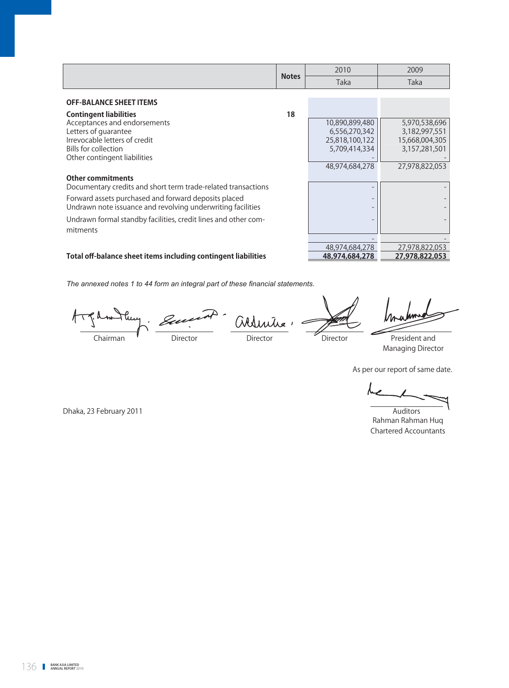|                                                                                                                                               |              | 2010                                                                                 | 2009                                                                                |
|-----------------------------------------------------------------------------------------------------------------------------------------------|--------------|--------------------------------------------------------------------------------------|-------------------------------------------------------------------------------------|
|                                                                                                                                               | <b>Notes</b> | Taka                                                                                 | Taka                                                                                |
| <b>OFF-BALANCE SHEET ITEMS</b>                                                                                                                |              |                                                                                      |                                                                                     |
| <b>Contingent liabilities</b>                                                                                                                 | 18           |                                                                                      |                                                                                     |
| Acceptances and endorsements<br>Letters of guarantee<br>Irrevocable letters of credit<br>Bills for collection<br>Other contingent liabilities |              | 10,890,899,480<br>6,556,270,342<br>25,818,100,122<br>5,709,414,334<br>48,974,684,278 | 5,970,538,696<br>3,182,997,551<br>15,668,004,305<br>3,157,281,501<br>27,978,822,053 |
| <b>Other commitments</b>                                                                                                                      |              |                                                                                      |                                                                                     |
| Documentary credits and short term trade-related transactions                                                                                 |              | -                                                                                    |                                                                                     |
| Forward assets purchased and forward deposits placed<br>Undrawn note issuance and revolving underwriting facilities                           |              | -<br>-                                                                               |                                                                                     |
| Undrawn formal standby facilities, credit lines and other com-<br>mitments                                                                    |              | -                                                                                    |                                                                                     |
|                                                                                                                                               |              |                                                                                      |                                                                                     |
|                                                                                                                                               |              | 48,974,684,278                                                                       | 27,978,822,053                                                                      |

Total off-balance sheet items including contingent liabilities **48,974,684,278** 27,978,822,053

The annexed notes 1 to 44 form an integral part of these financial statements.

 $\sqrt{ }$ ars Chairman Director Director Director President and

ا ھ

╱

Managing Director

As per our report of same date.

Rahman Rahman Huq Chartered Accountants

Dhaka, 23 February 2011 **Auditors Auditors Auditors**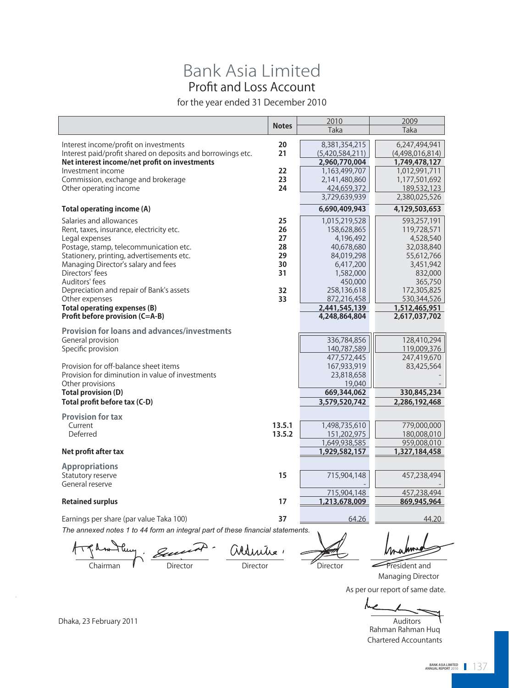# Bank Asia Limited Profit and Loss Account

for the year ended 31 December 2010

|                                                                                | <b>Notes</b> | 2010            | 2009            |
|--------------------------------------------------------------------------------|--------------|-----------------|-----------------|
|                                                                                |              | Taka            | Taka            |
| Interest income/profit on investments                                          | 20           | 8,381,354,215   | 6,247,494,941   |
| Interest paid/profit shared on deposits and borrowings etc.                    | 21           | (5,420,584,211) | (4,498,016,814) |
| Net interest income/net profit on investments                                  |              | 2,960,770,004   | 1,749,478,127   |
| Investment income                                                              | 22           | 1,163,499,707   | 1,012,991,711   |
| Commission, exchange and brokerage                                             | 23           | 2,141,480,860   | 1,177,501,692   |
| Other operating income                                                         | 24           | 424,659,372     | 189,532,123     |
|                                                                                |              | 3,729,639,939   | 2,380,025,526   |
| Total operating income (A)                                                     |              | 6,690,409,943   | 4,129,503,653   |
| Salaries and allowances                                                        | 25           | 1,015,219,528   | 593,257,191     |
| Rent, taxes, insurance, electricity etc.                                       | 26           | 158,628,865     | 119,728,571     |
| Legal expenses                                                                 | 27           | 4,196,492       | 4,528,540       |
| Postage, stamp, telecommunication etc.                                         | 28           | 40,678,680      | 32,038,840      |
| Stationery, printing, advertisements etc.                                      | 29           | 84,019,298      | 55,612,766      |
| Managing Director's salary and fees                                            | 30           | 6,417,200       | 3,451,942       |
| Directors' fees                                                                | 31           | 1,582,000       | 832,000         |
| Auditors' fees                                                                 |              | 450,000         | 365,750         |
| Depreciation and repair of Bank's assets                                       | 32           | 258,136,618     | 172,305,825     |
| Other expenses                                                                 | 33           | 872,216,458     | 530,344,526     |
| Total operating expenses (B)                                                   |              | 2,441,545,139   | 1,512,465,951   |
| Profit before provision (C=A-B)                                                |              | 4,248,864,804   | 2,617,037,702   |
| <b>Provision for loans and advances/investments</b>                            |              |                 |                 |
| General provision                                                              |              | 336,784,856     | 128,410,294     |
| Specific provision                                                             |              | 140,787,589     | 119,009,376     |
|                                                                                |              | 477,572,445     | 247,419,670     |
| Provision for off-balance sheet items                                          |              | 167,933,919     | 83,425,564      |
| Provision for diminution in value of investments                               |              | 23,818,658      |                 |
| Other provisions                                                               |              | 19,040          |                 |
| <b>Total provision (D)</b>                                                     |              | 669,344,062     | 330,845,234     |
| Total profit before tax (C-D)                                                  |              | 3,579,520,742   | 2,286,192,468   |
| <b>Provision for tax</b>                                                       |              |                 |                 |
| Current                                                                        | 13.5.1       | 1,498,735,610   | 779,000,000     |
| Deferred                                                                       | 13.5.2       | 151,202,975     | 180,008,010     |
|                                                                                |              | 1,649,938,585   | 959,008,010     |
| Net profit after tax                                                           |              | 1,929,582,157   | 1,327,184,458   |
| <b>Appropriations</b>                                                          |              |                 |                 |
| Statutory reserve                                                              | 15           | 715,904,148     | 457,238,494     |
| General reserve                                                                |              |                 |                 |
|                                                                                |              | 715,904,148     | 457,238,494     |
| <b>Retained surplus</b>                                                        | 17           | 1,213,678,009   | 869,945,964     |
| Earnings per share (par value Taka 100)                                        | 37           | 64.26           | 44.20           |
|                                                                                |              |                 |                 |
| The annexed notes 1 to 44 form an integral part of these financial statements. |              |                 |                 |
|                                                                                |              |                 |                 |

Chairman **T** Director Director Piesident and

Alduite.

Lean

Managing Director

As per our report of same date.

Rahman Rahman Huq Chartered Accountants

Dhaka, 23 February 2011 **Auditors** and the set of the set of the set of the set of the set of the set of the set of the set of the set of the set of the set of the set of the set of the set of the set of the set of the set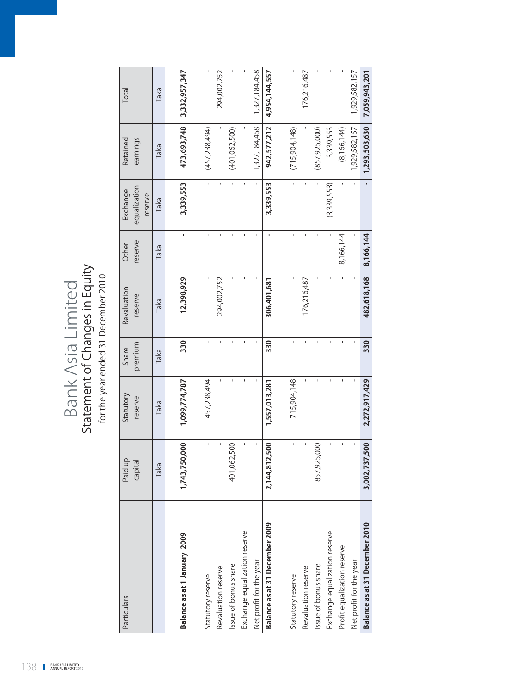Bank Asia Limited<br>Statement of Changes in Equity<br>for the year ended 31 December 2010 **Bank Asia Limited**<br>Statement of Changes in Equity for the year ended 31 December 2010

| Particulars                    | Paid up       | Statutory         | Share   | Revaluation | Other          | Exchange     | Retained        | Total         |
|--------------------------------|---------------|-------------------|---------|-------------|----------------|--------------|-----------------|---------------|
|                                | capital       | reserve           | premium | reserve     | reserve        | equalization | earnings        |               |
|                                |               |                   |         |             |                | reserve      |                 |               |
|                                | Taka          | Taka              | Taka    | Taka        | Taka           | Taka         | Taka            | Taka          |
| Balance as at 1 January 2009   | 1,743,750,000 | 099,774,787       | 330     | 12,398,929  | ı              | 3,339,553    | 473,693,748     | 3,332,957,347 |
| Statutory reserve              | $\mathbf I$   | 457,238,494       | ı       |             | $\mathbf{I}$   | Ĭ.           | (457, 238, 494) | $\mathbf{I}$  |
| Revaluation reserve            |               |                   |         | 294,002,752 | $\mathbf{I}$   |              |                 | 294,002,752   |
| Issue of bonus share           | 401,062,500   | ı                 |         | ï           | ı              | ı            | (401,062,500)   | ı             |
| Exchange equalization reserve  |               | Ï                 |         | Ï           | f,             |              |                 |               |
| Net profit for the year        | ı             | $\mathbf{I}$      |         |             | Ï              | ı            | 1,327,184,458   | 1,327,184,458 |
| Balance as at 31 December 2009 | 2,144,812,500 | 557,013,281       | 330     | 306,401,681 | $\blacksquare$ | 3,339,553    | 942,577,212     | 4,954,144,557 |
| Statutory reserve              | f,            | 715,904,148       | f,      | ı           | ı              | ĭ.           | (715,904,148)   | f,            |
| Revaluation reserve            |               |                   |         | 176,216,487 | $\mathbf{I}$   |              |                 | 176,216,487   |
| Issue of bonus share           | 857,925,000   | Ï                 |         | ı           | ı              | ı            | (857, 925, 000) | ı             |
| Exchange equalization reserve  | $\mathbf{I}$  |                   |         | Ï           |                | (3,339,553)  | 3,339,553       | $\mathbf{I}$  |
| Profit equalization reserve    | ı             | ı                 | ı       |             | 8,166,144      |              | (8, 166, 144)   |               |
| Net profit for the year        |               | ı                 |         |             |                | $\mathbf{I}$ | 1,929,582,157   | 1,929,582,157 |
| Balance as at 31 December 2010 | 3,002,737,500 | 272,917,429<br>2, | 330     | 482,618,168 | 8,166,144      |              | 1,293,503,630   | 7,059,943,201 |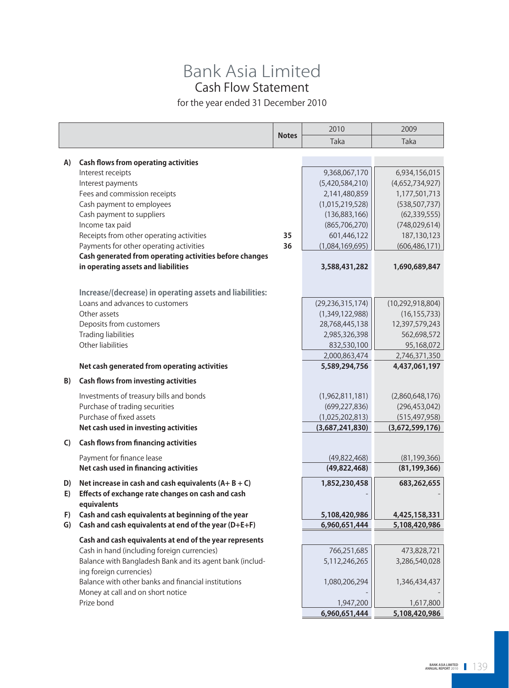# Bank Asia Limited Cash Flow Statement

for the year ended 31 December 2010

|              |                                                                                                                                | <b>Notes</b> | 2010                         | 2009                |
|--------------|--------------------------------------------------------------------------------------------------------------------------------|--------------|------------------------------|---------------------|
|              |                                                                                                                                |              | Taka                         | Taka                |
|              |                                                                                                                                |              |                              |                     |
| A)           | <b>Cash flows from operating activities</b><br>Interest receipts                                                               |              | 9,368,067,170                | 6,934,156,015       |
|              | Interest payments                                                                                                              |              | (5,420,584,210)              | (4,652,734,927)     |
|              | Fees and commission receipts                                                                                                   |              | 2,141,480,859                | 1,177,501,713       |
|              | Cash payment to employees                                                                                                      |              | (1,015,219,528)              | (538, 507, 737)     |
|              | Cash payment to suppliers                                                                                                      |              | (136, 883, 166)              | (62, 339, 555)      |
|              | Income tax paid                                                                                                                |              | (865, 706, 270)              | (748, 029, 614)     |
|              | Receipts from other operating activities                                                                                       | 35           | 601,446,122                  | 187, 130, 123       |
|              | Payments for other operating activities                                                                                        | 36           | (1,084,169,695)              | (606, 486, 171)     |
|              | Cash generated from operating activities before changes                                                                        |              |                              |                     |
|              | in operating assets and liabilities                                                                                            |              | 3,588,431,282                | 1,690,689,847       |
|              |                                                                                                                                |              |                              |                     |
|              | Increase/(decrease) in operating assets and liabilities:                                                                       |              |                              |                     |
|              | Loans and advances to customers                                                                                                |              | (29, 236, 315, 174)          | (10, 292, 918, 804) |
|              | Other assets                                                                                                                   |              | (1,349,122,988)              | (16, 155, 733)      |
|              | Deposits from customers                                                                                                        |              | 28,768,445,138               | 12,397,579,243      |
|              | <b>Trading liabilities</b>                                                                                                     |              | 2,985,326,398                | 562,698,572         |
|              | Other liabilities                                                                                                              |              | 832,530,100                  | 95,168,072          |
|              |                                                                                                                                |              | 2,000,863,474                | 2,746,371,350       |
|              | Net cash generated from operating activities                                                                                   |              | 5,589,294,756                | 4,437,061,197       |
| B)           | <b>Cash flows from investing activities</b>                                                                                    |              |                              |                     |
|              | Investments of treasury bills and bonds                                                                                        |              | (1,962,811,181)              | (2,860,648,176)     |
|              | Purchase of trading securities                                                                                                 |              | (699, 227, 836)              | (296, 453, 042)     |
|              | Purchase of fixed assets                                                                                                       |              | (1,025,202,813)              | (515, 497, 958)     |
|              | Net cash used in investing activities                                                                                          |              | (3,687,241,830)              | (3,672,599,176)     |
| $\mathsf{C}$ | <b>Cash flows from financing activities</b>                                                                                    |              |                              |                     |
|              |                                                                                                                                |              |                              |                     |
|              | Payment for finance lease<br>Net cash used in financing activities                                                             |              | (49,822,468)<br>(49,822,468) | (81, 199, 366)      |
|              |                                                                                                                                |              |                              | (81, 199, 366)      |
| E)           | D) Net increase in cash and cash equivalents $(A + B + C)$<br>Effects of exchange rate changes on cash and cash<br>equivalents |              | 1,852,230,458                | 683,262,655         |
| F)           | Cash and cash equivalents at beginning of the year                                                                             |              | 5,108,420,986                | 4,425,158,331       |
| G)           | Cash and cash equivalents at end of the year (D+E+F)                                                                           |              | 6,960,651,444                | 5,108,420,986       |
|              | Cash and cash equivalents at end of the year represents                                                                        |              |                              |                     |
|              | Cash in hand (including foreign currencies)                                                                                    |              | 766,251,685                  | 473,828,721         |
|              | Balance with Bangladesh Bank and its agent bank (includ-<br>ing foreign currencies)                                            |              | 5,112,246,265                | 3,286,540,028       |
|              | Balance with other banks and financial institutions<br>Money at call and on short notice                                       |              | 1,080,206,294                | 1,346,434,437       |
|              | Prize bond                                                                                                                     |              | 1,947,200                    | 1,617,800           |
|              |                                                                                                                                |              | 6,960,651,444                | 5,108,420,986       |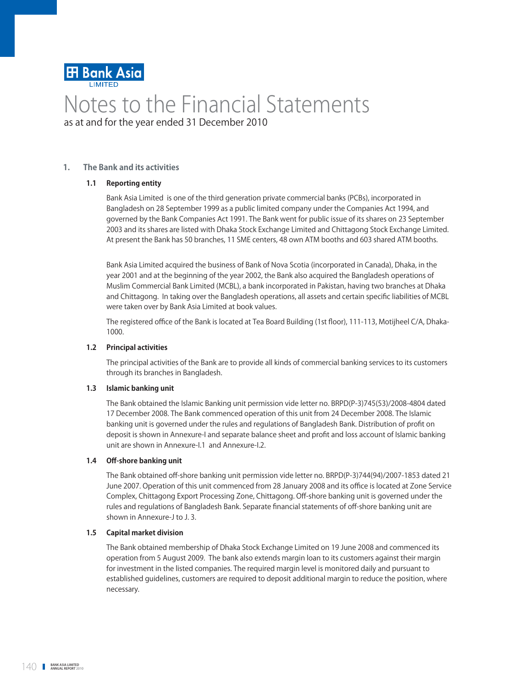

# Notes to the Financial Statements as at and for the year ended 31 December 2010

# **1. The Bank and its activities**

# **1.1 Reporting entity**

 Bank Asia Limited is one of the third generation private commercial banks (PCBs), incorporated in Bangladesh on 28 September 1999 as a public limited company under the Companies Act 1994, and governed by the Bank Companies Act 1991. The Bank went for public issue of its shares on 23 September 2003 and its shares are listed with Dhaka Stock Exchange Limited and Chittagong Stock Exchange Limited. At present the Bank has 50 branches, 11 SME centers, 48 own ATM booths and 603 shared ATM booths.

 Bank Asia Limited acquired the business of Bank of Nova Scotia (incorporated in Canada), Dhaka, in the year 2001 and at the beginning of the year 2002, the Bank also acquired the Bangladesh operations of Muslim Commercial Bank Limited (MCBL), a bank incorporated in Pakistan, having two branches at Dhaka and Chittagong. In taking over the Bangladesh operations, all assets and certain specific liabilities of MCBL were taken over by Bank Asia Limited at book values.

The registered office of the Bank is located at Tea Board Building (1st floor), 111-113, Motijheel C/A, Dhaka-1000.

# **1.2 Principal activities**

 The principal activities of the Bank are to provide all kinds of commercial banking services to its customers through its branches in Bangladesh.

# **1.3 Islamic banking unit**

 The Bank obtained the Islamic Banking unit permission vide letter no. BRPD(P-3)745(53)/2008-4804 dated 17 December 2008. The Bank commenced operation of this unit from 24 December 2008. The Islamic banking unit is governed under the rules and regulations of Bangladesh Bank. Distribution of profit on deposit is shown in Annexure-I and separate balance sheet and profit and loss account of Islamic banking unit are shown in Annexure-I.1 and Annexure-I.2.

# **1.4 Off -shore banking unit**

 The Bank obtained off -shore banking unit permission vide letter no. BRPD(P-3)744(94)/2007-1853 dated 21 June 2007. Operation of this unit commenced from 28 January 2008 and its office is located at Zone Service Complex, Chittagong Export Processing Zone, Chittagong. Off -shore banking unit is governed under the rules and regulations of Bangladesh Bank. Separate financial statements of off-shore banking unit are shown in Annexure-J to J. 3.

# **1.5 Capital market division**

 The Bank obtained membership of Dhaka Stock Exchange Limited on 19 June 2008 and commenced its operation from 5 August 2009. The bank also extends margin loan to its customers against their margin for investment in the listed companies. The required margin level is monitored daily and pursuant to established guidelines, customers are required to deposit additional margin to reduce the position, where necessary.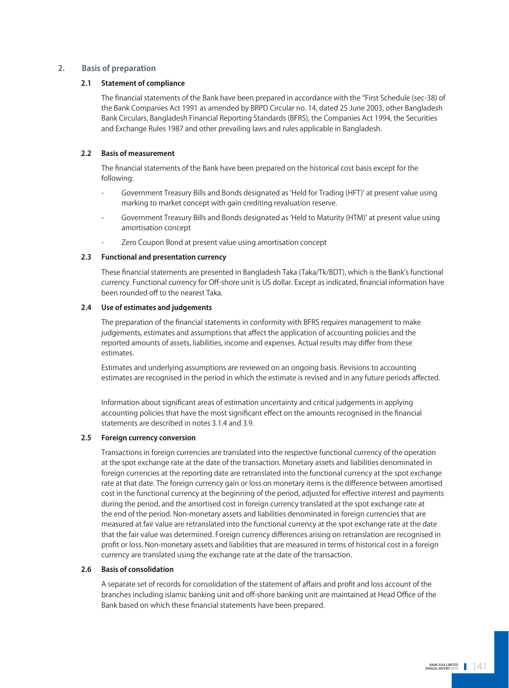# **2. Basis of preparation**

# **2.1 Statement of compliance**

The financial statements of the Bank have been prepared in accordance with the "First Schedule (sec-38) of the Bank Companies Act 1991 as amended by BRPD Circular no. 14, dated 25 June 2003, other Bangladesh Bank Circulars, Bangladesh Financial Reporting Standards (BFRS), the Companies Act 1994, the Securities and Exchange Rules 1987 and other prevailing laws and rules applicable in Bangladesh.

# **2.2 Basis of measurement**

The financial statements of the Bank have been prepared on the historical cost basis except for the following:

- Government Treasury Bills and Bonds designated as ʻHeld for Trading (HFT)' at present value using marking to market concept with gain crediting revaluation reserve.
- Government Treasury Bills and Bonds designated as ʻHeld to Maturity (HTM)' at present value using amortisation concept
- Zero Coupon Bond at present value using amortisation concept

# **2.3 Functional and presentation currency**

These financial statements are presented in Bangladesh Taka (Taka/Tk/BDT), which is the Bank's functional currency. Functional currency for Off-shore unit is US dollar. Except as indicated, financial information have been rounded off to the nearest Taka.

# **2.4 Use of estimates and judgements**

The preparation of the financial statements in conformity with BFRS requires management to make judgements, estimates and assumptions that affect the application of accounting policies and the reported amounts of assets, liabilities, income and expenses. Actual results may differ from these estimates.

 Estimates and underlying assumptions are reviewed on an ongoing basis. Revisions to accounting estimates are recognised in the period in which the estimate is revised and in any future periods affected.

Information about significant areas of estimation uncertainty and critical judgements in applying accounting policies that have the most significant effect on the amounts recognised in the financial statements are described in notes 3.1.4 and 3.9.

# **2.5 Foreign currency conversion**

 Transactions in foreign currencies are translated into the respective functional currency of the operation at the spot exchange rate at the date of the transaction. Monetary assets and liabilities denominated in foreign currencies at the reporting date are retranslated into the functional currency at the spot exchange rate at that date. The foreign currency gain or loss on monetary items is the difference between amortised cost in the functional currency at the beginning of the period, adjusted for effective interest and payments during the period, and the amortised cost in foreign currency translated at the spot exchange rate at the end of the period. Non-monetary assets and liabilities denominated in foreign currencies that are measured at fair value are retranslated into the functional currency at the spot exchange rate at the date that the fair value was determined. Foreign currency differences arising on retranslation are recognised in profit or loss. Non-monetary assets and liabilities that are measured in terms of historical cost in a foreign currency are translated using the exchange rate at the date of the transaction.

# **2.6 Basis of consolidation**

A separate set of records for consolidation of the statement of affairs and profit and loss account of the branches including islamic banking unit and off-shore banking unit are maintained at Head Office of the Bank based on which these financial statements have been prepared.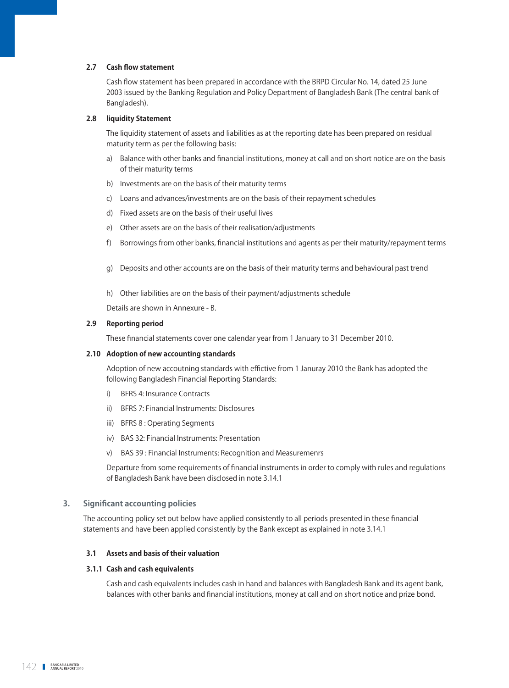# **2.7** Cash flow statement

Cash flow statement has been prepared in accordance with the BRPD Circular No. 14, dated 25 June 2003 issued by the Banking Regulation and Policy Department of Bangladesh Bank (The central bank of Bangladesh).

# **2.8 liquidity Statement**

 The liquidity statement of assets and liabilities as at the reporting date has been prepared on residual maturity term as per the following basis:

- a) Balance with other banks and financial institutions, money at call and on short notice are on the basis of their maturity terms
- b) Investments are on the basis of their maturity terms
- c) Loans and advances/investments are on the basis of their repayment schedules
- d) Fixed assets are on the basis of their useful lives
- e) Other assets are on the basis of their realisation/adjustments
- f) Borrowings from other banks, financial institutions and agents as per their maturity/repayment terms
- g) Deposits and other accounts are on the basis of their maturity terms and behavioural past trend
- h) Other liabilities are on the basis of their payment/adjustments schedule

Details are shown in Annexure - B.

# **2.9 Reporting period**

These financial statements cover one calendar year from 1 January to 31 December 2010.

# **2.10 Adoption of new accounting standards**

Adoption of new accoutning standards with effictive from 1 Januray 2010 the Bank has adopted the following Bangladesh Financial Reporting Standards:

- i) BFRS 4: Insurance Contracts
- ii) BFRS 7: Financial Instruments: Disclosures
- iii) BFRS 8 : Operating Segments
- iv) BAS 32: Financial Instruments: Presentation
- v) BAS 39 : Financial Instruments: Recognition and Measuremenrs

Departure from some requirements of financial instruments in order to comply with rules and requlations of Bangladesh Bank have been disclosed in note 3.14.1

# **3.** Significant accounting policies

The accounting policy set out below have applied consistently to all periods presented in these financial statements and have been applied consistently by the Bank except as explained in note 3.14.1

# **3.1 Assets and basis of their valuation**

# **3.1.1 Cash and cash equivalents**

 Cash and cash equivalents includes cash in hand and balances with Bangladesh Bank and its agent bank, balances with other banks and financial institutions, money at call and on short notice and prize bond.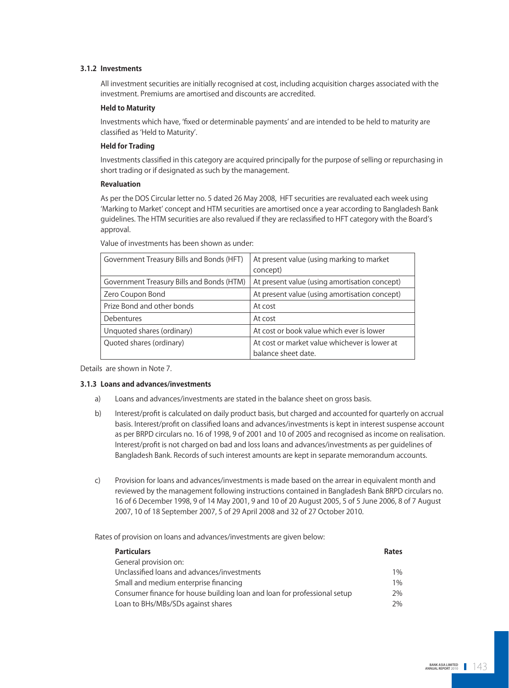# **3.1.2 Investments**

 All investment securities are initially recognised at cost, including acquisition charges associated with the investment. Premiums are amortised and discounts are accredited.

# **Held to Maturity**

Investments which have, 'fixed or determinable payments' and are intended to be held to maturity are classified as 'Held to Maturity'.

# **Held for Trading**

Investments classified in this category are acquired principally for the purpose of selling or repurchasing in short trading or if designated as such by the management.

# **Revaluation**

 As per the DOS Circular letter no. 5 dated 26 May 2008, HFT securities are revaluated each week using ʻMarking to Market' concept and HTM securities are amortised once a year according to Bangladesh Bank guidelines. The HTM securities are also revalued if they are reclassified to HFT category with the Board's approval.

| Government Treasury Bills and Bonds (HFT) | At present value (using marking to market<br>concept)                |
|-------------------------------------------|----------------------------------------------------------------------|
| Government Treasury Bills and Bonds (HTM) | At present value (using amortisation concept)                        |
| Zero Coupon Bond                          | At present value (using amortisation concept)                        |
| Prize Bond and other bonds                | At cost                                                              |
| Debentures                                | At cost                                                              |
| Unquoted shares (ordinary)                | At cost or book value which ever is lower                            |
| Quoted shares (ordinary)                  | At cost or market value whichever is lower at<br>balance sheet date. |

Value of investments has been shown as under:

Details are shown in Note 7.

# **3.1.3 Loans and advances/investments**

- a) Loans and advances/investments are stated in the balance sheet on gross basis.
- b) Interest/profit is calculated on daily product basis, but charged and accounted for quarterly on accrual basis. Interest/profit on classified loans and advances/investments is kept in interest suspense account as per BRPD circulars no. 16 of 1998, 9 of 2001 and 10 of 2005 and recognised as income on realisation. Interest/profit is not charged on bad and loss loans and advances/investments as per quidelines of Bangladesh Bank. Records of such interest amounts are kept in separate memorandum accounts.
- c) Provision for loans and advances/investments is made based on the arrear in equivalent month and reviewed by the management following instructions contained in Bangladesh Bank BRPD circulars no. 16 of 6 December 1998, 9 of 14 May 2001, 9 and 10 of 20 August 2005, 5 of 5 June 2006, 8 of 7 August 2007, 10 of 18 September 2007, 5 of 29 April 2008 and 32 of 27 October 2010.

Rates of provision on loans and advances/investments are given below:

| <b>Particulars</b>                                                       | <b>Rates</b> |
|--------------------------------------------------------------------------|--------------|
| General provision on:                                                    |              |
| Unclassified loans and advances/investments                              | $1\%$        |
| Small and medium enterprise financing                                    | $1\%$        |
| Consumer finance for house building loan and loan for professional setup | 2%           |
| Loan to BHs/MBs/SDs against shares                                       | 2%           |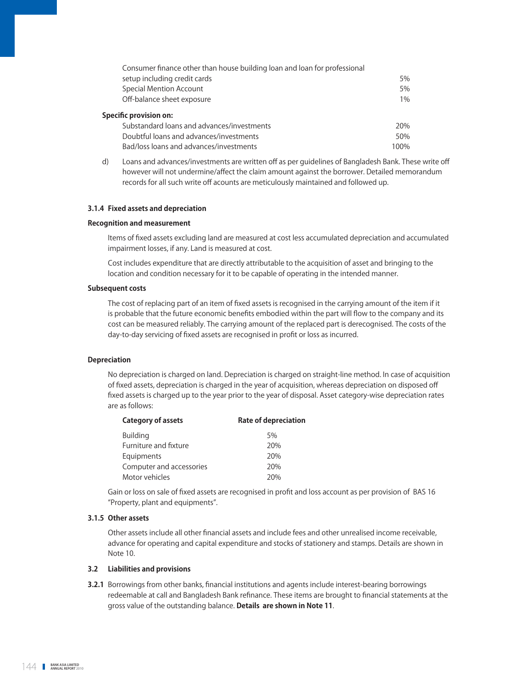| Consumer finance other than house building loan and loan for professional |     |
|---------------------------------------------------------------------------|-----|
| setup including credit cards                                              | 5%  |
| <b>Special Mention Account</b>                                            | 5%  |
| Off-balance sheet exposure                                                | 1%  |
| <b>Specific provision on:</b>                                             |     |
| Substandard loans and advances/investments                                | 20% |
| Doubtful loans and advances/investments                                   | 50% |

Bad/loss loans and advances/investments 100%

d) Loans and advances/investments are written off as per guidelines of Bangladesh Bank. These write off however will not undermine/affect the claim amount against the borrower. Detailed memorandum records for all such write off acounts are meticulously maintained and followed up.

#### **3.1.4 Fixed assets and depreciation**

#### **Recognition and measurement**

 Items of fi xed assets excluding land are measured at cost less accumulated depreciation and accumulated impairment losses, if any. Land is measured at cost.

 Cost includes expenditure that are directly attributable to the acquisition of asset and bringing to the location and condition necessary for it to be capable of operating in the intended manner.

#### **Subsequent costs**

The cost of replacing part of an item of fixed assets is recognised in the carrying amount of the item if it is probable that the future economic benefits embodied within the part will flow to the company and its cost can be measured reliably. The carrying amount of the replaced part is derecognised. The costs of the day-to-day servicing of fixed assets are recognised in profit or loss as incurred.

#### **Depreciation**

 No depreciation is charged on land. Depreciation is charged on straight-line method. In case of acquisition of fixed assets, depreciation is charged in the year of acquisition, whereas depreciation on disposed off fixed assets is charged up to the year prior to the year of disposal. Asset category-wise depreciation rates are as follows:

| <b>Category of assets</b> | <b>Rate of depreciation</b> |
|---------------------------|-----------------------------|
| <b>Building</b>           | 5%                          |
| Furniture and fixture     | 20%                         |
| Equipments                | 20%                         |
| Computer and accessories  | 20%                         |
| Motor vehicles            | 20%                         |

Gain or loss on sale of fixed assets are recognised in profit and loss account as per provision of BAS 16 "Property, plant and equipments".

#### **3.1.5 Other assets**

Other assets include all other financial assets and include fees and other unrealised income receivable, advance for operating and capital expenditure and stocks of stationery and stamps. Details are shown in Note 10.

#### **3.2 Liabilities and provisions**

**3.2.1** Borrowings from other banks, financial institutions and agents include interest-bearing borrowings redeemable at call and Bangladesh Bank refinance. These items are brought to financial statements at the gross value of the outstanding balance. **Details are shown in Note 11**.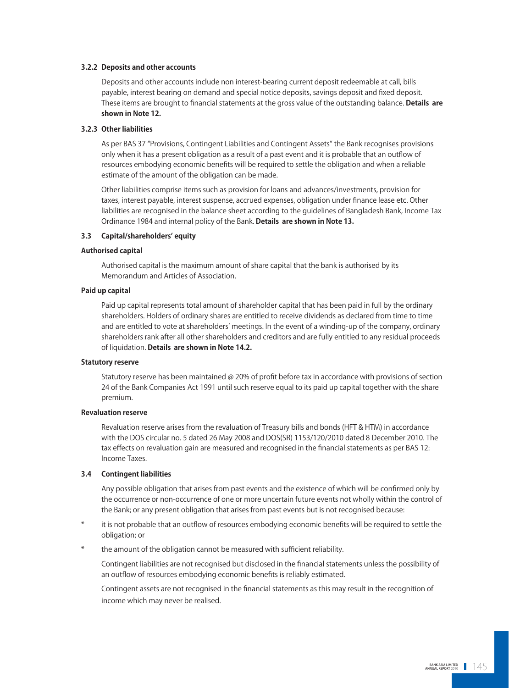#### **3.2.2 Deposits and other accounts**

 Deposits and other accounts include non interest-bearing current deposit redeemable at call, bills payable, interest bearing on demand and special notice deposits, savings deposit and fixed deposit. These items are brought to financial statements at the gross value of the outstanding balance. Details are **shown in Note 12.**

#### **3.2.3 Other liabilities**

 As per BAS 37 "Provisions, Contingent Liabilities and Contingent Assets" the Bank recognises provisions only when it has a present obligation as a result of a past event and it is probable that an outflow of resources embodying economic benefits will be required to settle the obligation and when a reliable estimate of the amount of the obligation can be made.

 Other liabilities comprise items such as provision for loans and advances/investments, provision for taxes, interest payable, interest suspense, accrued expenses, obligation under finance lease etc. Other liabilities are recognised in the balance sheet according to the guidelines of Bangladesh Bank, Income Tax Ordinance 1984 and internal policy of the Bank. **Details are shown in Note 13.**

#### **3.3 Capital/shareholders' equity**

#### **Authorised capital**

 Authorised capital is the maximum amount of share capital that the bank is authorised by its Memorandum and Articles of Association.

#### **Paid up capital**

 Paid up capital represents total amount of shareholder capital that has been paid in full by the ordinary shareholders. Holders of ordinary shares are entitled to receive dividends as declared from time to time and are entitled to vote at shareholders' meetings. In the event of a winding-up of the company, ordinary shareholders rank after all other shareholders and creditors and are fully entitled to any residual proceeds of liquidation. **Details are shown in Note 14.2.**

#### **Statutory reserve**

Statutory reserve has been maintained @ 20% of profit before tax in accordance with provisions of section 24 of the Bank Companies Act 1991 until such reserve equal to its paid up capital together with the share premium.

#### **Revaluation reserve**

 Revaluation reserve arises from the revaluation of Treasury bills and bonds (HFT & HTM) in accordance with the DOS circular no. 5 dated 26 May 2008 and DOS(SR) 1153/120/2010 dated 8 December 2010. The tax effects on revaluation gain are measured and recognised in the financial statements as per BAS 12: Income Taxes.

#### **3.4 Contingent liabilities**

Any possible obligation that arises from past events and the existence of which will be confirmed only by the occurrence or non-occurrence of one or more uncertain future events not wholly within the control of the Bank; or any present obligation that arises from past events but is not recognised because:

- it is not probable that an outflow of resources embodying economic benefits will be required to settle the obligation; or
- the amount of the obligation cannot be measured with sufficient reliability.

Contingent liabilities are not recognised but disclosed in the financial statements unless the possibility of an outflow of resources embodying economic benefits is reliably estimated.

Contingent assets are not recognised in the financial statements as this may result in the recognition of income which may never be realised.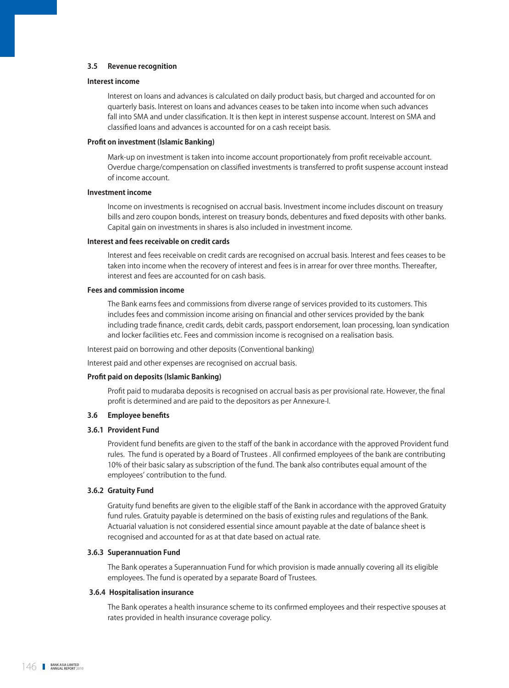#### **3.5 Revenue recognition**

#### **Interest income**

 Interest on loans and advances is calculated on daily product basis, but charged and accounted for on quarterly basis. Interest on loans and advances ceases to be taken into income when such advances fall into SMA and under classification. It is then kept in interest suspense account. Interest on SMA and classified loans and advances is accounted for on a cash receipt basis.

#### **Profit on investment (Islamic Banking)**

Mark-up on investment is taken into income account proportionately from profit receivable account. Overdue charge/compensation on classified investments is transferred to profit suspense account instead of income account.

#### **Investment income**

 Income on investments is recognised on accrual basis. Investment income includes discount on treasury bills and zero coupon bonds, interest on treasury bonds, debentures and fixed deposits with other banks. Capital gain on investments in shares is also included in investment income.

#### **Interest and fees receivable on credit cards**

 Interest and fees receivable on credit cards are recognised on accrual basis. Interest and fees ceases to be taken into income when the recovery of interest and fees is in arrear for over three months. Thereafter, interest and fees are accounted for on cash basis.

#### **Fees and commission income**

 The Bank earns fees and commissions from diverse range of services provided to its customers. This includes fees and commission income arising on financial and other services provided by the bank including trade finance, credit cards, debit cards, passport endorsement, loan processing, loan syndication and locker facilities etc. Fees and commission income is recognised on a realisation basis.

Interest paid on borrowing and other deposits (Conventional banking)

Interest paid and other expenses are recognised on accrual basis.

#### **Profit paid on deposits (Islamic Banking)**

Profit paid to mudaraba deposits is recognised on accrual basis as per provisional rate. However, the final profit is determined and are paid to the depositors as per Annexure-I.

# **3.6** Employee benefits

# **3.6.1 Provident Fund**

Provident fund benefits are given to the staff of the bank in accordance with the approved Provident fund rules. The fund is operated by a Board of Trustees . All confirmed employees of the bank are contributing 10% of their basic salary as subscription of the fund. The bank also contributes equal amount of the employees' contribution to the fund.

# **3.6.2 Gratuity Fund**

Gratuity fund benefits are given to the eligible staff of the Bank in accordance with the approved Gratuity fund rules. Gratuity payable is determined on the basis of existing rules and regulations of the Bank. Actuarial valuation is not considered essential since amount payable at the date of balance sheet is recognised and accounted for as at that date based on actual rate.

#### **3.6.3 Superannuation Fund**

 The Bank operates a Superannuation Fund for which provision is made annually covering all its eligible employees. The fund is operated by a separate Board of Trustees.

#### **3.6.4 Hospitalisation insurance**

The Bank operates a health insurance scheme to its confirmed employees and their respective spouses at rates provided in health insurance coverage policy.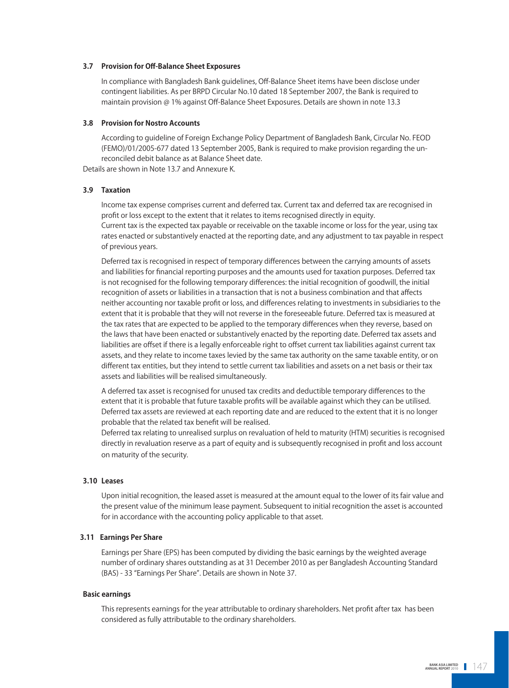#### **3.7 Provision for Off -Balance Sheet Exposures**

 In compliance with Bangladesh Bank guidelines, Off -Balance Sheet items have been disclose under contingent liabilities. As per BRPD Circular No.10 dated 18 September 2007, the Bank is required to maintain provision @ 1% against Off-Balance Sheet Exposures. Details are shown in note 13.3

#### **3.8 Provision for Nostro Accounts**

 According to guideline of Foreign Exchange Policy Department of Bangladesh Bank, Circular No. FEOD (FEMO)/01/2005-677 dated 13 September 2005, Bank is required to make provision regarding the unreconciled debit balance as at Balance Sheet date.

Details are shown in Note 13.7 and Annexure K.

#### **3.9 Taxation**

 Income tax expense comprises current and deferred tax. Current tax and deferred tax are recognised in profit or loss except to the extent that it relates to items recognised directly in equity. Current tax is the expected tax payable or receivable on the taxable income or loss for the year, using tax rates enacted or substantively enacted at the reporting date, and any adjustment to tax payable in respect of previous years.

Deferred tax is recognised in respect of temporary differences between the carrying amounts of assets and liabilities for financial reporting purposes and the amounts used for taxation purposes. Deferred tax is not recognised for the following temporary differences: the initial recognition of goodwill, the initial recognition of assets or liabilities in a transaction that is not a business combination and that affects neither accounting nor taxable profit or loss, and differences relating to investments in subsidiaries to the extent that it is probable that they will not reverse in the foreseeable future. Deferred tax is measured at the tax rates that are expected to be applied to the temporary differences when they reverse, based on the laws that have been enacted or substantively enacted by the reporting date. Deferred tax assets and liabilities are offset if there is a legally enforceable right to offset current tax liabilities against current tax assets, and they relate to income taxes levied by the same tax authority on the same taxable entity, or on different tax entities, but they intend to settle current tax liabilities and assets on a net basis or their tax assets and liabilities will be realised simultaneously.

A deferred tax asset is recognised for unused tax credits and deductible temporary differences to the extent that it is probable that future taxable profits will be available against which they can be utilised. Deferred tax assets are reviewed at each reporting date and are reduced to the extent that it is no longer probable that the related tax benefit will be realised.

Deferred tax relating to unrealised surplus on revaluation of held to maturity (HTM) securities is recognised directly in revaluation reserve as a part of equity and is subsequently recognised in profit and loss account on maturity of the security.

#### **3.10 Leases**

 Upon initial recognition, the leased asset is measured at the amount equal to the lower of its fair value and the present value of the minimum lease payment. Subsequent to initial recognition the asset is accounted for in accordance with the accounting policy applicable to that asset.

#### **3.11 Earnings Per Share**

 Earnings per Share (EPS) has been computed by dividing the basic earnings by the weighted average number of ordinary shares outstanding as at 31 December 2010 as per Bangladesh Accounting Standard (BAS) - 33 "Earnings Per Share". Details are shown in Note 37.

#### **Basic earnings**

This represents earnings for the year attributable to ordinary shareholders. Net profit after tax has been considered as fully attributable to the ordinary shareholders.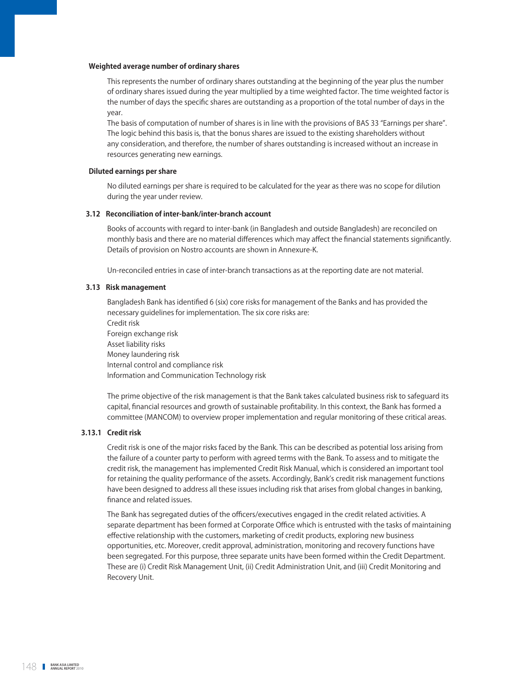#### **Weighted average number of ordinary shares**

 This represents the number of ordinary shares outstanding at the beginning of the year plus the number of ordinary shares issued during the year multiplied by a time weighted factor. The time weighted factor is the number of days the specific shares are outstanding as a proportion of the total number of days in the year.

 The basis of computation of number of shares is in line with the provisions of BAS 33 "Earnings per share". The logic behind this basis is, that the bonus shares are issued to the existing shareholders without any consideration, and therefore, the number of shares outstanding is increased without an increase in resources generating new earnings.

#### **Diluted earnings per share**

 No diluted earnings per share is required to be calculated for the year as there was no scope for dilution during the year under review.

#### **3.12 Reconciliation of inter-bank/inter-branch account**

 Books of accounts with regard to inter-bank (in Bangladesh and outside Bangladesh) are reconciled on monthly basis and there are no material differences which may affect the financial statements significantly. Details of provision on Nostro accounts are shown in Annexure-K.

Un-reconciled entries in case of inter-branch transactions as at the reporting date are not material.

# **3.13 Risk management**

Bangladesh Bank has identified 6 (six) core risks for management of the Banks and has provided the necessary guidelines for implementation. The six core risks are: Credit risk Foreign exchange risk Asset liability risks Money laundering risk Internal control and compliance risk Information and Communication Technology risk

 The prime objective of the risk management is that the Bank takes calculated business risk to safeguard its capital, financial resources and growth of sustainable profitability. In this context, the Bank has formed a committee (MANCOM) to overview proper implementation and regular monitoring of these critical areas.

# **3.13.1 Credit risk**

 Credit risk is one of the major risks faced by the Bank. This can be described as potential loss arising from the failure of a counter party to perform with agreed terms with the Bank. To assess and to mitigate the credit risk, the management has implemented Credit Risk Manual, which is considered an important tool for retaining the quality performance of the assets. Accordingly, Bank's credit risk management functions have been designed to address all these issues including risk that arises from global changes in banking, finance and related issues.

The Bank has segregated duties of the officers/executives engaged in the credit related activities. A separate department has been formed at Corporate Office which is entrusted with the tasks of maintaining effective relationship with the customers, marketing of credit products, exploring new business opportunities, etc. Moreover, credit approval, administration, monitoring and recovery functions have been segregated. For this purpose, three separate units have been formed within the Credit Department. These are (i) Credit Risk Management Unit, (ii) Credit Administration Unit, and (iii) Credit Monitoring and Recovery Unit.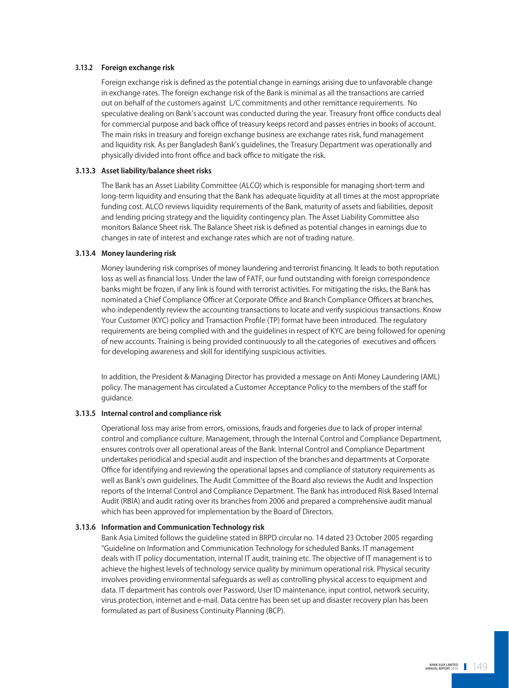#### **3.13.2 Foreign exchange risk**

Foreign exchange risk is defined as the potential change in earnings arising due to unfavorable change in exchange rates. The foreign exchange risk of the Bank is minimal as all the transactions are carried out on behalf of the customers against L/C commitments and other remittance requirements. No speculative dealing on Bank's account was conducted during the year. Treasury front office conducts deal for commercial purpose and back office of treasury keeps record and passes entries in books of account. The main risks in treasury and foreign exchange business are exchange rates risk, fund management and liquidity risk. As per Bangladesh Bank's guidelines, the Treasury Department was operationally and physically divided into front office and back office to mitigate the risk.

#### **3.13.3 Asset liability/balance sheet risks**

 The Bank has an Asset Liability Committee (ALCO) which is responsible for managing short-term and long-term liquidity and ensuring that the Bank has adequate liquidity at all times at the most appropriate funding cost. ALCO reviews liquidity requirements of the Bank, maturity of assets and liabilities, deposit and lending pricing strategy and the liquidity contingency plan. The Asset Liability Committee also monitors Balance Sheet risk. The Balance Sheet risk is defined as potential changes in earnings due to changes in rate of interest and exchange rates which are not of trading nature.

#### **3.13.4 Money laundering risk**

Money laundering risk comprises of money laundering and terrorist financing. It leads to both reputation loss as well as financial loss. Under the law of FATF, our fund outstanding with foreign correspondence banks might be frozen, if any link is found with terrorist activities. For mitigating the risks, the Bank has nominated a Chief Compliance Officer at Corporate Office and Branch Compliance Officers at branches, who independently review the accounting transactions to locate and verify suspicious transactions. Know Your Customer (KYC) policy and Transaction Profile (TP) format have been introduced. The regulatory requirements are being complied with and the guidelines in respect of KYC are being followed for opening of new accounts. Training is being provided continuously to all the categories of executives and officers for developing awareness and skill for identifying suspicious activities.

 In addition, the President & Managing Director has provided a message on Anti Money Laundering (AML) policy. The management has circulated a Customer Acceptance Policy to the members of the staff for guidance.

# **3.13.5 Internal control and compliance risk**

 Operational loss may arise from errors, omissions, frauds and forgeries due to lack of proper internal control and compliance culture. Management, through the Internal Control and Compliance Department, ensures controls over all operational areas of the Bank. Internal Control and Compliance Department undertakes periodical and special audit and inspection of the branches and departments at Corporate Office for identifying and reviewing the operational lapses and compliance of statutory requirements as well as Bank's own guidelines. The Audit Committee of the Board also reviews the Audit and Inspection reports of the Internal Control and Compliance Department. The Bank has introduced Risk Based Internal Audit (RBIA) and audit rating over its branches from 2006 and prepared a comprehensive audit manual which has been approved for implementation by the Board of Directors.

# **3.13.6 Information and Communication Technology risk**

Bank Asia Limited follows the guideline stated in BRPD circular no. 14 dated 23 October 2005 regarding "Guideline on Information and Communication Technology for scheduled Banks. IT management deals with IT policy documentation, internal IT audit, training etc. The objective of IT management is to achieve the highest levels of technology service quality by minimum operational risk. Physical security involves providing environmental safeguards as well as controlling physical access to equipment and data. IT department has controls over Password, User ID maintenance, input control, network security, virus protection, internet and e-mail. Data centre has been set up and disaster recovery plan has been formulated as part of Business Continuity Planning (BCP).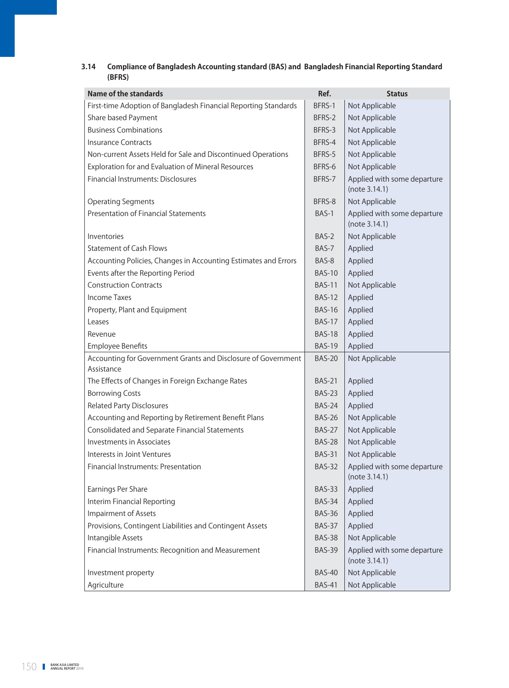# **3.14 Compliance of Bangladesh Accounting standard (BAS) and Bangladesh Financial Reporting Standard (BFRS)**

| <b>Name of the standards</b>                                                | Ref.          | <b>Status</b>                                |
|-----------------------------------------------------------------------------|---------------|----------------------------------------------|
| First-time Adoption of Bangladesh Financial Reporting Standards             | BFRS-1        | Not Applicable                               |
| Share based Payment                                                         | BFRS-2        | Not Applicable                               |
| <b>Business Combinations</b>                                                | BFRS-3        | Not Applicable                               |
| <b>Insurance Contracts</b>                                                  | BFRS-4        | Not Applicable                               |
| Non-current Assets Held for Sale and Discontinued Operations                | BFRS-5        | Not Applicable                               |
| Exploration for and Evaluation of Mineral Resources                         | BFRS-6        | Not Applicable                               |
| Financial Instruments: Disclosures                                          | BFRS-7        | Applied with some departure<br>(note 3.14.1) |
| <b>Operating Segments</b>                                                   | BFRS-8        | Not Applicable                               |
| <b>Presentation of Financial Statements</b>                                 | BAS-1         | Applied with some departure<br>(note 3.14.1) |
| Inventories                                                                 | BAS-2         | Not Applicable                               |
| <b>Statement of Cash Flows</b>                                              | BAS-7         | Applied                                      |
| Accounting Policies, Changes in Accounting Estimates and Errors             | BAS-8         | Applied                                      |
| Events after the Reporting Period                                           | <b>BAS-10</b> | Applied                                      |
| <b>Construction Contracts</b>                                               | <b>BAS-11</b> | Not Applicable                               |
| <b>Income Taxes</b>                                                         | <b>BAS-12</b> | Applied                                      |
| Property, Plant and Equipment                                               | <b>BAS-16</b> | Applied                                      |
| Leases                                                                      | <b>BAS-17</b> | Applied                                      |
| Revenue                                                                     | <b>BAS-18</b> | Applied                                      |
| <b>Employee Benefits</b>                                                    | <b>BAS-19</b> | Applied                                      |
| Accounting for Government Grants and Disclosure of Government<br>Assistance | <b>BAS-20</b> | Not Applicable                               |
| The Effects of Changes in Foreign Exchange Rates                            | <b>BAS-21</b> | Applied                                      |
| <b>Borrowing Costs</b>                                                      | <b>BAS-23</b> | Applied                                      |
| <b>Related Party Disclosures</b>                                            | <b>BAS-24</b> | Applied                                      |
| Accounting and Reporting by Retirement Benefit Plans                        | <b>BAS-26</b> | Not Applicable                               |
| Consolidated and Separate Financial Statements                              | <b>BAS-27</b> | Not Applicable                               |
| Investments in Associates                                                   | <b>BAS-28</b> | Not Applicable                               |
| Interests in Joint Ventures                                                 | <b>BAS-31</b> | Not Applicable                               |
| Financial Instruments: Presentation                                         | <b>BAS-32</b> | Applied with some departure<br>(note 3.14.1) |
| Earnings Per Share                                                          | <b>BAS-33</b> | Applied                                      |
| Interim Financial Reporting                                                 | <b>BAS-34</b> | Applied                                      |
| <b>Impairment of Assets</b>                                                 | <b>BAS-36</b> | Applied                                      |
| Provisions, Contingent Liabilities and Contingent Assets                    | <b>BAS-37</b> | Applied                                      |
| Intangible Assets                                                           | <b>BAS-38</b> | Not Applicable                               |
| Financial Instruments: Recognition and Measurement                          | <b>BAS-39</b> | Applied with some departure<br>(note 3.14.1) |
| Investment property                                                         | <b>BAS-40</b> | Not Applicable                               |
| Agriculture                                                                 | <b>BAS-41</b> | Not Applicable                               |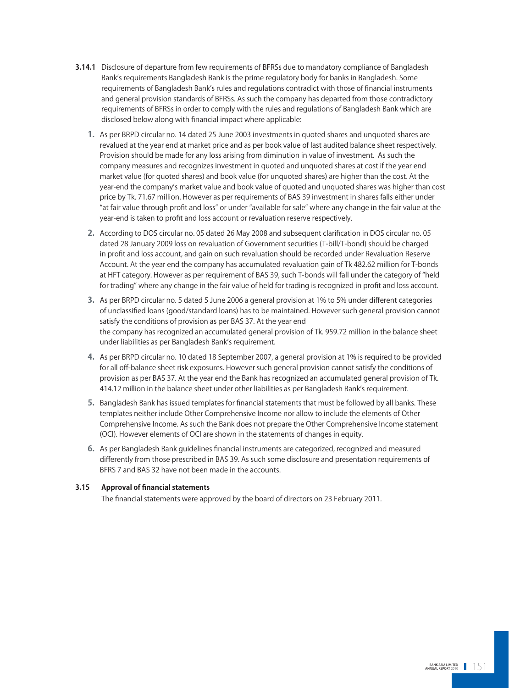- **3.14.1** Disclosure of departure from few requirements of BFRSs due to mandatory compliance of Bangladesh Bank's requirements Bangladesh Bank is the prime regulatory body for banks in Bangladesh. Some requirements of Bangladesh Bank's rules and regulations contradict with those of financial instruments and general provision standards of BFRSs. As such the company has departed from those contradictory requirements of BFRSs in order to comply with the rules and regulations of Bangladesh Bank which are disclosed below along with financial impact where applicable:
	- **1.** As per BRPD circular no. 14 dated 25 June 2003 investments in quoted shares and unquoted shares are revalued at the year end at market price and as per book value of last audited balance sheet respectively. Provision should be made for any loss arising from diminution in value of investment. As such the company measures and recognizes investment in quoted and unquoted shares at cost if the year end market value (for quoted shares) and book value (for unquoted shares) are higher than the cost. At the year-end the company's market value and book value of quoted and unquoted shares was higher than cost price by Tk. 71.67 million. However as per requirements of BAS 39 investment in shares falls either under "at fair value through profit and loss" or under "available for sale" where any change in the fair value at the year-end is taken to profit and loss account or revaluation reserve respectively.
	- **2.** According to DOS circular no. 05 dated 26 May 2008 and subsequent clarification in DOS circular no. 05 dated 28 January 2009 loss on revaluation of Government securities (T-bill/T-bond) should be charged in profit and loss account, and gain on such revaluation should be recorded under Revaluation Reserve Account. At the year end the company has accumulated revaluation gain of Tk 482.62 million for T-bonds at HFT category. However as per requirement of BAS 39, such T-bonds will fall under the category of "held for trading" where any change in the fair value of held for trading is recognized in profit and loss account.
	- **3.** As per BRPD circular no. 5 dated 5 June 2006 a general provision at 1% to 5% under different categories of unclassified loans (good/standard loans) has to be maintained. However such general provision cannot satisfy the conditions of provision as per BAS 37. At the year end the company has recognized an accumulated general provision of Tk. 959.72 million in the balance sheet under liabilities as per Bangladesh Bank's requirement.
	- **4.** As per BRPD circular no. 10 dated 18 September 2007, a general provision at 1% is required to be provided for all off -balance sheet risk exposures. However such general provision cannot satisfy the conditions of provision as per BAS 37. At the year end the Bank has recognized an accumulated general provision of Tk. 414.12 million in the balance sheet under other liabilities as per Bangladesh Bank's requirement.
	- **5.** Bangladesh Bank has issued templates for financial statements that must be followed by all banks. These templates neither include Other Comprehensive Income nor allow to include the elements of Other Comprehensive Income. As such the Bank does not prepare the Other Comprehensive Income statement (OCI). However elements of OCI are shown in the statements of changes in equity.
	- **6.** As per Bangladesh Bank guidelines financial instruments are categorized, recognized and measured differently from those prescribed in BAS 39. As such some disclosure and presentation requirements of BFRS 7 and BAS 32 have not been made in the accounts.

# **3.15** Approval of financial statements

The financial statements were approved by the board of directors on 23 February 2011.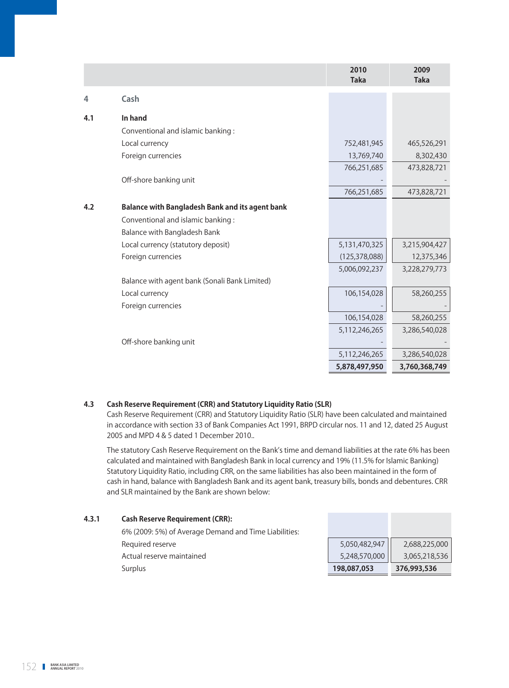|     |                                                        | 2010<br><b>Taka</b> | 2009<br><b>Taka</b> |
|-----|--------------------------------------------------------|---------------------|---------------------|
| 4   | Cash                                                   |                     |                     |
| 4.1 | In hand                                                |                     |                     |
|     | Conventional and islamic banking:                      |                     |                     |
|     | Local currency                                         | 752,481,945         | 465,526,291         |
|     | Foreign currencies                                     | 13,769,740          | 8,302,430           |
|     |                                                        | 766,251,685         | 473,828,721         |
|     | Off-shore banking unit                                 |                     |                     |
|     |                                                        | 766,251,685         | 473,828,721         |
| 4.2 | <b>Balance with Bangladesh Bank and its agent bank</b> |                     |                     |
|     | Conventional and islamic banking:                      |                     |                     |
|     | Balance with Bangladesh Bank                           |                     |                     |
|     | Local currency (statutory deposit)                     | 5,131,470,325       | 3,215,904,427       |
|     | Foreign currencies                                     | (125, 378, 088)     | 12,375,346          |
|     |                                                        | 5,006,092,237       | 3,228,279,773       |
|     | Balance with agent bank (Sonali Bank Limited)          |                     |                     |
|     | Local currency                                         | 106,154,028         | 58,260,255          |
|     | Foreign currencies                                     |                     |                     |
|     |                                                        | 106,154,028         | 58,260,255          |
|     |                                                        | 5,112,246,265       | 3,286,540,028       |
|     | Off-shore banking unit                                 |                     |                     |
|     |                                                        | 5,112,246,265       | 3,286,540,028       |
|     |                                                        | 5,878,497,950       | 3,760,368,749       |

# **4.3 Cash Reserve Requirement (CRR) and Statutory Liquidity Ratio (SLR)**

 Cash Reserve Requirement (CRR) and Statutory Liquidity Ratio (SLR) have been calculated and maintained in accordance with section 33 of Bank Companies Act 1991, BRPD circular nos. 11 and 12, dated 25 August 2005 and MPD 4 & 5 dated 1 December 2010..

 The statutory Cash Reserve Requirement on the Bank's time and demand liabilities at the rate 6% has been calculated and maintained with Bangladesh Bank in local currency and 19% (11.5% for Islamic Banking) Statutory Liquidity Ratio, including CRR, on the same liabilities has also been maintained in the form of cash in hand, balance with Bangladesh Bank and its agent bank, treasury bills, bonds and debentures. CRR and SLR maintained by the Bank are shown below:

| 4.3.1 | <b>Cash Reserve Requirement (CRR):</b>                |               |               |
|-------|-------------------------------------------------------|---------------|---------------|
|       | 6% (2009: 5%) of Average Demand and Time Liabilities: |               |               |
|       | Required reserve                                      | 5,050,482,947 | 2,688,225,000 |
|       | Actual reserve maintained                             | 5,248,570,000 | 3,065,218,536 |
|       | Surplus                                               | 198,087,053   | 376,993,536   |
|       |                                                       |               |               |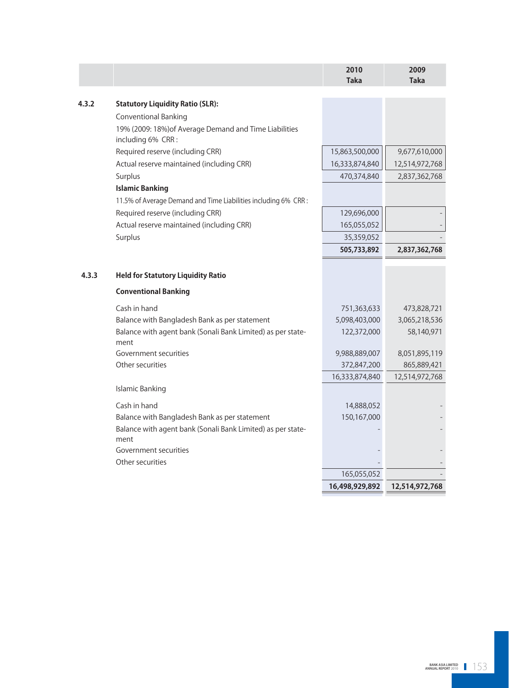|                                                                             | 2010<br><b>Taka</b> | 2009<br><b>Taka</b> |
|-----------------------------------------------------------------------------|---------------------|---------------------|
|                                                                             |                     |                     |
| <b>Statutory Liquidity Ratio (SLR):</b><br>4.3.2                            |                     |                     |
| <b>Conventional Banking</b>                                                 |                     |                     |
| 19% (2009: 18%) of Average Demand and Time Liabilities<br>including 6% CRR: |                     |                     |
| Required reserve (including CRR)                                            | 15,863,500,000      | 9,677,610,000       |
| Actual reserve maintained (including CRR)                                   | 16,333,874,840      | 12,514,972,768      |
| Surplus                                                                     | 470,374,840         | 2,837,362,768       |
| <b>Islamic Banking</b>                                                      |                     |                     |
| 11.5% of Average Demand and Time Liabilities including 6% CRR :             |                     |                     |
| Required reserve (including CRR)                                            | 129,696,000         |                     |
| Actual reserve maintained (including CRR)                                   | 165,055,052         |                     |
| Surplus                                                                     | 35,359,052          |                     |
|                                                                             | 505,733,892         | 2,837,362,768       |
| <b>Held for Statutory Liquidity Ratio</b><br>4.3.3                          |                     |                     |
| <b>Conventional Banking</b>                                                 |                     |                     |
| Cash in hand                                                                | 751,363,633         | 473,828,721         |
| Balance with Bangladesh Bank as per statement                               | 5,098,403,000       | 3,065,218,536       |
| Balance with agent bank (Sonali Bank Limited) as per state-                 | 122,372,000         | 58,140,971          |
| ment                                                                        |                     |                     |
| Government securities                                                       | 9,988,889,007       | 8,051,895,119       |
| Other securities                                                            | 372,847,200         | 865,889,421         |
| <b>Islamic Banking</b>                                                      | 16,333,874,840      | 12,514,972,768      |
| Cash in hand                                                                | 14,888,052          |                     |
| Balance with Bangladesh Bank as per statement                               | 150,167,000         |                     |
| Balance with agent bank (Sonali Bank Limited) as per state-<br>ment         |                     |                     |
| Government securities                                                       |                     |                     |
| Other securities                                                            |                     |                     |
|                                                                             | 165,055,052         |                     |
|                                                                             | 16,498,929,892      | 12,514,972,768      |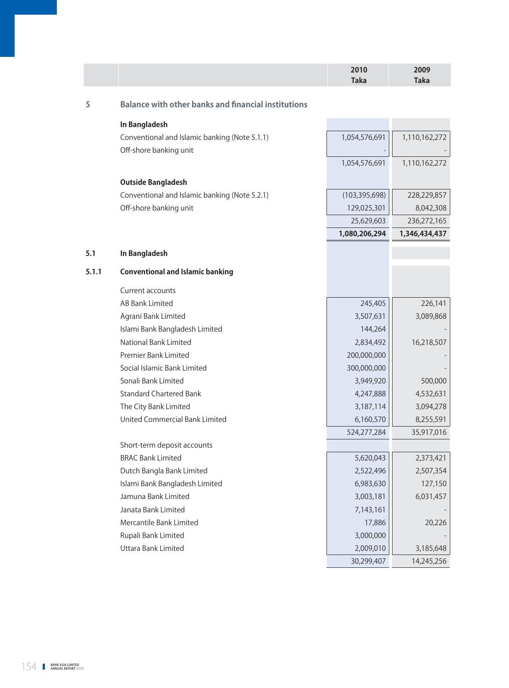|       |                                                                         | 2010<br><b>Taka</b> | 2009<br><b>Taka</b> |
|-------|-------------------------------------------------------------------------|---------------------|---------------------|
| 5     | <b>Balance with other banks and financial institutions</b>              |                     |                     |
|       | In Bangladesh                                                           |                     |                     |
|       | Conventional and Islamic banking (Note 5.1.1)<br>Off-shore banking unit | 1,054,576,691       | 1,110,162,272       |
|       |                                                                         | 1,054,576,691       | 1,110,162,272       |
|       |                                                                         |                     |                     |
|       | <b>Outside Bangladesh</b>                                               |                     |                     |
|       | Conventional and Islamic banking (Note 5.2.1)                           | (103, 395, 698)     | 228,229,857         |
|       | Off-shore banking unit                                                  | 129,025,301         | 8,042,308           |
|       |                                                                         | 25,629,603          | 236,272,165         |
|       |                                                                         | 1,080,206,294       | 1,346,434,437       |
| 5.1   | In Bangladesh                                                           |                     |                     |
| 5.1.1 | <b>Conventional and Islamic banking</b>                                 |                     |                     |
|       | Current accounts                                                        |                     |                     |
|       | <b>AB Bank Limited</b>                                                  | 245,405             | 226,141             |
|       | Agrani Bank Limited                                                     | 3,507,631           | 3,089,868           |
|       | Islami Bank Bangladesh Limited                                          | 144,264             |                     |
|       | <b>National Bank Limited</b>                                            | 2,834,492           | 16,218,507          |
|       | Premier Bank Limited                                                    | 200,000,000         |                     |
|       | Social Islamic Bank Limited                                             | 300,000,000         |                     |
|       | Sonali Bank Limited                                                     | 3,949,920           | 500,000             |
|       | <b>Standard Chartered Bank</b>                                          | 4,247,888           | 4,532,631           |
|       | The City Bank Limited                                                   | 3,187,114           | 3,094,278           |
|       | United Commercial Bank Limited                                          | 6,160,570           | 8,255,591           |
|       |                                                                         | 524,277,284         | 35,917,016          |
|       | Short-term deposit accounts                                             |                     |                     |
|       | <b>BRAC Bank Limited</b>                                                | 5,620,043           | 2,373,421           |
|       | Dutch Bangla Bank Limited                                               | 2,522,496           | 2,507,354           |
|       | Islami Bank Bangladesh Limited                                          | 6,983,630           | 127,150             |
|       | Jamuna Bank Limited                                                     | 3,003,181           | 6,031,457           |
|       | Janata Bank Limited                                                     | 7,143,161           |                     |
|       | Mercantile Bank Limited                                                 | 17,886              | 20,226              |
|       | Rupali Bank Limited                                                     | 3,000,000           |                     |
|       | Uttara Bank Limited                                                     | 2,009,010           | 3,185,648           |
|       |                                                                         | 30,299,407          | 14,245,256          |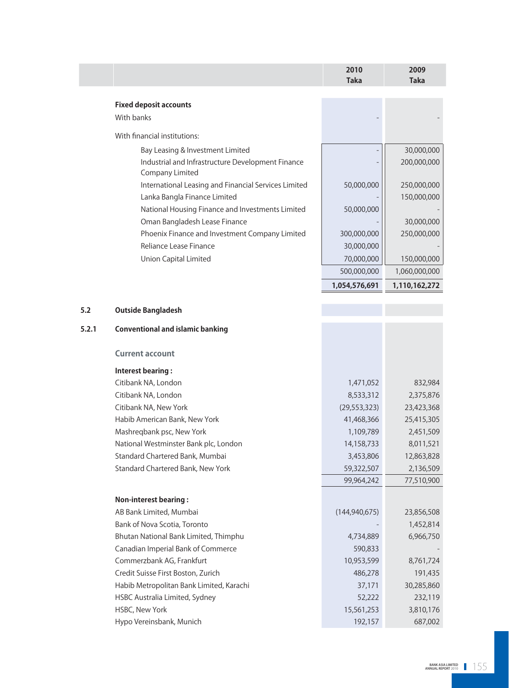|       |                                                                      | 2010<br><b>Taka</b> | 2009<br><b>Taka</b> |
|-------|----------------------------------------------------------------------|---------------------|---------------------|
|       |                                                                      |                     |                     |
|       | <b>Fixed deposit accounts</b><br>With banks                          |                     |                     |
|       | With financial institutions:                                         |                     |                     |
|       | Bay Leasing & Investment Limited                                     |                     | 30,000,000          |
|       | Industrial and Infrastructure Development Finance<br>Company Limited |                     | 200,000,000         |
|       | International Leasing and Financial Services Limited                 | 50,000,000          | 250,000,000         |
|       | Lanka Bangla Finance Limited                                         |                     | 150,000,000         |
|       | National Housing Finance and Investments Limited                     | 50,000,000          |                     |
|       | Oman Bangladesh Lease Finance                                        |                     | 30,000,000          |
|       | Phoenix Finance and Investment Company Limited                       | 300,000,000         | 250,000,000         |
|       | Reliance Lease Finance                                               | 30,000,000          |                     |
|       | <b>Union Capital Limited</b>                                         | 70,000,000          | 150,000,000         |
|       |                                                                      | 500,000,000         | 1,060,000,000       |
|       |                                                                      | 1,054,576,691       | 1,110,162,272       |
| 5.2   | <b>Outside Bangladesh</b>                                            |                     |                     |
| 5.2.1 | <b>Conventional and islamic banking</b>                              |                     |                     |
|       |                                                                      |                     |                     |
|       | <b>Current account</b>                                               |                     |                     |
|       | <b>Interest bearing:</b>                                             |                     |                     |
|       | Citibank NA, London                                                  | 1,471,052           | 832,984             |
|       | Citibank NA, London                                                  | 8,533,312           | 2,375,876           |
|       | Citibank NA, New York                                                | (29, 553, 323)      | 23,423,368          |
|       | Habib American Bank, New York                                        | 41,468,366          | 25,415,305          |
|       | Mashregbank psc, New York                                            | 1,109,789           | 2,451,509           |
|       | National Westminster Bank plc, London                                | 14,158,733          | 8,011,521           |
|       | Standard Chartered Bank, Mumbai                                      | 3,453,806           | 12,863,828          |
|       | Standard Chartered Bank, New York                                    | 59,322,507          | 2,136,509           |
|       |                                                                      | 99,964,242          | 77,510,900          |
|       | <b>Non-interest bearing:</b>                                         |                     |                     |
|       | AB Bank Limited, Mumbai                                              | (144, 940, 675)     | 23,856,508          |
|       | Bank of Nova Scotia, Toronto                                         |                     | 1,452,814           |
|       | Bhutan National Bank Limited, Thimphu                                | 4,734,889           | 6,966,750           |
|       | Canadian Imperial Bank of Commerce                                   | 590,833             |                     |
|       | Commerzbank AG, Frankfurt                                            | 10,953,599          | 8,761,724           |
|       | Credit Suisse First Boston, Zurich                                   | 486,278             | 191,435             |
|       | Habib Metropolitan Bank Limited, Karachi                             | 37,171              | 30,285,860          |
|       | HSBC Australia Limited, Sydney                                       | 52,222              | 232,119             |
|       | HSBC, New York                                                       | 15,561,253          | 3,810,176           |
|       | Hypo Vereinsbank, Munich                                             | 192,157             | 687,002             |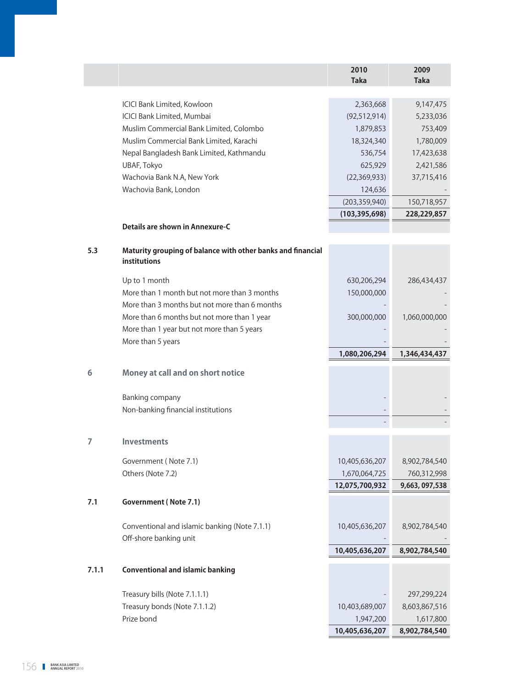|       |                                                                             | 2010<br><b>Taka</b> | 2009<br><b>Taka</b> |
|-------|-----------------------------------------------------------------------------|---------------------|---------------------|
|       |                                                                             |                     |                     |
|       | <b>ICICI Bank Limited, Kowloon</b>                                          | 2,363,668           | 9,147,475           |
|       | <b>ICICI Bank Limited, Mumbai</b>                                           | (92, 512, 914)      | 5,233,036           |
|       | Muslim Commercial Bank Limited, Colombo                                     | 1,879,853           | 753,409             |
|       | Muslim Commercial Bank Limited, Karachi                                     | 18,324,340          | 1,780,009           |
|       | Nepal Bangladesh Bank Limited, Kathmandu                                    | 536,754             | 17,423,638          |
|       | UBAF, Tokyo                                                                 | 625,929             | 2,421,586           |
|       | Wachovia Bank N.A, New York                                                 | (22, 369, 933)      | 37,715,416          |
|       | Wachovia Bank, London                                                       | 124,636             |                     |
|       |                                                                             | (203, 359, 940)     | 150,718,957         |
|       |                                                                             | (103, 395, 698)     | 228,229,857         |
|       | Details are shown in Annexure-C                                             |                     |                     |
| 5.3   | Maturity grouping of balance with other banks and financial<br>institutions |                     |                     |
|       | Up to 1 month                                                               | 630,206,294         | 286,434,437         |
|       | More than 1 month but not more than 3 months                                | 150,000,000         |                     |
|       | More than 3 months but not more than 6 months                               |                     |                     |
|       | More than 6 months but not more than 1 year                                 | 300,000,000         | 1,060,000,000       |
|       | More than 1 year but not more than 5 years                                  |                     |                     |
|       | More than 5 years                                                           |                     |                     |
|       |                                                                             | 1,080,206,294       | 1,346,434,437       |
| 6     | Money at call and on short notice                                           |                     |                     |
|       |                                                                             |                     |                     |
|       | Banking company                                                             |                     |                     |
|       | Non-banking financial institutions                                          |                     |                     |
|       |                                                                             |                     |                     |
| 7     | <b>Investments</b>                                                          |                     |                     |
|       |                                                                             |                     |                     |
|       | Government (Note 7.1)                                                       | 10,405,636,207      | 8,902,784,540       |
|       | Others (Note 7.2)                                                           | 1,670,064,725       | 760,312,998         |
|       |                                                                             | 12,075,700,932      | 9,663, 097, 538     |
| 7.1   | <b>Government (Note 7.1)</b>                                                |                     |                     |
|       | Conventional and islamic banking (Note 7.1.1)                               | 10,405,636,207      | 8,902,784,540       |
|       | Off-shore banking unit                                                      |                     |                     |
|       |                                                                             | 10,405,636,207      | 8,902,784,540       |
| 7.1.1 | <b>Conventional and islamic banking</b>                                     |                     |                     |
|       | Treasury bills (Note 7.1.1.1)                                               |                     | 297,299,224         |
|       | Treasury bonds (Note 7.1.1.2)                                               | 10,403,689,007      | 8,603,867,516       |
|       | Prize bond                                                                  | 1,947,200           | 1,617,800           |
|       |                                                                             | 10,405,636,207      | 8,902,784,540       |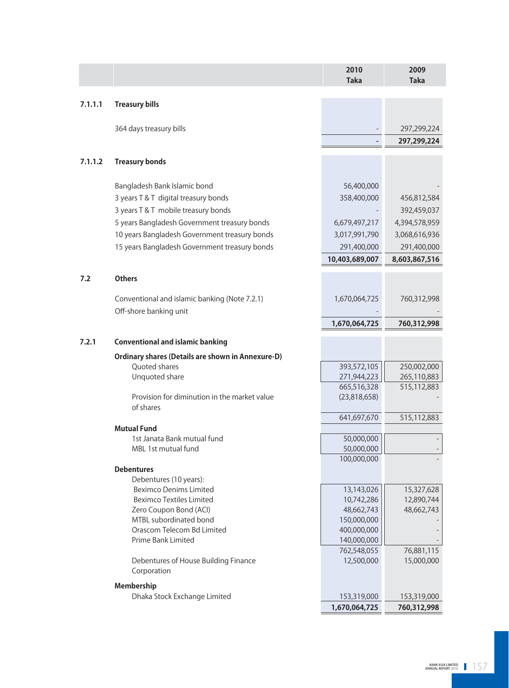| 7.1.1.1<br><b>Treasury bills</b><br>364 days treasury bills<br>297,299,224<br>297,299,224<br>7.1.1.2<br><b>Treasury bonds</b><br>Bangladesh Bank Islamic bond<br>56,400,000<br>3 years T & T digital treasury bonds<br>358,400,000<br>456,812,584<br>3 years T & T mobile treasury bonds<br>392,459,037<br>5 years Bangladesh Government treasury bonds<br>6,679,497,217<br>4,394,578,959<br>10 years Bangladesh Government treasury bonds<br>3,017,991,790<br>3,068,616,936<br>15 years Bangladesh Government treasury bonds<br>291,400,000<br>291,400,000<br>10,403,689,007<br>8,603,867,516<br><b>Others</b><br>7.2<br>Conventional and islamic banking (Note 7.2.1)<br>1,670,064,725<br>760,312,998<br>Off-shore banking unit<br>760,312,998<br>1,670,064,725<br><b>Conventional and islamic banking</b><br>7.2.1<br><b>Ordinary shares (Details are shown in Annexure-D)</b><br>Quoted shares<br>393,572,105<br>250,002,000<br>Unquoted share<br>265,110,883<br>271,944,223<br>665,516,328<br>515,112,883<br>Provision for diminution in the market value<br>(23,818,658)<br>of shares<br>641,697,670<br>515,112,883<br><b>Mutual Fund</b><br>1st Janata Bank mutual fund<br>50,000,000<br>MBL 1st mutual fund<br>50,000,000<br>100,000,000<br><b>Debentures</b><br>Debentures (10 years): |                               | 2010<br><b>Taka</b> | 2009<br><b>Taka</b> |
|-------------------------------------------------------------------------------------------------------------------------------------------------------------------------------------------------------------------------------------------------------------------------------------------------------------------------------------------------------------------------------------------------------------------------------------------------------------------------------------------------------------------------------------------------------------------------------------------------------------------------------------------------------------------------------------------------------------------------------------------------------------------------------------------------------------------------------------------------------------------------------------------------------------------------------------------------------------------------------------------------------------------------------------------------------------------------------------------------------------------------------------------------------------------------------------------------------------------------------------------------------------------------------------------------|-------------------------------|---------------------|---------------------|
|                                                                                                                                                                                                                                                                                                                                                                                                                                                                                                                                                                                                                                                                                                                                                                                                                                                                                                                                                                                                                                                                                                                                                                                                                                                                                                 |                               |                     |                     |
|                                                                                                                                                                                                                                                                                                                                                                                                                                                                                                                                                                                                                                                                                                                                                                                                                                                                                                                                                                                                                                                                                                                                                                                                                                                                                                 |                               |                     |                     |
|                                                                                                                                                                                                                                                                                                                                                                                                                                                                                                                                                                                                                                                                                                                                                                                                                                                                                                                                                                                                                                                                                                                                                                                                                                                                                                 |                               |                     |                     |
|                                                                                                                                                                                                                                                                                                                                                                                                                                                                                                                                                                                                                                                                                                                                                                                                                                                                                                                                                                                                                                                                                                                                                                                                                                                                                                 |                               |                     |                     |
|                                                                                                                                                                                                                                                                                                                                                                                                                                                                                                                                                                                                                                                                                                                                                                                                                                                                                                                                                                                                                                                                                                                                                                                                                                                                                                 |                               |                     |                     |
|                                                                                                                                                                                                                                                                                                                                                                                                                                                                                                                                                                                                                                                                                                                                                                                                                                                                                                                                                                                                                                                                                                                                                                                                                                                                                                 |                               |                     |                     |
|                                                                                                                                                                                                                                                                                                                                                                                                                                                                                                                                                                                                                                                                                                                                                                                                                                                                                                                                                                                                                                                                                                                                                                                                                                                                                                 |                               |                     |                     |
|                                                                                                                                                                                                                                                                                                                                                                                                                                                                                                                                                                                                                                                                                                                                                                                                                                                                                                                                                                                                                                                                                                                                                                                                                                                                                                 |                               |                     |                     |
|                                                                                                                                                                                                                                                                                                                                                                                                                                                                                                                                                                                                                                                                                                                                                                                                                                                                                                                                                                                                                                                                                                                                                                                                                                                                                                 |                               |                     |                     |
|                                                                                                                                                                                                                                                                                                                                                                                                                                                                                                                                                                                                                                                                                                                                                                                                                                                                                                                                                                                                                                                                                                                                                                                                                                                                                                 |                               |                     |                     |
|                                                                                                                                                                                                                                                                                                                                                                                                                                                                                                                                                                                                                                                                                                                                                                                                                                                                                                                                                                                                                                                                                                                                                                                                                                                                                                 |                               |                     |                     |
|                                                                                                                                                                                                                                                                                                                                                                                                                                                                                                                                                                                                                                                                                                                                                                                                                                                                                                                                                                                                                                                                                                                                                                                                                                                                                                 |                               |                     |                     |
|                                                                                                                                                                                                                                                                                                                                                                                                                                                                                                                                                                                                                                                                                                                                                                                                                                                                                                                                                                                                                                                                                                                                                                                                                                                                                                 |                               |                     |                     |
|                                                                                                                                                                                                                                                                                                                                                                                                                                                                                                                                                                                                                                                                                                                                                                                                                                                                                                                                                                                                                                                                                                                                                                                                                                                                                                 |                               |                     |                     |
|                                                                                                                                                                                                                                                                                                                                                                                                                                                                                                                                                                                                                                                                                                                                                                                                                                                                                                                                                                                                                                                                                                                                                                                                                                                                                                 |                               |                     |                     |
|                                                                                                                                                                                                                                                                                                                                                                                                                                                                                                                                                                                                                                                                                                                                                                                                                                                                                                                                                                                                                                                                                                                                                                                                                                                                                                 |                               |                     |                     |
|                                                                                                                                                                                                                                                                                                                                                                                                                                                                                                                                                                                                                                                                                                                                                                                                                                                                                                                                                                                                                                                                                                                                                                                                                                                                                                 |                               |                     |                     |
|                                                                                                                                                                                                                                                                                                                                                                                                                                                                                                                                                                                                                                                                                                                                                                                                                                                                                                                                                                                                                                                                                                                                                                                                                                                                                                 |                               |                     |                     |
|                                                                                                                                                                                                                                                                                                                                                                                                                                                                                                                                                                                                                                                                                                                                                                                                                                                                                                                                                                                                                                                                                                                                                                                                                                                                                                 |                               |                     |                     |
|                                                                                                                                                                                                                                                                                                                                                                                                                                                                                                                                                                                                                                                                                                                                                                                                                                                                                                                                                                                                                                                                                                                                                                                                                                                                                                 |                               |                     |                     |
|                                                                                                                                                                                                                                                                                                                                                                                                                                                                                                                                                                                                                                                                                                                                                                                                                                                                                                                                                                                                                                                                                                                                                                                                                                                                                                 |                               |                     |                     |
|                                                                                                                                                                                                                                                                                                                                                                                                                                                                                                                                                                                                                                                                                                                                                                                                                                                                                                                                                                                                                                                                                                                                                                                                                                                                                                 |                               |                     |                     |
|                                                                                                                                                                                                                                                                                                                                                                                                                                                                                                                                                                                                                                                                                                                                                                                                                                                                                                                                                                                                                                                                                                                                                                                                                                                                                                 |                               |                     |                     |
|                                                                                                                                                                                                                                                                                                                                                                                                                                                                                                                                                                                                                                                                                                                                                                                                                                                                                                                                                                                                                                                                                                                                                                                                                                                                                                 |                               |                     |                     |
|                                                                                                                                                                                                                                                                                                                                                                                                                                                                                                                                                                                                                                                                                                                                                                                                                                                                                                                                                                                                                                                                                                                                                                                                                                                                                                 |                               |                     |                     |
|                                                                                                                                                                                                                                                                                                                                                                                                                                                                                                                                                                                                                                                                                                                                                                                                                                                                                                                                                                                                                                                                                                                                                                                                                                                                                                 |                               |                     |                     |
|                                                                                                                                                                                                                                                                                                                                                                                                                                                                                                                                                                                                                                                                                                                                                                                                                                                                                                                                                                                                                                                                                                                                                                                                                                                                                                 |                               |                     |                     |
|                                                                                                                                                                                                                                                                                                                                                                                                                                                                                                                                                                                                                                                                                                                                                                                                                                                                                                                                                                                                                                                                                                                                                                                                                                                                                                 |                               |                     |                     |
|                                                                                                                                                                                                                                                                                                                                                                                                                                                                                                                                                                                                                                                                                                                                                                                                                                                                                                                                                                                                                                                                                                                                                                                                                                                                                                 |                               |                     |                     |
|                                                                                                                                                                                                                                                                                                                                                                                                                                                                                                                                                                                                                                                                                                                                                                                                                                                                                                                                                                                                                                                                                                                                                                                                                                                                                                 | <b>Beximco Denims Limited</b> | 13,143,026          | 15,327,628          |
| <b>Beximco Textiles Limited</b><br>10,742,286<br>12,890,744                                                                                                                                                                                                                                                                                                                                                                                                                                                                                                                                                                                                                                                                                                                                                                                                                                                                                                                                                                                                                                                                                                                                                                                                                                     |                               |                     |                     |
| 48,662,743<br>48,662,743<br>Zero Coupon Bond (ACI)                                                                                                                                                                                                                                                                                                                                                                                                                                                                                                                                                                                                                                                                                                                                                                                                                                                                                                                                                                                                                                                                                                                                                                                                                                              |                               |                     |                     |
| MTBL subordinated bond<br>150,000,000<br>Orascom Telecom Bd Limited<br>400,000,000                                                                                                                                                                                                                                                                                                                                                                                                                                                                                                                                                                                                                                                                                                                                                                                                                                                                                                                                                                                                                                                                                                                                                                                                              |                               |                     |                     |
| Prime Bank Limited<br>140,000,000                                                                                                                                                                                                                                                                                                                                                                                                                                                                                                                                                                                                                                                                                                                                                                                                                                                                                                                                                                                                                                                                                                                                                                                                                                                               |                               |                     |                     |
| 76,881,115<br>762,548,055                                                                                                                                                                                                                                                                                                                                                                                                                                                                                                                                                                                                                                                                                                                                                                                                                                                                                                                                                                                                                                                                                                                                                                                                                                                                       |                               |                     |                     |
| 12,500,000<br>15,000,000<br>Debentures of House Building Finance                                                                                                                                                                                                                                                                                                                                                                                                                                                                                                                                                                                                                                                                                                                                                                                                                                                                                                                                                                                                                                                                                                                                                                                                                                |                               |                     |                     |
| Corporation                                                                                                                                                                                                                                                                                                                                                                                                                                                                                                                                                                                                                                                                                                                                                                                                                                                                                                                                                                                                                                                                                                                                                                                                                                                                                     |                               |                     |                     |
| Membership<br>Dhaka Stock Exchange Limited                                                                                                                                                                                                                                                                                                                                                                                                                                                                                                                                                                                                                                                                                                                                                                                                                                                                                                                                                                                                                                                                                                                                                                                                                                                      |                               |                     |                     |
| 153,319,000<br>153,319,000<br>1,670,064,725<br>760,312,998                                                                                                                                                                                                                                                                                                                                                                                                                                                                                                                                                                                                                                                                                                                                                                                                                                                                                                                                                                                                                                                                                                                                                                                                                                      |                               |                     |                     |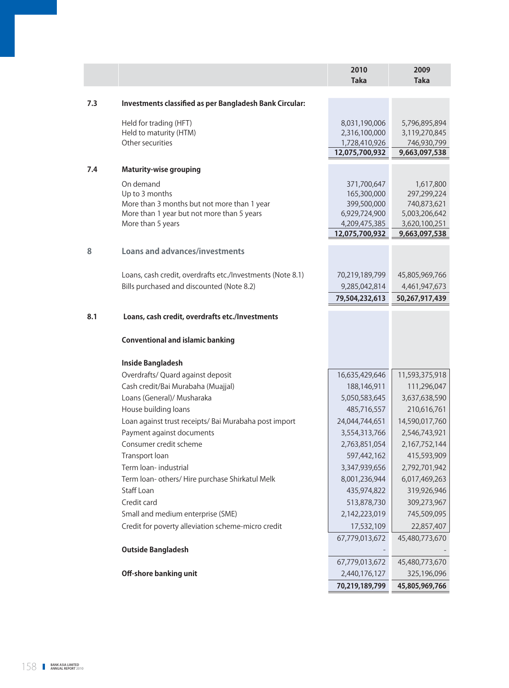|     |                                                               | 2010<br><b>Taka</b>             | 2009<br><b>Taka</b>            |
|-----|---------------------------------------------------------------|---------------------------------|--------------------------------|
|     |                                                               |                                 |                                |
| 7.3 | Investments classified as per Bangladesh Bank Circular:       |                                 |                                |
|     | Held for trading (HFT)                                        | 8,031,190,006                   | 5,796,895,894                  |
|     | Held to maturity (HTM)<br>Other securities                    | 2,316,100,000<br>1,728,410,926  | 3,119,270,845<br>746,930,799   |
|     |                                                               | 12,075,700,932                  | 9,663,097,538                  |
| 7.4 | <b>Maturity-wise grouping</b>                                 |                                 |                                |
|     |                                                               |                                 |                                |
|     | On demand<br>Up to 3 months                                   | 371,700,647<br>165,300,000      | 1,617,800<br>297,299,224       |
|     | More than 3 months but not more than 1 year                   | 399,500,000                     | 740,873,621                    |
|     | More than 1 year but not more than 5 years                    | 6,929,724,900                   | 5,003,206,642                  |
|     | More than 5 years                                             | 4,209,475,385<br>12,075,700,932 | 3,620,100,251<br>9,663,097,538 |
|     |                                                               |                                 |                                |
| 8   | <b>Loans and advances/investments</b>                         |                                 |                                |
|     | Loans, cash credit, overdrafts etc./Investments (Note 8.1)    | 70,219,189,799                  | 45,805,969,766                 |
|     | Bills purchased and discounted (Note 8.2)                     | 9,285,042,814                   | 4,461,947,673                  |
|     |                                                               | 79,504,232,613                  | 50,267,917,439                 |
| 8.1 | Loans, cash credit, overdrafts etc./Investments               |                                 |                                |
|     | <b>Conventional and islamic banking</b>                       |                                 |                                |
|     | <b>Inside Bangladesh</b>                                      |                                 |                                |
|     | Overdrafts/ Quard against deposit                             | 16,635,429,646                  | 11,593,375,918                 |
|     | Cash credit/Bai Murabaha (Muajjal)                            | 188,146,911                     | 111,296,047                    |
|     | Loans (General)/ Musharaka                                    | 5,050,583,645                   | 3,637,638,590                  |
|     | House building loans                                          | 485,716,557                     | 210,616,761                    |
|     | Loan against trust receipts/ Bai Murabaha post import         | 24,044,744,651                  | 14,590,017,760                 |
|     | Payment against documents                                     | 3,554,313,766                   | 2,546,743,921                  |
|     | Consumer credit scheme                                        | 2,763,851,054                   | 2,167,752,144                  |
|     | Transport loan                                                | 597,442,162                     | 415,593,909                    |
|     | Term loan- industrial                                         | 3,347,939,656                   | 2,792,701,942                  |
|     | Term loan- others/ Hire purchase Shirkatul Melk<br>Staff Loan | 8,001,236,944<br>435,974,822    | 6,017,469,263<br>319,926,946   |
|     | Credit card                                                   | 513,878,730                     | 309,273,967                    |
|     | Small and medium enterprise (SME)                             | 2,142,223,019                   | 745,509,095                    |
|     | Credit for poverty alleviation scheme-micro credit            | 17,532,109                      | 22,857,407                     |
|     |                                                               | 67,779,013,672                  | 45,480,773,670                 |
|     | <b>Outside Bangladesh</b>                                     |                                 |                                |
|     |                                                               | 67,779,013,672                  | 45,480,773,670                 |
|     | Off-shore banking unit                                        | 2,440,176,127                   | 325,196,096                    |
|     |                                                               | 70,219,189,799                  | 45,805,969,766                 |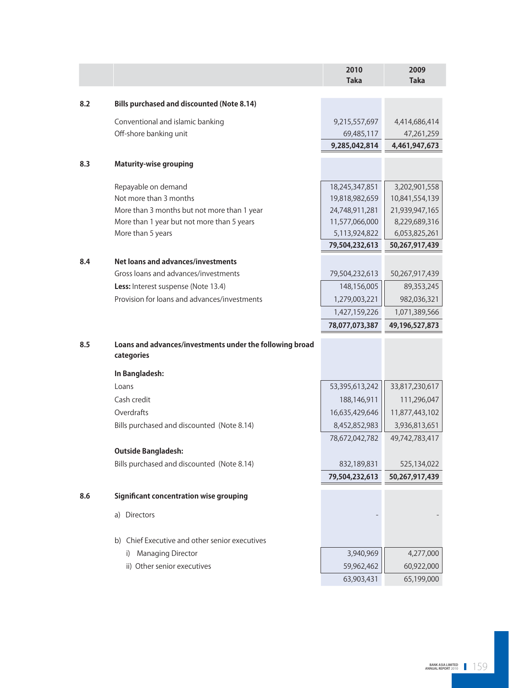|     |                                                                        | 2010<br><b>Taka</b>           | 2009<br><b>Taka</b>           |
|-----|------------------------------------------------------------------------|-------------------------------|-------------------------------|
|     |                                                                        |                               |                               |
| 8.2 | <b>Bills purchased and discounted (Note 8.14)</b>                      |                               |                               |
|     | Conventional and islamic banking                                       | 9,215,557,697                 | 4,414,686,414                 |
|     | Off-shore banking unit                                                 | 69,485,117                    | 47,261,259                    |
|     |                                                                        | 9,285,042,814                 | 4,461,947,673                 |
| 8.3 | <b>Maturity-wise grouping</b>                                          |                               |                               |
|     | Repayable on demand                                                    | 18,245,347,851                | 3,202,901,558                 |
|     | Not more than 3 months                                                 | 19,818,982,659                | 10,841,554,139                |
|     | More than 3 months but not more than 1 year                            | 24,748,911,281                | 21,939,947,165                |
|     | More than 1 year but not more than 5 years                             | 11,577,066,000                | 8,229,689,316                 |
|     | More than 5 years                                                      | 5,113,924,822                 | 6,053,825,261                 |
|     |                                                                        | 79,504,232,613                | 50,267,917,439                |
| 8.4 | Net loans and advances/investments                                     |                               |                               |
|     | Gross loans and advances/investments                                   | 79,504,232,613                | 50,267,917,439                |
|     | Less: Interest suspense (Note 13.4)                                    | 148,156,005                   | 89,353,245                    |
|     | Provision for loans and advances/investments                           | 1,279,003,221                 | 982,036,321                   |
|     |                                                                        | 1,427,159,226                 | 1,071,389,566                 |
|     |                                                                        | 78,077,073,387                | 49,196,527,873                |
| 8.5 | Loans and advances/investments under the following broad<br>categories |                               |                               |
|     | In Bangladesh:                                                         |                               |                               |
|     | Loans                                                                  | 53,395,613,242                | 33,817,230,617                |
|     | Cash credit                                                            | 188,146,911                   | 111,296,047                   |
|     | Overdrafts                                                             | 16,635,429,646                | 11,877,443,102                |
|     | Bills purchased and discounted (Note 8.14)                             | 8,452,852,983                 | 3,936,813,651                 |
|     |                                                                        | 78,672,042,782                | 49,742,783,417                |
|     | <b>Outside Bangladesh:</b>                                             |                               |                               |
|     | Bills purchased and discounted (Note 8.14)                             | 832,189,831<br>79,504,232,613 | 525,134,022<br>50,267,917,439 |
|     |                                                                        |                               |                               |
| 8.6 | <b>Significant concentration wise grouping</b>                         |                               |                               |
|     | a) Directors                                                           |                               |                               |
|     | b) Chief Executive and other senior executives                         |                               |                               |
|     | <b>Managing Director</b><br>i)                                         | 3,940,969                     | 4,277,000                     |
|     | ii) Other senior executives                                            | 59,962,462                    | 60,922,000                    |
|     |                                                                        | 63,903,431                    | 65,199,000                    |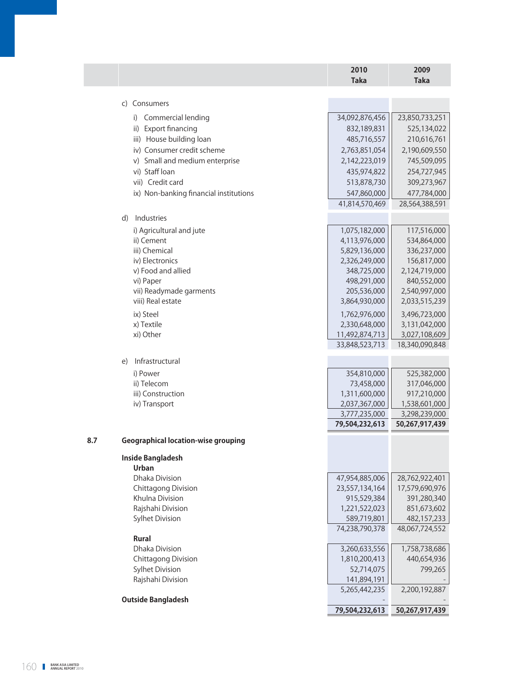|     |                                             | 2010<br><b>Taka</b>             | 2009<br><b>Taka</b>             |
|-----|---------------------------------------------|---------------------------------|---------------------------------|
|     |                                             |                                 |                                 |
|     | Consumers<br>C)                             |                                 |                                 |
|     | Commercial lending<br>i)                    | 34,092,876,456                  | 23,850,733,251                  |
|     | Export financing<br>ii)                     | 832,189,831                     | 525,134,022                     |
|     | iii) House building loan                    | 485,716,557                     | 210,616,761                     |
|     | iv) Consumer credit scheme                  | 2,763,851,054                   | 2,190,609,550                   |
|     | v) Small and medium enterprise              | 2,142,223,019                   | 745,509,095                     |
|     | vi) Staff loan                              | 435,974,822                     | 254,727,945                     |
|     | vii) Credit card                            | 513,878,730                     | 309,273,967                     |
|     | ix) Non-banking financial institutions      | 547,860,000                     | 477,784,000                     |
|     |                                             | 41,814,570,469                  | 28,564,388,591                  |
|     | Industries<br>$\mathsf{d}$                  |                                 |                                 |
|     | i) Agricultural and jute                    | 1,075,182,000                   | 117,516,000                     |
|     | ii) Cement                                  | 4,113,976,000                   | 534,864,000                     |
|     | iii) Chemical<br>iv) Electronics            | 5,829,136,000<br>2,326,249,000  | 336,237,000<br>156,817,000      |
|     | v) Food and allied                          | 348,725,000                     | 2,124,719,000                   |
|     | vi) Paper                                   | 498,291,000                     | 840,552,000                     |
|     | vii) Readymade garments                     | 205,536,000                     | 2,540,997,000                   |
|     | viii) Real estate                           | 3,864,930,000                   | 2,033,515,239                   |
|     | ix) Steel                                   | 1,762,976,000                   | 3,496,723,000                   |
|     | x) Textile                                  | 2,330,648,000                   | 3,131,042,000                   |
|     | xi) Other                                   | 11,492,874,713                  | 3,027,108,609                   |
|     |                                             | 33,848,523,713                  | 18,340,090,848                  |
|     | Infrastructural<br>$\epsilon$               |                                 |                                 |
|     | i) Power                                    | 354,810,000                     | 525,382,000                     |
|     | ii) Telecom                                 | 73,458,000                      | 317,046,000                     |
|     | iii) Construction                           | 1,311,600,000                   | 917,210,000                     |
|     | iv) Transport                               | 2,037,367,000                   | 1,538,601,000                   |
|     |                                             | 3,777,235,000<br>79,504,232,613 | 3,298,239,000<br>50,267,917,439 |
|     |                                             |                                 |                                 |
| 8.7 | <b>Geographical location-wise grouping</b>  |                                 |                                 |
|     | <b>Inside Bangladesh</b>                    |                                 |                                 |
|     | <b>Urban</b>                                |                                 |                                 |
|     | Dhaka Division                              | 47,954,885,006                  | 28,762,922,401                  |
|     | Chittagong Division<br>Khulna Division      | 23,557,134,164<br>915,529,384   | 17,579,690,976<br>391,280,340   |
|     | Rajshahi Division                           | 1,221,522,023                   | 851,673,602                     |
|     | <b>Sylhet Division</b>                      | 589,719,801                     | 482,157,233                     |
|     |                                             | 74,238,790,378                  | 48,067,724,552                  |
|     | <b>Rural</b>                                |                                 |                                 |
|     | Dhaka Division                              | 3,260,633,556                   | 1,758,738,686                   |
|     | Chittagong Division                         | 1,810,200,413                   | 440,654,936                     |
|     | <b>Sylhet Division</b><br>Rajshahi Division | 52,714,075<br>141,894,191       | 799,265                         |
|     |                                             | 5,265,442,235                   | 2,200,192,887                   |
|     | <b>Outside Bangladesh</b>                   |                                 |                                 |
|     |                                             | 79,504,232,613                  | 50,267,917,439                  |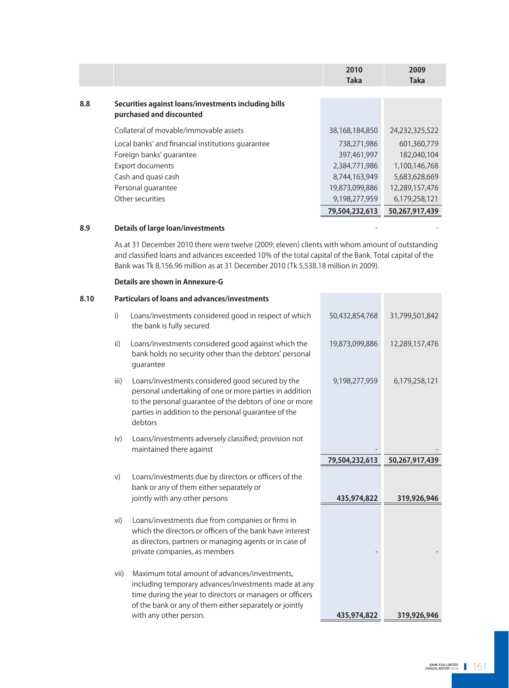|     |                                                                                  | 2010<br><b>Taka</b> | 2009<br>Taka   |
|-----|----------------------------------------------------------------------------------|---------------------|----------------|
|     |                                                                                  |                     |                |
| 8.8 | Securities against loans/investments including bills<br>purchased and discounted |                     |                |
|     | Collateral of movable/immovable assets                                           | 38,168,184,850      | 24,232,325,522 |
|     | Local banks' and financial institutions quarantee                                | 738,271,986         | 601,360,779    |
|     | Foreign banks' guarantee                                                         | 397,461,997         | 182,040,104    |
|     | Export documents                                                                 | 2,384,771,986       | 1,100,146,768  |
|     | Cash and quasi cash                                                              | 8,744,163,949       | 5,683,628,669  |
|     | Personal guarantee                                                               | 19,873,099,886      | 12,289,157,476 |
|     | Other securities                                                                 | 9,198,277,959       | 6,179,258,121  |
|     |                                                                                  | 79,504,232,613      | 50,267,917,439 |

# **8.9 Details of large loan/investments** - -

As at 31 December 2010 there were twelve (2009: eleven) clients with whom amount of outstanding and classified loans and advances exceeded 10% of the total capital of the Bank. Total capital of the Bank was Tk 8,156.96 million as at 31 December 2010 (Tk 5,538.18 million in 2009).

#### **Details are shown in Annexure-G**

# **8.10 Particulars of loans and advances/investments**

| i)   | Loans/investments considered good in respect of which<br>the bank is fully secured                                                                                                                                                                      | 50,432,854,768 | 31,799,501,842 |
|------|---------------------------------------------------------------------------------------------------------------------------------------------------------------------------------------------------------------------------------------------------------|----------------|----------------|
| ii)  | Loans/investments considered good against which the<br>bank holds no security other than the debtors' personal<br>quarantee                                                                                                                             | 19,873,099,886 | 12,289,157,476 |
| iii) | Loans/investments considered good secured by the<br>personal undertaking of one or more parties in addition<br>to the personal quarantee of the debtors of one or more<br>parties in addition to the personal guarantee of the<br>debtors               | 9,198,277,959  | 6,179,258,121  |
| iv)  | Loans/investments adversely classified; provision not<br>maintained there against                                                                                                                                                                       |                |                |
|      |                                                                                                                                                                                                                                                         | 79,504,232,613 | 50,267,917,439 |
| V)   | Loans/investments due by directors or officers of the<br>bank or any of them either separately or                                                                                                                                                       |                |                |
|      | jointly with any other persons                                                                                                                                                                                                                          | 435,974,822    | 319,926,946    |
| vi)  | Loans/investments due from companies or firms in<br>which the directors or officers of the bank have interest<br>as directors, partners or managing agents or in case of<br>private companies, as members                                               |                |                |
| vii) | Maximum total amount of advances/investments,<br>including temporary advances/investments made at any<br>time during the year to directors or managers or officers<br>of the bank or any of them either separately or jointly<br>with any other person. | 435,974,822    | 319,926,946    |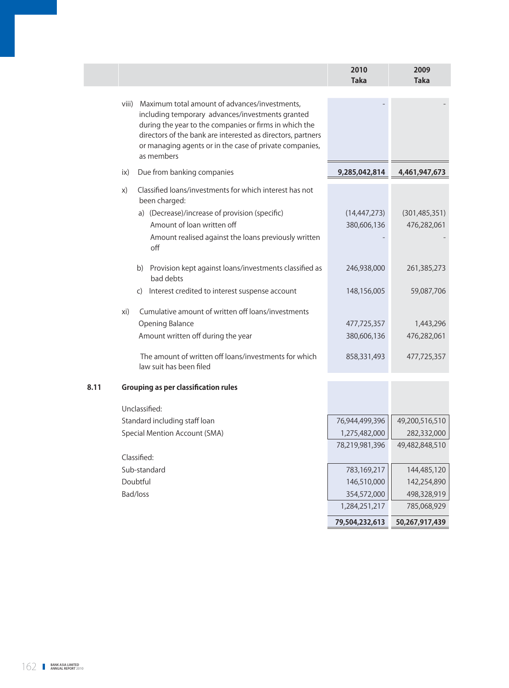|      |                                                              |                                                                                                                                                                                                                                                                                                                                                                                                                                                                          | 2010<br><b>Taka</b>                                                                       | 2009<br><b>Taka</b>                                                                     |
|------|--------------------------------------------------------------|--------------------------------------------------------------------------------------------------------------------------------------------------------------------------------------------------------------------------------------------------------------------------------------------------------------------------------------------------------------------------------------------------------------------------------------------------------------------------|-------------------------------------------------------------------------------------------|-----------------------------------------------------------------------------------------|
|      | viii)                                                        | Maximum total amount of advances/investments,<br>including temporary advances/investments granted<br>during the year to the companies or firms in which the<br>directors of the bank are interested as directors, partners<br>or managing agents or in the case of private companies,<br>as members                                                                                                                                                                      |                                                                                           |                                                                                         |
|      | $i\mathsf{x}$                                                | Due from banking companies                                                                                                                                                                                                                                                                                                                                                                                                                                               | 9,285,042,814                                                                             | 4,461,947,673                                                                           |
|      | X)<br>xi)                                                    | Classified loans/investments for which interest has not<br>been charged:<br>a) (Decrease)/increase of provision (specific)<br>Amount of loan written off<br>Amount realised against the loans previously written<br>off<br>b) Provision kept against loans/investments classified as<br>bad debts<br>Interest credited to interest suspense account<br>C)<br>Cumulative amount of written off loans/investments<br>Opening Balance<br>Amount written off during the year | (14, 447, 273)<br>380,606,136<br>246,938,000<br>148,156,005<br>477,725,357<br>380,606,136 | (301, 485, 351)<br>476,282,061<br>261,385,273<br>59,087,706<br>1,443,296<br>476,282,061 |
|      |                                                              | The amount of written off loans/investments for which<br>law suit has been filed                                                                                                                                                                                                                                                                                                                                                                                         | 858,331,493                                                                               | 477,725,357                                                                             |
| 8.11 | <b>Grouping as per classification rules</b><br>Unclassified: |                                                                                                                                                                                                                                                                                                                                                                                                                                                                          |                                                                                           |                                                                                         |
|      |                                                              | Standard including staff loan                                                                                                                                                                                                                                                                                                                                                                                                                                            | 76,944,499,396                                                                            | 49,200,516,510                                                                          |
|      |                                                              | Special Mention Account (SMA)                                                                                                                                                                                                                                                                                                                                                                                                                                            | 1,275,482,000                                                                             | 282,332,000                                                                             |
|      |                                                              | Classified:                                                                                                                                                                                                                                                                                                                                                                                                                                                              | 78,219,981,396                                                                            | 49,482,848,510                                                                          |
|      |                                                              | Sub-standard                                                                                                                                                                                                                                                                                                                                                                                                                                                             | 783,169,217                                                                               | 144,485,120                                                                             |
|      |                                                              | Doubtful                                                                                                                                                                                                                                                                                                                                                                                                                                                                 | 146,510,000                                                                               | 142,254,890                                                                             |
|      |                                                              | Bad/loss                                                                                                                                                                                                                                                                                                                                                                                                                                                                 | 354,572,000                                                                               | 498,328,919                                                                             |
|      |                                                              |                                                                                                                                                                                                                                                                                                                                                                                                                                                                          | 1,284,251,217                                                                             | 785,068,929                                                                             |
|      |                                                              |                                                                                                                                                                                                                                                                                                                                                                                                                                                                          | 79,504,232,613                                                                            | 50,267,917,439                                                                          |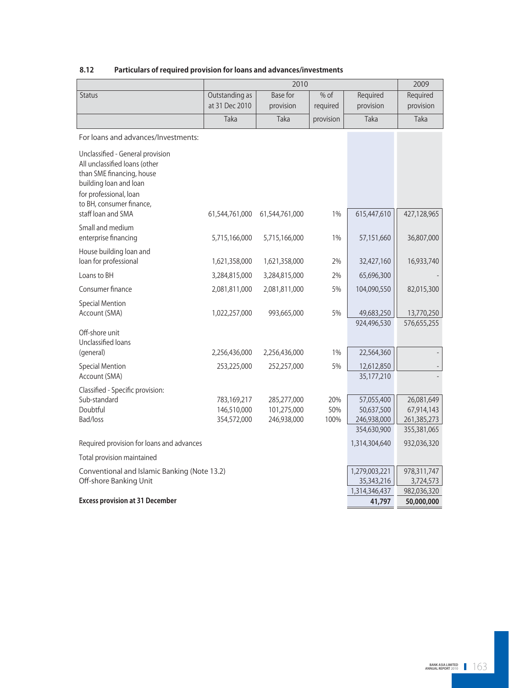|                                                                                                                                                                                                      | 2010           |                 |           |                           | 2009                       |
|------------------------------------------------------------------------------------------------------------------------------------------------------------------------------------------------------|----------------|-----------------|-----------|---------------------------|----------------------------|
| <b>Status</b>                                                                                                                                                                                        | Outstanding as | <b>Base for</b> | $%$ of    | Required                  | Required                   |
|                                                                                                                                                                                                      | at 31 Dec 2010 | provision       | required  | provision                 | provision                  |
|                                                                                                                                                                                                      | Taka           | Taka            | provision | Taka                      | Taka                       |
| For loans and advances/Investments:                                                                                                                                                                  |                |                 |           |                           |                            |
| Unclassified - General provision<br>All unclassified loans (other<br>than SME financing, house<br>building loan and loan<br>for professional, loan<br>to BH, consumer finance,<br>staff loan and SMA | 61,544,761,000 | 61,544,761,000  | 1%        | 615,447,610               | 427,128,965                |
| Small and medium                                                                                                                                                                                     |                |                 |           |                           |                            |
| enterprise financing                                                                                                                                                                                 | 5,715,166,000  | 5,715,166,000   | 1%        | 57,151,660                | 36,807,000                 |
| House building loan and<br>loan for professional                                                                                                                                                     |                |                 |           |                           |                            |
|                                                                                                                                                                                                      | 1,621,358,000  | 1,621,358,000   | 2%        | 32,427,160                | 16,933,740                 |
| Loans to BH                                                                                                                                                                                          | 3,284,815,000  | 3,284,815,000   | 2%        | 65,696,300                |                            |
| Consumer finance                                                                                                                                                                                     | 2,081,811,000  | 2,081,811,000   | 5%        | 104,090,550               | 82,015,300                 |
| <b>Special Mention</b><br>Account (SMA)                                                                                                                                                              | 1,022,257,000  | 993,665,000     | 5%        | 49,683,250<br>924,496,530 | 13,770,250<br>576,655,255  |
| Off-shore unit<br>Unclassified loans                                                                                                                                                                 |                |                 |           |                           |                            |
| (general)                                                                                                                                                                                            | 2,256,436,000  | 2,256,436,000   | 1%        | 22,564,360                |                            |
| <b>Special Mention</b>                                                                                                                                                                               | 253,225,000    | 252,257,000     | 5%        | 12,612,850                |                            |
| Account (SMA)                                                                                                                                                                                        |                |                 |           | 35,177,210                |                            |
| Classified - Specific provision:                                                                                                                                                                     |                |                 |           |                           |                            |
| Sub-standard                                                                                                                                                                                         | 783,169,217    | 285,277,000     | 20%       | 57,055,400                | 26,081,649                 |
| Doubtful<br>Bad/loss                                                                                                                                                                                 | 146,510,000    | 101,275,000     | 50%       | 50,637,500<br>246,938,000 | 67,914,143                 |
|                                                                                                                                                                                                      | 354,572,000    | 246,938,000     | 100%      | 354,630,900               | 261,385,273<br>355,381,065 |
| Required provision for loans and advances                                                                                                                                                            |                |                 |           | 1,314,304,640             | 932,036,320                |
| Total provision maintained                                                                                                                                                                           |                |                 |           |                           |                            |
| Conventional and Islamic Banking (Note 13.2)                                                                                                                                                         |                |                 |           | 1,279,003,221             | 978,311,747                |
| Off-shore Banking Unit                                                                                                                                                                               |                |                 |           | 35, 343, 216              | 3,724,573                  |
|                                                                                                                                                                                                      |                |                 |           | 1,314,346,437             | 982,036,320                |
| <b>Excess provision at 31 December</b>                                                                                                                                                               |                |                 |           | 41,797                    | 50,000,000                 |

# **8.12 Particulars of required provision for loans and advances/investments**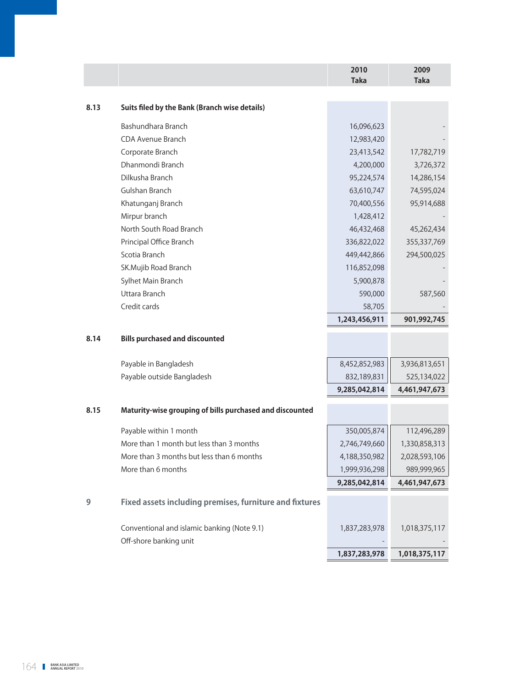|      |                                                                | 2010<br><b>Taka</b> | 2009<br><b>Taka</b> |
|------|----------------------------------------------------------------|---------------------|---------------------|
|      |                                                                |                     |                     |
| 8.13 | Suits filed by the Bank (Branch wise details)                  |                     |                     |
|      | Bashundhara Branch                                             | 16,096,623          |                     |
|      | <b>CDA Avenue Branch</b>                                       | 12,983,420          |                     |
|      | Corporate Branch                                               | 23,413,542          | 17,782,719          |
|      | Dhanmondi Branch                                               | 4,200,000           | 3,726,372           |
|      | Dilkusha Branch                                                | 95,224,574          | 14,286,154          |
|      | Gulshan Branch                                                 | 63,610,747          | 74,595,024          |
|      | Khatunganj Branch                                              | 70,400,556          | 95,914,688          |
|      | Mirpur branch                                                  | 1,428,412           |                     |
|      | North South Road Branch                                        | 46,432,468          | 45,262,434          |
|      | Principal Office Branch                                        | 336,822,022         | 355,337,769         |
|      | Scotia Branch                                                  | 449,442,866         | 294,500,025         |
|      | SK.Mujib Road Branch                                           | 116,852,098         |                     |
|      | Sylhet Main Branch                                             | 5,900,878           |                     |
|      | Uttara Branch                                                  | 590,000             | 587,560             |
|      | Credit cards                                                   | 58,705              |                     |
|      |                                                                | 1,243,456,911       | 901,992,745         |
| 8.14 | <b>Bills purchased and discounted</b>                          |                     |                     |
|      | Payable in Bangladesh                                          | 8,452,852,983       | 3,936,813,651       |
|      | Payable outside Bangladesh                                     | 832,189,831         | 525,134,022         |
|      |                                                                | 9,285,042,814       | 4,461,947,673       |
| 8.15 | Maturity-wise grouping of bills purchased and discounted       |                     |                     |
|      | Payable within 1 month                                         | 350,005,874         | 112,496,289         |
|      | More than 1 month but less than 3 months                       | 2,746,749,660       | 1,330,858,313       |
|      | More than 3 months but less than 6 months                      | 4,188,350,982       | 2,028,593,106       |
|      | More than 6 months                                             | 1,999,936,298       | 989,999,965         |
|      |                                                                | 9,285,042,814       | 4,461,947,673       |
| 9    | <b>Fixed assets including premises, furniture and fixtures</b> |                     |                     |
|      | Conventional and islamic banking (Note 9.1)                    | 1,837,283,978       | 1,018,375,117       |
|      | Off-shore banking unit                                         |                     |                     |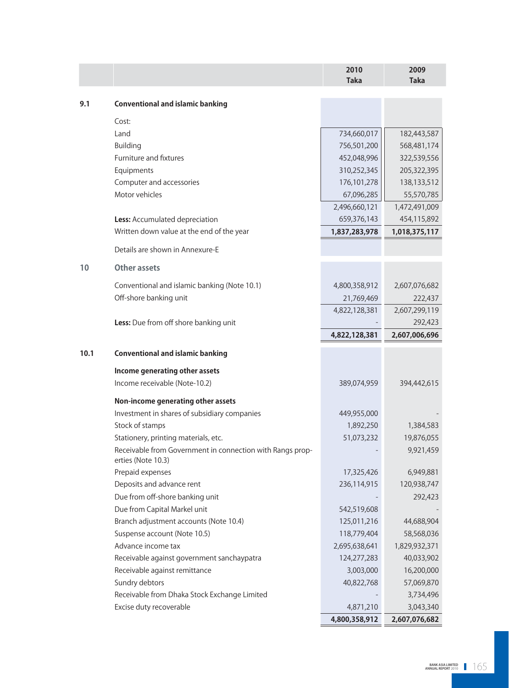|      |                                                                                 | 2010<br><b>Taka</b> | 2009<br><b>Taka</b> |
|------|---------------------------------------------------------------------------------|---------------------|---------------------|
|      |                                                                                 |                     |                     |
| 9.1  | <b>Conventional and islamic banking</b>                                         |                     |                     |
|      | Cost:                                                                           |                     |                     |
|      | Land                                                                            | 734,660,017         | 182,443,587         |
|      | <b>Building</b>                                                                 | 756,501,200         | 568,481,174         |
|      | Furniture and fixtures                                                          | 452,048,996         | 322,539,556         |
|      | Equipments                                                                      | 310,252,345         | 205,322,395         |
|      | Computer and accessories                                                        | 176, 101, 278       | 138,133,512         |
|      | Motor vehicles                                                                  | 67,096,285          | 55,570,785          |
|      |                                                                                 | 2,496,660,121       | 1,472,491,009       |
|      | Less: Accumulated depreciation                                                  | 659,376,143         | 454,115,892         |
|      | Written down value at the end of the year                                       | 1,837,283,978       | 1,018,375,117       |
|      | Details are shown in Annexure-E                                                 |                     |                     |
| 10   | <b>Other assets</b>                                                             |                     |                     |
|      | Conventional and islamic banking (Note 10.1)                                    | 4,800,358,912       | 2,607,076,682       |
|      | Off-shore banking unit                                                          | 21,769,469          | 222,437             |
|      |                                                                                 | 4,822,128,381       | 2,607,299,119       |
|      | Less: Due from off shore banking unit                                           |                     | 292,423             |
|      |                                                                                 | 4,822,128,381       | 2,607,006,696       |
| 10.1 | <b>Conventional and islamic banking</b>                                         |                     |                     |
|      | Income generating other assets                                                  |                     |                     |
|      | Income receivable (Note-10.2)                                                   | 389,074,959         | 394,442,615         |
|      | Non-income generating other assets                                              |                     |                     |
|      | Investment in shares of subsidiary companies                                    | 449,955,000         |                     |
|      | Stock of stamps                                                                 | 1,892,250           | 1,384,583           |
|      | Stationery, printing materials, etc.                                            | 51,073,232          | 19,876,055          |
|      | Receivable from Government in connection with Rangs prop-<br>erties (Note 10.3) |                     | 9,921,459           |
|      | Prepaid expenses                                                                | 17,325,426          | 6,949,881           |
|      | Deposits and advance rent                                                       | 236,114,915         | 120,938,747         |
|      | Due from off-shore banking unit                                                 |                     | 292,423             |
|      | Due from Capital Markel unit                                                    | 542,519,608         |                     |
|      | Branch adjustment accounts (Note 10.4)                                          | 125,011,216         | 44,688,904          |
|      | Suspense account (Note 10.5)                                                    | 118,779,404         | 58,568,036          |
|      | Advance income tax                                                              | 2,695,638,641       | 1,829,932,371       |
|      | Receivable against government sanchaypatra                                      | 124,277,283         | 40,033,902          |
|      | Receivable against remittance                                                   | 3,003,000           | 16,200,000          |
|      | Sundry debtors                                                                  | 40,822,768          | 57,069,870          |
|      | Receivable from Dhaka Stock Exchange Limited                                    |                     | 3,734,496           |
|      | Excise duty recoverable                                                         | 4,871,210           | 3,043,340           |
|      |                                                                                 | 4,800,358,912       | 2,607,076,682       |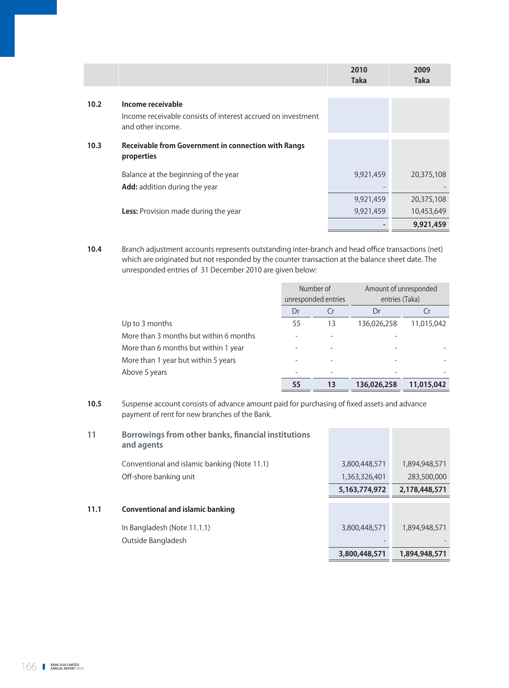|      |                                                                                                        | 2010<br><b>Taka</b> | 2009<br><b>Taka</b> |
|------|--------------------------------------------------------------------------------------------------------|---------------------|---------------------|
|      |                                                                                                        |                     |                     |
| 10.2 | Income receivable<br>Income receivable consists of interest accrued on investment<br>and other income. |                     |                     |
| 10.3 | <b>Receivable from Government in connection with Rangs</b><br>properties                               |                     |                     |
|      | Balance at the beginning of the year                                                                   | 9,921,459           | 20,375,108          |
|      | Add: addition during the year                                                                          |                     |                     |
|      |                                                                                                        | 9,921,459           | 20,375,108          |
|      | <b>Less:</b> Provision made during the year                                                            | 9,921,459           | 10,453,649          |
|      |                                                                                                        |                     | 9,921,459           |

10.4 Branch adjustment accounts represents outstanding inter-branch and head office transactions (net) which are originated but not responded by the counter transaction at the balance sheet date. The unresponded entries of 31 December 2010 are given below:

|                                        | Number of<br>unresponded entries |     | Amount of unresponded<br>entries (Taka) |            |
|----------------------------------------|----------------------------------|-----|-----------------------------------------|------------|
|                                        | Dr                               | Cr. | Dr                                      | Cr         |
| Up to 3 months                         | 55                               | 13  | 136,026,258                             | 11,015,042 |
| More than 3 months but within 6 months |                                  |     |                                         |            |
| More than 6 months but within 1 year   |                                  |     |                                         |            |
| More than 1 year but within 5 years    |                                  |     |                                         |            |
| Above 5 years                          |                                  |     |                                         |            |
|                                        | 55                               | 13  | 136,026,258                             | 11,015,042 |

10.5 Suspense account consists of advance amount paid for purchasing of fixed assets and advance payment of rent for new branches of the Bank.

| 11   | Borrowings from other banks, financial institutions<br>and agents |                  |               |
|------|-------------------------------------------------------------------|------------------|---------------|
|      | Conventional and islamic banking (Note 11.1)                      | 3,800,448,571    | 1,894,948,571 |
|      | Off-shore banking unit                                            | 1,363,326,401    | 283,500,000   |
|      |                                                                   | 5, 163, 774, 972 | 2,178,448,571 |
| 11.1 | <b>Conventional and islamic banking</b>                           |                  |               |
|      | In Bangladesh (Note 11.1.1)<br>Outside Bangladesh                 | 3,800,448,571    | 1,894,948,571 |
|      |                                                                   | 3,800,448,571    | 1,894,948,571 |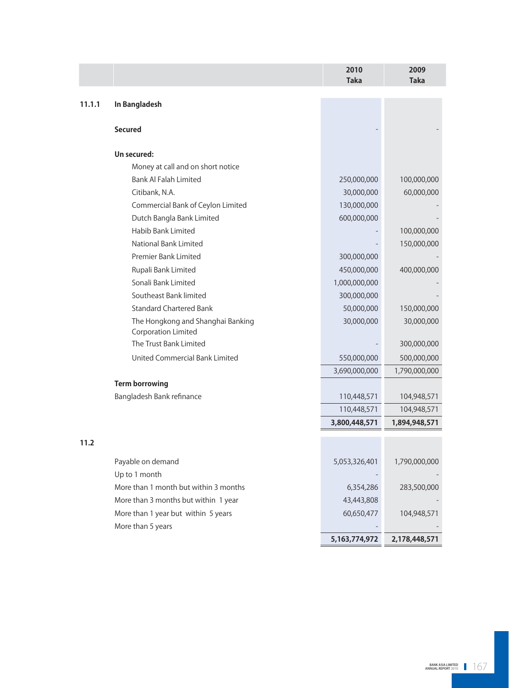|        |                                                                 | 2010<br><b>Taka</b> | 2009<br><b>Taka</b> |
|--------|-----------------------------------------------------------------|---------------------|---------------------|
| 11.1.1 | In Bangladesh                                                   |                     |                     |
|        |                                                                 |                     |                     |
|        | <b>Secured</b>                                                  |                     |                     |
|        | Un secured:                                                     |                     |                     |
|        | Money at call and on short notice                               |                     |                     |
|        | <b>Bank Al Falah Limited</b>                                    | 250,000,000         | 100,000,000         |
|        | Citibank, N.A.                                                  | 30,000,000          | 60,000,000          |
|        | Commercial Bank of Ceylon Limited                               | 130,000,000         |                     |
|        | Dutch Bangla Bank Limited                                       | 600,000,000         |                     |
|        | <b>Habib Bank Limited</b>                                       |                     | 100,000,000         |
|        | National Bank Limited                                           |                     | 150,000,000         |
|        | Premier Bank Limited                                            | 300,000,000         |                     |
|        | Rupali Bank Limited                                             | 450,000,000         | 400,000,000         |
|        | Sonali Bank Limited                                             | 1,000,000,000       |                     |
|        | Southeast Bank limited                                          | 300,000,000         |                     |
|        | <b>Standard Chartered Bank</b>                                  | 50,000,000          | 150,000,000         |
|        | The Hongkong and Shanghai Banking<br><b>Corporation Limited</b> | 30,000,000          | 30,000,000          |
|        | The Trust Bank Limited                                          |                     | 300,000,000         |
|        | United Commercial Bank Limited                                  | 550,000,000         | 500,000,000         |
|        |                                                                 | 3,690,000,000       | 1,790,000,000       |
|        | <b>Term borrowing</b>                                           |                     |                     |
|        | Bangladesh Bank refinance                                       | 110,448,571         | 104,948,571         |
|        |                                                                 | 110,448,571         | 104,948,571         |
|        |                                                                 | 3,800,448,571       | 1,894,948,571       |
| 11.2   |                                                                 |                     |                     |
|        | Payable on demand                                               | 5,053,326,401       | 1,790,000,000       |
|        | Up to 1 month                                                   |                     |                     |
|        | More than 1 month but within 3 months                           | 6,354,286           | 283,500,000         |
|        | More than 3 months but within 1 year                            | 43,443,808          |                     |
|        | More than 1 year but within 5 years                             | 60,650,477          | 104,948,571         |
|        | More than 5 years                                               |                     |                     |
|        |                                                                 | 5, 163, 774, 972    | 2,178,448,571       |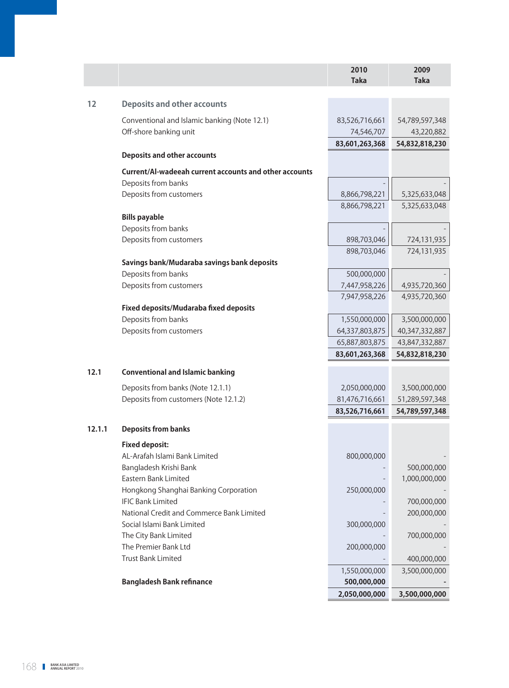|        |                                                        | 2010           | 2009           |
|--------|--------------------------------------------------------|----------------|----------------|
|        |                                                        | <b>Taka</b>    | <b>Taka</b>    |
|        |                                                        |                |                |
| 12     | <b>Deposits and other accounts</b>                     |                |                |
|        | Conventional and Islamic banking (Note 12.1)           | 83,526,716,661 | 54,789,597,348 |
|        | Off-shore banking unit                                 | 74,546,707     | 43,220,882     |
|        |                                                        | 83,601,263,368 | 54,832,818,230 |
|        | <b>Deposits and other accounts</b>                     |                |                |
|        | Current/Al-wadeeah current accounts and other accounts |                |                |
|        | Deposits from banks                                    |                |                |
|        | Deposits from customers                                | 8,866,798,221  | 5,325,633,048  |
|        |                                                        | 8,866,798,221  | 5,325,633,048  |
|        | <b>Bills payable</b>                                   |                |                |
|        | Deposits from banks                                    |                |                |
|        | Deposits from customers                                | 898,703,046    | 724,131,935    |
|        |                                                        | 898,703,046    | 724,131,935    |
|        | Savings bank/Mudaraba savings bank deposits            |                |                |
|        | Deposits from banks                                    | 500,000,000    |                |
|        | Deposits from customers                                | 7,447,958,226  | 4,935,720,360  |
|        |                                                        | 7,947,958,226  | 4,935,720,360  |
|        | Fixed deposits/Mudaraba fixed deposits                 |                |                |
|        | Deposits from banks                                    | 1,550,000,000  | 3,500,000,000  |
|        | Deposits from customers                                | 64,337,803,875 | 40,347,332,887 |
|        |                                                        | 65,887,803,875 | 43,847,332,887 |
|        |                                                        | 83,601,263,368 | 54,832,818,230 |
| 12.1   | <b>Conventional and Islamic banking</b>                |                |                |
|        | Deposits from banks (Note 12.1.1)                      | 2,050,000,000  | 3,500,000,000  |
|        | Deposits from customers (Note 12.1.2)                  | 81,476,716,661 | 51,289,597,348 |
|        |                                                        | 83,526,716,661 | 54,789,597,348 |
| 12.1.1 | <b>Deposits from banks</b>                             |                |                |
|        | <b>Fixed deposit:</b>                                  |                |                |
|        | AL-Arafah Islami Bank Limited                          | 800,000,000    |                |
|        | Bangladesh Krishi Bank                                 |                | 500,000,000    |
|        | <b>Eastern Bank Limited</b>                            |                | 1,000,000,000  |
|        | Hongkong Shanghai Banking Corporation                  | 250,000,000    |                |
|        | <b>IFIC Bank Limited</b>                               |                | 700,000,000    |
|        | National Credit and Commerce Bank Limited              |                | 200,000,000    |
|        | Social Islami Bank Limited                             | 300,000,000    |                |
|        | The City Bank Limited                                  |                | 700,000,000    |
|        | The Premier Bank Ltd                                   | 200,000,000    |                |
|        | <b>Trust Bank Limited</b>                              |                | 400,000,000    |
|        |                                                        | 1,550,000,000  | 3,500,000,000  |
|        | <b>Bangladesh Bank refinance</b>                       | 500,000,000    |                |
|        |                                                        | 2,050,000,000  | 3,500,000,000  |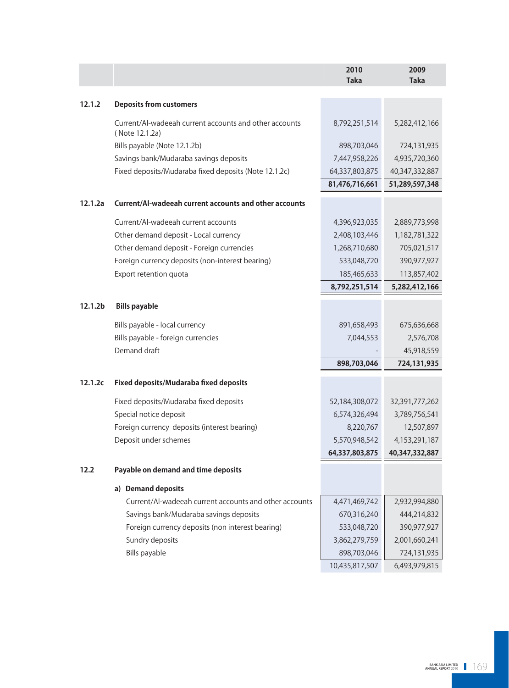|         |                                                                          | 2010<br><b>Taka</b> | 2009<br><b>Taka</b> |
|---------|--------------------------------------------------------------------------|---------------------|---------------------|
| 12.1.2  | <b>Deposits from customers</b>                                           |                     |                     |
|         |                                                                          |                     |                     |
|         | Current/Al-wadeeah current accounts and other accounts<br>(Note 12.1.2a) | 8,792,251,514       | 5,282,412,166       |
|         | Bills payable (Note 12.1.2b)                                             | 898,703,046         | 724,131,935         |
|         | Savings bank/Mudaraba savings deposits                                   | 7,447,958,226       | 4,935,720,360       |
|         | Fixed deposits/Mudaraba fixed deposits (Note 12.1.2c)                    | 64,337,803,875      | 40,347,332,887      |
|         |                                                                          | 81,476,716,661      | 51,289,597,348      |
| 12.1.2a | Current/Al-wadeeah current accounts and other accounts                   |                     |                     |
|         | Current/Al-wadeeah current accounts                                      | 4,396,923,035       | 2,889,773,998       |
|         | Other demand deposit - Local currency                                    | 2,408,103,446       | 1,182,781,322       |
|         | Other demand deposit - Foreign currencies                                | 1,268,710,680       | 705,021,517         |
|         | Foreign currency deposits (non-interest bearing)                         | 533,048,720         | 390,977,927         |
|         | Export retention quota                                                   | 185,465,633         | 113,857,402         |
|         |                                                                          | 8,792,251,514       | 5,282,412,166       |
| 12.1.2b | <b>Bills payable</b>                                                     |                     |                     |
|         | Bills payable - local currency                                           | 891,658,493         | 675,636,668         |
|         | Bills payable - foreign currencies                                       | 7,044,553           | 2,576,708           |
|         | Demand draft                                                             |                     | 45,918,559          |
|         |                                                                          | 898,703,046         | 724,131,935         |
| 12.1.2c | Fixed deposits/Mudaraba fixed deposits                                   |                     |                     |
|         | Fixed deposits/Mudaraba fixed deposits                                   | 52,184,308,072      | 32,391,777,262      |
|         | Special notice deposit                                                   | 6,574,326,494       | 3,789,756,541       |
|         | Foreign currency deposits (interest bearing)                             | 8,220,767           | 12,507,897          |
|         | Deposit under schemes                                                    | 5,570,948,542       | 4,153,291,187       |
|         |                                                                          | 64,337,803,875      | 40,347,332,887      |
| 12.2    | Payable on demand and time deposits                                      |                     |                     |
|         | a) Demand deposits                                                       |                     |                     |
|         | Current/Al-wadeeah current accounts and other accounts                   | 4,471,469,742       | 2,932,994,880       |
|         | Savings bank/Mudaraba savings deposits                                   | 670,316,240         | 444,214,832         |
|         | Foreign currency deposits (non interest bearing)                         | 533,048,720         | 390,977,927         |
|         | Sundry deposits                                                          | 3,862,279,759       | 2,001,660,241       |
|         | Bills payable                                                            | 898,703,046         | 724,131,935         |
|         |                                                                          | 10,435,817,507      | 6,493,979,815       |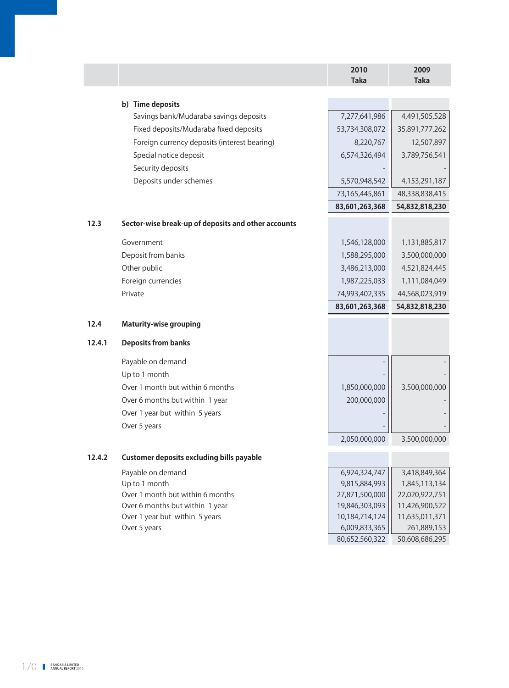|        |                                                     | 2010<br><b>Taka</b> | 2009<br><b>Taka</b> |
|--------|-----------------------------------------------------|---------------------|---------------------|
|        |                                                     |                     |                     |
|        | b) Time deposits                                    |                     |                     |
|        | Savings bank/Mudaraba savings deposits              | 7,277,641,986       | 4,491,505,528       |
|        | Fixed deposits/Mudaraba fixed deposits              | 53,734,308,072      | 35,891,777,262      |
|        | Foreign currency deposits (interest bearing)        | 8,220,767           | 12,507,897          |
|        | Special notice deposit                              | 6,574,326,494       | 3,789,756,541       |
|        | Security deposits                                   |                     |                     |
|        | Deposits under schemes                              | 5,570,948,542       | 4,153,291,187       |
|        |                                                     | 73,165,445,861      | 48,338,838,415      |
|        |                                                     | 83,601,263,368      | 54,832,818,230      |
| 12.3   | Sector-wise break-up of deposits and other accounts |                     |                     |
|        | Government                                          | 1,546,128,000       | 1,131,885,817       |
|        | Deposit from banks                                  | 1,588,295,000       | 3,500,000,000       |
|        | Other public                                        | 3,486,213,000       | 4,521,824,445       |
|        | Foreign currencies                                  | 1,987,225,033       | 1,111,084,049       |
|        | Private                                             | 74,993,402,335      | 44,568,023,919      |
|        |                                                     | 83,601,263,368      | 54,832,818,230      |
| 12.4   | <b>Maturity-wise grouping</b>                       |                     |                     |
| 12.4.1 | <b>Deposits from banks</b>                          |                     |                     |
|        | Payable on demand                                   |                     |                     |
|        | Up to 1 month                                       |                     |                     |
|        | Over 1 month but within 6 months                    | 1,850,000,000       | 3,500,000,000       |
|        | Over 6 months but within 1 year                     | 200,000,000         |                     |
|        | Over 1 year but within 5 years                      |                     |                     |
|        | Over 5 years                                        |                     |                     |
|        |                                                     | 2,050,000,000       | 3,500,000,000       |
| 12.4.2 | <b>Customer deposits excluding bills payable</b>    |                     |                     |
|        | Payable on demand                                   | 6,924,324,747       | 3,418,849,364       |
|        | Up to 1 month                                       | 9,815,884,993       | 1,845,113,134       |
|        | Over 1 month but within 6 months                    | 27,871,500,000      | 22,020,922,751      |
|        | Over 6 months but within 1 year                     | 19,846,303,093      | 11,426,900,522      |
|        | Over 1 year but within 5 years                      | 10,184,714,124      | 11,635,011,371      |
|        | Over 5 years                                        | 6,009,833,365       | 261,889,153         |
|        |                                                     | 80,652,560,322      | 50,608,686,295      |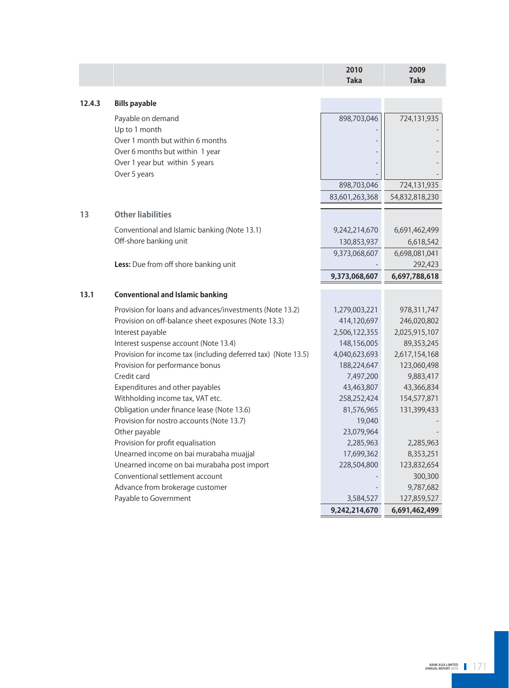|                                                                                                                                                                                                                                                                                                                                                                                                                                                                                                                                                                                                                                                                                          | 2010<br><b>Taka</b>                                                                                                                                                                                                    | 2009<br><b>Taka</b>                                                                                                                                                                                                   |
|------------------------------------------------------------------------------------------------------------------------------------------------------------------------------------------------------------------------------------------------------------------------------------------------------------------------------------------------------------------------------------------------------------------------------------------------------------------------------------------------------------------------------------------------------------------------------------------------------------------------------------------------------------------------------------------|------------------------------------------------------------------------------------------------------------------------------------------------------------------------------------------------------------------------|-----------------------------------------------------------------------------------------------------------------------------------------------------------------------------------------------------------------------|
| 12.4.3<br><b>Bills payable</b>                                                                                                                                                                                                                                                                                                                                                                                                                                                                                                                                                                                                                                                           |                                                                                                                                                                                                                        |                                                                                                                                                                                                                       |
| Payable on demand<br>Up to 1 month<br>Over 1 month but within 6 months<br>Over 6 months but within 1 year<br>Over 1 year but within 5 years<br>Over 5 years                                                                                                                                                                                                                                                                                                                                                                                                                                                                                                                              | 898,703,046<br>898,703,046<br>83,601,263,368                                                                                                                                                                           | 724,131,935<br>724,131,935                                                                                                                                                                                            |
| <b>Other liabilities</b><br>13                                                                                                                                                                                                                                                                                                                                                                                                                                                                                                                                                                                                                                                           |                                                                                                                                                                                                                        | 54,832,818,230                                                                                                                                                                                                        |
| Conventional and Islamic banking (Note 13.1)<br>Off-shore banking unit<br>Less: Due from off shore banking unit                                                                                                                                                                                                                                                                                                                                                                                                                                                                                                                                                                          | 9,242,214,670<br>130,853,937<br>9,373,068,607                                                                                                                                                                          | 6,691,462,499<br>6,618,542<br>6,698,081,041<br>292,423                                                                                                                                                                |
|                                                                                                                                                                                                                                                                                                                                                                                                                                                                                                                                                                                                                                                                                          | 9,373,068,607                                                                                                                                                                                                          | 6,697,788,618                                                                                                                                                                                                         |
| 13.1<br><b>Conventional and Islamic banking</b>                                                                                                                                                                                                                                                                                                                                                                                                                                                                                                                                                                                                                                          |                                                                                                                                                                                                                        |                                                                                                                                                                                                                       |
| Provision for loans and advances/investments (Note 13.2)<br>Provision on off-balance sheet exposures (Note 13.3)<br>Interest payable<br>Interest suspense account (Note 13.4)<br>Provision for income tax (including deferred tax) (Note 13.5)<br>Provision for performance bonus<br>Credit card<br>Expenditures and other payables<br>Withholding income tax, VAT etc.<br>Obligation under finance lease (Note 13.6)<br>Provision for nostro accounts (Note 13.7)<br>Other payable<br>Provision for profit equalisation<br>Unearned income on bai murabaha muajjal<br>Unearned income on bai murabaha post import<br>Conventional settlement account<br>Advance from brokerage customer | 1,279,003,221<br>414,120,697<br>2,506,122,355<br>148,156,005<br>4,040,623,693<br>188,224,647<br>7,497,200<br>43,463,807<br>258,252,424<br>81,576,965<br>19,040<br>23,079,964<br>2,285,963<br>17,699,362<br>228,504,800 | 978, 311, 747<br>246,020,802<br>2,025,915,107<br>89,353,245<br>2,617,154,168<br>123,060,498<br>9,883,417<br>43,366,834<br>154,577,871<br>131,399,433<br>2,285,963<br>8,353,251<br>123,832,654<br>300,300<br>9,787,682 |
| Payable to Government                                                                                                                                                                                                                                                                                                                                                                                                                                                                                                                                                                                                                                                                    | 3,584,527<br>9,242,214,670                                                                                                                                                                                             | 127,859,527<br>6,691,462,499                                                                                                                                                                                          |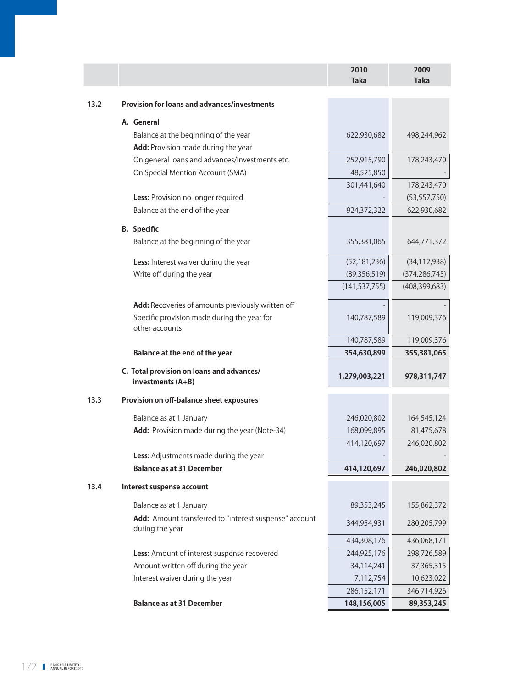|      |                                                                            | 2010<br><b>Taka</b> | 2009<br><b>Taka</b> |
|------|----------------------------------------------------------------------------|---------------------|---------------------|
| 13.2 | <b>Provision for loans and advances/investments</b>                        |                     |                     |
|      |                                                                            |                     |                     |
|      | A. General                                                                 |                     |                     |
|      | Balance at the beginning of the year                                       | 622,930,682         | 498,244,962         |
|      | Add: Provision made during the year                                        |                     |                     |
|      | On general loans and advances/investments etc.                             | 252,915,790         | 178,243,470         |
|      | On Special Mention Account (SMA)                                           | 48,525,850          |                     |
|      |                                                                            | 301,441,640         | 178,243,470         |
|      | Less: Provision no longer required                                         |                     | (53, 557, 750)      |
|      | Balance at the end of the year                                             | 924,372,322         | 622,930,682         |
|      | <b>B.</b> Specific                                                         |                     |                     |
|      | Balance at the beginning of the year                                       | 355,381,065         | 644,771,372         |
|      | Less: Interest waiver during the year                                      | (52, 181, 236)      | (34, 112, 938)      |
|      | Write off during the year                                                  | (89, 356, 519)      | (374, 286, 745)     |
|      |                                                                            | (141, 537, 755)     | (408, 399, 683)     |
|      | Add: Recoveries of amounts previously written off                          |                     |                     |
|      | Specific provision made during the year for                                | 140,787,589         | 119,009,376         |
|      | other accounts                                                             |                     |                     |
|      |                                                                            | 140,787,589         | 119,009,376         |
|      | Balance at the end of the year                                             | 354,630,899         | 355,381,065         |
|      | C. Total provision on loans and advances/<br>investments (A+B)             | 1,279,003,221       | 978,311,747         |
| 13.3 | Provision on off-balance sheet exposures                                   |                     |                     |
|      |                                                                            |                     |                     |
|      | Balance as at 1 January                                                    | 246,020,802         | 164,545,124         |
|      | Add: Provision made during the year (Note-34)                              | 168,099,895         | 81,475,678          |
|      |                                                                            | 414,120,697         | 246,020,802         |
|      | Less: Adjustments made during the year<br><b>Balance as at 31 December</b> |                     |                     |
|      |                                                                            | 414,120,697         | 246,020,802         |
| 13.4 | Interest suspense account                                                  |                     |                     |
|      | Balance as at 1 January                                                    | 89,353,245          | 155,862,372         |
|      | Add: Amount transferred to "interest suspense" account<br>during the year  | 344,954,931         | 280,205,799         |
|      |                                                                            | 434,308,176         | 436,068,171         |
|      | Less: Amount of interest suspense recovered                                | 244,925,176         | 298,726,589         |
|      | Amount written off during the year                                         | 34,114,241          | 37, 365, 315        |
|      | Interest waiver during the year                                            | 7,112,754           | 10,623,022          |
|      |                                                                            | 286,152,171         | 346,714,926         |
|      | <b>Balance as at 31 December</b>                                           | 148,156,005         | 89,353,245          |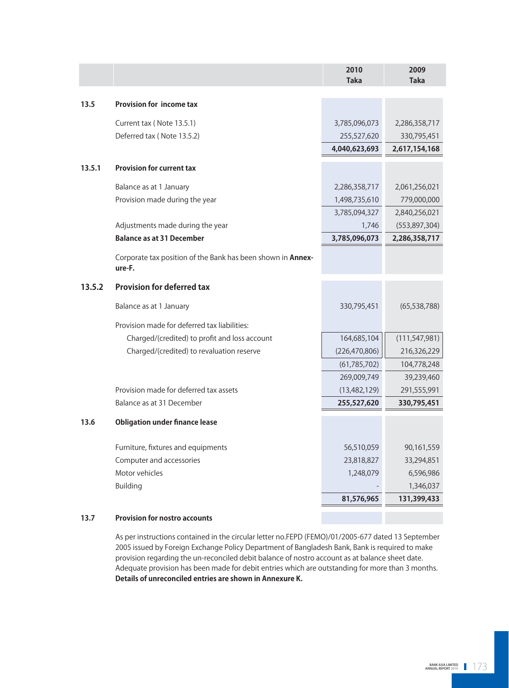|        |                                                                       | 2010<br><b>Taka</b> | 2009<br><b>Taka</b> |
|--------|-----------------------------------------------------------------------|---------------------|---------------------|
|        |                                                                       |                     |                     |
| 13.5   | <b>Provision for income tax</b>                                       |                     |                     |
|        | Current tax (Note 13.5.1)                                             | 3,785,096,073       | 2,286,358,717       |
|        | Deferred tax (Note 13.5.2)                                            | 255,527,620         | 330,795,451         |
|        |                                                                       | 4,040,623,693       | 2,617,154,168       |
| 13.5.1 | <b>Provision for current tax</b>                                      |                     |                     |
|        | Balance as at 1 January                                               | 2,286,358,717       | 2,061,256,021       |
|        | Provision made during the year                                        | 1,498,735,610       | 779,000,000         |
|        |                                                                       | 3,785,094,327       | 2,840,256,021       |
|        | Adjustments made during the year                                      | 1,746               | (553,897,304)       |
|        | <b>Balance as at 31 December</b>                                      | 3,785,096,073       | 2,286,358,717       |
|        | Corporate tax position of the Bank has been shown in Annex-<br>ure-F. |                     |                     |
| 13.5.2 | <b>Provision for deferred tax</b>                                     |                     |                     |
|        | Balance as at 1 January                                               | 330,795,451         | (65, 538, 788)      |
|        | Provision made for deferred tax liabilities:                          |                     |                     |
|        | Charged/(credited) to profit and loss account                         | 164,685,104         | (111, 547, 981)     |
|        | Charged/(credited) to revaluation reserve                             | (226, 470, 806)     | 216,326,229         |
|        |                                                                       | (61, 785, 702)      | 104,778,248         |
|        |                                                                       | 269,009,749         | 39,239,460          |
|        | Provision made for deferred tax assets                                | (13, 482, 129)      | 291,555,991         |
|        | Balance as at 31 December                                             | 255,527,620         | 330,795,451         |
| 13.6   | <b>Obligation under finance lease</b>                                 |                     |                     |
|        | Furniture, fixtures and equipments                                    | 56,510,059          | 90,161,559          |
|        | Computer and accessories                                              | 23,818,827          | 33,294,851          |
|        | Motor vehicles                                                        | 1,248,079           | 6,596,986           |
|        | <b>Building</b>                                                       |                     | 1,346,037           |
|        |                                                                       | 81,576,965          | 131,399,433         |
|        |                                                                       |                     |                     |

**13.7 Provision for nostro accounts**

As per instructions contained in the circular letter no.FEPD (FEMO)/01/2005-677 dated 13 September 2005 issued by Foreign Exchange Policy Department of Bangladesh Bank, Bank is required to make provision regarding the un-reconciled debit balance of nostro account as at balance sheet date. Adequate provision has been made for debit entries which are outstanding for more than 3 months. **Details of unreconciled entries are shown in Annexure K.**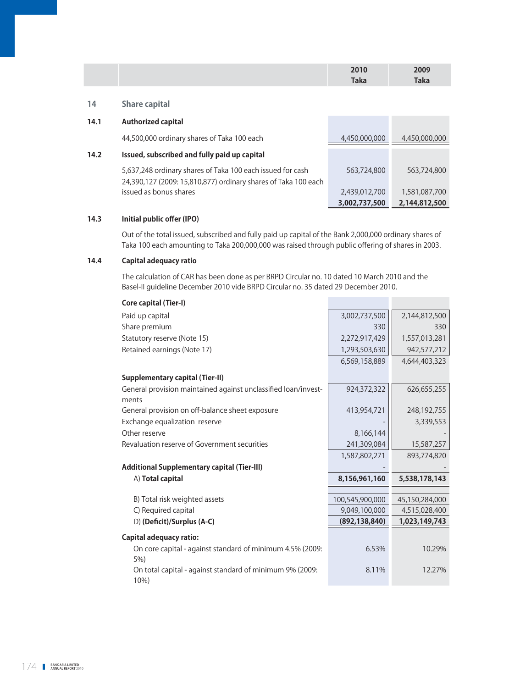|      |                                                                                                                              | 2010<br><b>Taka</b> | 2009<br><b>Taka</b> |
|------|------------------------------------------------------------------------------------------------------------------------------|---------------------|---------------------|
| 14   | <b>Share capital</b>                                                                                                         |                     |                     |
| 14.1 | <b>Authorized capital</b>                                                                                                    |                     |                     |
|      | 44,500,000 ordinary shares of Taka 100 each                                                                                  | 4,450,000,000       | 4,450,000,000       |
| 14.2 | Issued, subscribed and fully paid up capital                                                                                 |                     |                     |
|      | 5,637,248 ordinary shares of Taka 100 each issued for cash<br>24,390,127 (2009: 15,810,877) ordinary shares of Taka 100 each | 563,724,800         | 563,724,800         |
|      | issued as bonus shares                                                                                                       | 2,439,012,700       | 1,581,087,700       |
|      |                                                                                                                              | 3,002,737,500       | 2,144,812,500       |

### 14.3 **Initial public offer (IPO)**

Out of the total issued, subscribed and fully paid up capital of the Bank 2,000,000 ordinary shares of Taka 100 each amounting to Taka 200,000,000 was raised through public offering of shares in 2003.

# **14.4 Capital adequacy ratio**

The calculation of CAR has been done as per BRPD Circular no. 10 dated 10 March 2010 and the Basel-II guideline December 2010 vide BRPD Circular no. 35 dated 29 December 2010.

| Core capital (Tier-I)                                                   |                 |                |
|-------------------------------------------------------------------------|-----------------|----------------|
| Paid up capital                                                         | 3,002,737,500   | 2,144,812,500  |
| Share premium                                                           | 330             | 330            |
| Statutory reserve (Note 15)                                             | 2,272,917,429   | 1,557,013,281  |
| Retained earnings (Note 17)                                             | 1,293,503,630   | 942,577,212    |
|                                                                         | 6,569,158,889   | 4,644,403,323  |
| <b>Supplementary capital (Tier-II)</b>                                  |                 |                |
| General provision maintained against unclassified loan/invest-<br>ments | 924,372,322     | 626,655,255    |
| General provision on off-balance sheet exposure                         | 413,954,721     | 248,192,755    |
| Exchange equalization reserve                                           |                 | 3,339,553      |
| Other reserve                                                           | 8,166,144       |                |
| Revaluation reserve of Government securities                            | 241,309,084     | 15,587,257     |
|                                                                         | 1,587,802,271   | 893,774,820    |
| <b>Additional Supplementary capital (Tier-III)</b>                      |                 |                |
| A) Total capital                                                        | 8,156,961,160   | 5,538,178,143  |
|                                                                         |                 |                |
| B) Total risk weighted assets                                           | 100,545,900,000 | 45,150,284,000 |
| C) Required capital                                                     | 9,049,100,000   | 4,515,028,400  |
| D) (Deficit)/Surplus (A-C)                                              | (892, 138, 840) | 1,023,149,743  |
| <b>Capital adequacy ratio:</b>                                          |                 |                |
| On core capital - against standard of minimum 4.5% (2009:<br>5%)        | 6.53%           | 10.29%         |
| On total capital - against standard of minimum 9% (2009:<br>10%)        | 8.11%           | 12.27%         |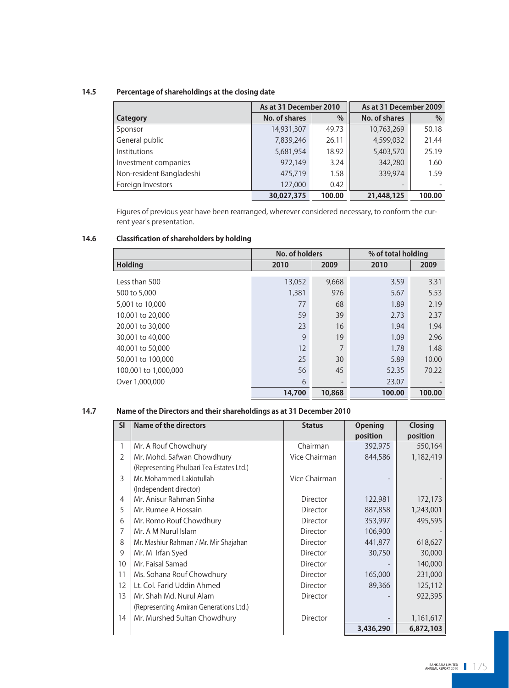# **14.5 Percentage of shareholdings at the closing date**

|                          | As at 31 December 2010 |        | As at 31 December 2009 |        |
|--------------------------|------------------------|--------|------------------------|--------|
| Category                 | No. of shares          | $\%$   | No. of shares          | $\%$   |
| Sponsor                  | 14,931,307             | 49.73  | 10,763,269             | 50.18  |
| General public           | 7,839,246              | 26.11  | 4,599,032              | 21.44  |
| <b>Institutions</b>      | 5,681,954              | 18.92  | 5,403,570              | 25.19  |
| Investment companies     | 972,149                | 3.24   | 342,280                | 1.60   |
| Non-resident Bangladeshi | 475,719                | 1.58   | 339,974                | 1.59   |
| Foreign Investors        | 127,000                | 0.42   |                        |        |
|                          | 30,027,375             | 100.00 | 21,448,125             | 100.00 |

Figures of previous year have been rearranged, wherever considered necessary, to conform the current year's presentation.

# 14.6 Classification of shareholders by holding

|                      | <b>No. of holders</b> |        | % of total holding |        |
|----------------------|-----------------------|--------|--------------------|--------|
| <b>Holding</b>       | 2010                  | 2009   | 2010               | 2009   |
|                      |                       |        |                    |        |
| Less than 500        | 13,052                | 9,668  | 3.59               | 3.31   |
| 500 to 5,000         | 1,381                 | 976    | 5.67               | 5.53   |
| 5,001 to 10,000      | 77                    | 68     | 1.89               | 2.19   |
| 10,001 to 20,000     | 59                    | 39     | 2.73               | 2.37   |
| 20,001 to 30,000     | 23                    | 16     | 1.94               | 1.94   |
| 30,001 to 40,000     | $\mathsf{Q}$          | 19     | 1.09               | 2.96   |
| 40,001 to 50,000     | 12                    | 7      | 1.78               | 1.48   |
| 50,001 to 100,000    | 25                    | 30     | 5.89               | 10.00  |
| 100,001 to 1,000,000 | 56                    | 45     | 52.35              | 70.22  |
| Over 1,000,000       | 6                     |        | 23.07              |        |
|                      | 14,700                | 10,868 | 100.00             | 100.00 |

# **14.7 Name of the Directors and their shareholdings as at 31 December 2010**

| <b>SI</b>     | <b>Name of the directors</b>             | <b>Status</b> | <b>Opening</b><br>position | <b>Closing</b><br>position |
|---------------|------------------------------------------|---------------|----------------------------|----------------------------|
|               | Mr. A Rouf Chowdhury                     | Chairman      | 392,975                    | 550,164                    |
| $\mathcal{P}$ | Mr. Mohd. Safwan Chowdhury               | Vice Chairman | 844,586                    | 1,182,419                  |
|               | (Representing Phulbari Tea Estates Ltd.) |               |                            |                            |
| 3             | Mr. Mohammed Lakiotullah                 | Vice Chairman |                            |                            |
|               | (Independent director)                   |               |                            |                            |
| 4             | Mr. Anisur Rahman Sinha                  | Director      | 122,981                    | 172,173                    |
| 5             | Mr. Rumee A Hossain                      | Director      | 887,858                    | 1,243,001                  |
| 6             | Mr. Romo Rouf Chowdhury                  | Director      | 353,997                    | 495,595                    |
|               | Mr. A M Nurul Islam                      | Director      | 106,900                    |                            |
| 8             | Mr. Mashiur Rahman / Mr. Mir Shajahan    | Director      | 441,877                    | 618,627                    |
| 9             | Mr. M Irfan Syed                         | Director      | 30,750                     | 30,000                     |
| 10            | Mr. Faisal Samad                         | Director      |                            | 140,000                    |
| 11            | Ms. Sohana Rouf Chowdhury                | Director      | 165,000                    | 231,000                    |
| 12            | Lt. Col. Farid Uddin Ahmed               | Director      | 89,366                     | 125,112                    |
| 13            | Mr. Shah Md. Nurul Alam                  | Director      |                            | 922,395                    |
|               | (Representing Amiran Generations Ltd.)   |               |                            |                            |
| 14            | Mr. Murshed Sultan Chowdhury             | Director      |                            | 1,161,617                  |
|               |                                          |               | 3,436,290                  | 6,872,103                  |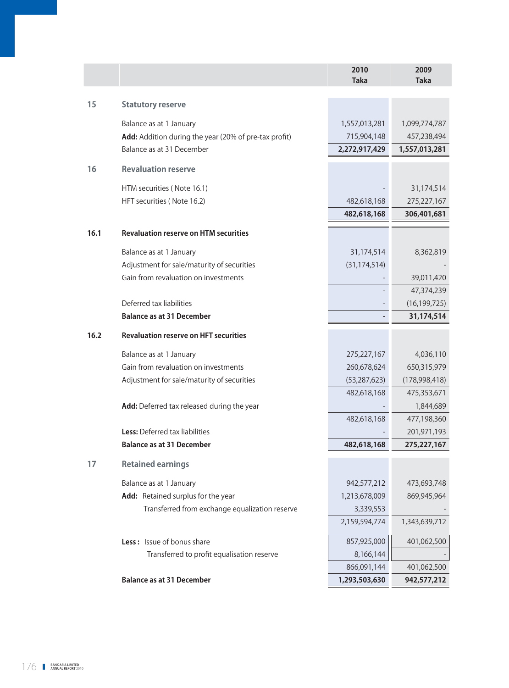|      |                                                       | 2010<br><b>Taka</b> | 2009<br><b>Taka</b> |
|------|-------------------------------------------------------|---------------------|---------------------|
| 15   | <b>Statutory reserve</b>                              |                     |                     |
|      |                                                       |                     |                     |
|      | Balance as at 1 January                               | 1,557,013,281       | 1,099,774,787       |
|      | Add: Addition during the year (20% of pre-tax profit) | 715,904,148         | 457,238,494         |
|      | Balance as at 31 December                             | 2,272,917,429       | 1,557,013,281       |
| 16   | <b>Revaluation reserve</b>                            |                     |                     |
|      | HTM securities (Note 16.1)                            |                     | 31,174,514          |
|      | HFT securities (Note 16.2)                            | 482,618,168         | 275,227,167         |
|      |                                                       | 482,618,168         | 306,401,681         |
| 16.1 | <b>Revaluation reserve on HTM securities</b>          |                     |                     |
|      | Balance as at 1 January                               | 31,174,514          | 8,362,819           |
|      | Adjustment for sale/maturity of securities            | (31, 174, 514)      |                     |
|      | Gain from revaluation on investments                  |                     | 39,011,420          |
|      |                                                       |                     | 47,374,239          |
|      | Deferred tax liabilities                              |                     | (16, 199, 725)      |
|      | <b>Balance as at 31 December</b>                      |                     | 31,174,514          |
| 16.2 | <b>Revaluation reserve on HFT securities</b>          |                     |                     |
|      | Balance as at 1 January                               | 275,227,167         | 4,036,110           |
|      | Gain from revaluation on investments                  | 260,678,624         | 650,315,979         |
|      | Adjustment for sale/maturity of securities            | (53, 287, 623)      | (178,998,418)       |
|      |                                                       | 482,618,168         | 475,353,671         |
|      | Add: Deferred tax released during the year            |                     | 1,844,689           |
|      |                                                       | 482,618,168         | 477,198,360         |
|      | Less: Deferred tax liabilities                        |                     | 201,971,193         |
|      | <b>Balance as at 31 December</b>                      | 482,618,168         | 275,227,167         |
| 17   | <b>Retained earnings</b>                              |                     |                     |
|      | Balance as at 1 January                               | 942,577,212         | 473,693,748         |
|      | Add: Retained surplus for the year                    | 1,213,678,009       | 869,945,964         |
|      | Transferred from exchange equalization reserve        | 3,339,553           |                     |
|      |                                                       | 2,159,594,774       | 1,343,639,712       |
|      | Less: Issue of bonus share                            | 857,925,000         | 401,062,500         |
|      | Transferred to profit equalisation reserve            | 8,166,144           |                     |
|      |                                                       | 866,091,144         | 401,062,500         |
|      | <b>Balance as at 31 December</b>                      | 1,293,503,630       | 942,577,212         |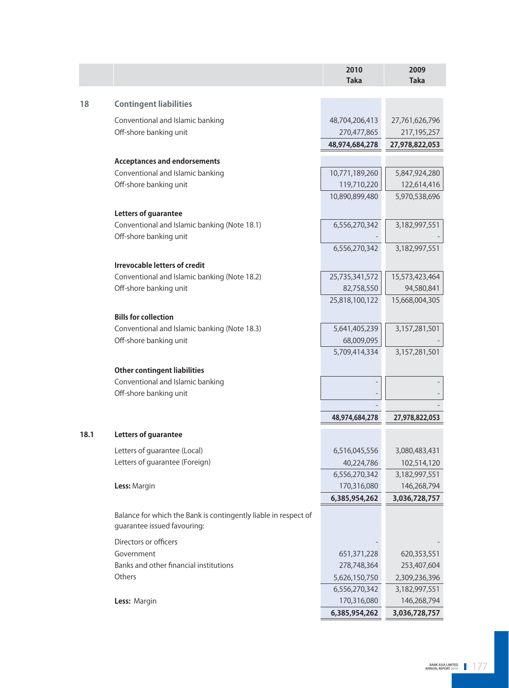|      |                                                                                                | 2010           | 2009           |
|------|------------------------------------------------------------------------------------------------|----------------|----------------|
|      |                                                                                                | <b>Taka</b>    | <b>Taka</b>    |
|      |                                                                                                |                |                |
| 18   | <b>Contingent liabilities</b>                                                                  |                |                |
|      | Conventional and Islamic banking                                                               | 48,704,206,413 | 27,761,626,796 |
|      | Off-shore banking unit                                                                         | 270,477,865    | 217,195,257    |
|      |                                                                                                | 48,974,684,278 | 27,978,822,053 |
|      | <b>Acceptances and endorsements</b>                                                            |                |                |
|      | Conventional and Islamic banking                                                               | 10,771,189,260 | 5,847,924,280  |
|      | Off-shore banking unit                                                                         | 119,710,220    | 122,614,416    |
|      |                                                                                                | 10,890,899,480 | 5,970,538,696  |
|      |                                                                                                |                |                |
|      | Letters of guarantee<br>Conventional and Islamic banking (Note 18.1)                           |                |                |
|      | Off-shore banking unit                                                                         | 6,556,270,342  | 3,182,997,551  |
|      |                                                                                                | 6,556,270,342  | 3,182,997,551  |
|      |                                                                                                |                |                |
|      | <b>Irrevocable letters of credit</b>                                                           |                |                |
|      | Conventional and Islamic banking (Note 18.2)                                                   | 25,735,341,572 | 15,573,423,464 |
|      | Off-shore banking unit                                                                         | 82,758,550     | 94,580,841     |
|      |                                                                                                | 25,818,100,122 | 15,668,004,305 |
|      | <b>Bills for collection</b>                                                                    |                |                |
|      | Conventional and Islamic banking (Note 18.3)                                                   | 5,641,405,239  | 3,157,281,501  |
|      | Off-shore banking unit                                                                         | 68,009,095     |                |
|      |                                                                                                | 5,709,414,334  | 3,157,281,501  |
|      |                                                                                                |                |                |
|      | <b>Other contingent liabilities</b><br>Conventional and Islamic banking                        |                |                |
|      | Off-shore banking unit                                                                         |                |                |
|      |                                                                                                |                |                |
|      |                                                                                                | 48,974,684,278 | 27,978,822,053 |
| 18.1 | Letters of guarantee                                                                           |                |                |
|      |                                                                                                |                |                |
|      | Letters of quarantee (Local)                                                                   | 6,516,045,556  | 3,080,483,431  |
|      | Letters of guarantee (Foreign)                                                                 | 40,224,786     | 102,514,120    |
|      |                                                                                                | 6,556,270,342  | 3,182,997,551  |
|      | Less: Margin                                                                                   | 170,316,080    | 146,268,794    |
|      |                                                                                                | 6,385,954,262  | 3,036,728,757  |
|      | Balance for which the Bank is contingently liable in respect of<br>guarantee issued favouring: |                |                |
|      | Directors or officers                                                                          |                |                |
|      | Government                                                                                     | 651,371,228    | 620,353,551    |
|      | Banks and other financial institutions                                                         | 278,748,364    | 253,407,604    |
|      | Others                                                                                         | 5,626,150,750  | 2,309,236,396  |
|      |                                                                                                | 6,556,270,342  | 3,182,997,551  |
|      | Less: Margin                                                                                   | 170,316,080    | 146,268,794    |
|      |                                                                                                | 6,385,954,262  | 3,036,728,757  |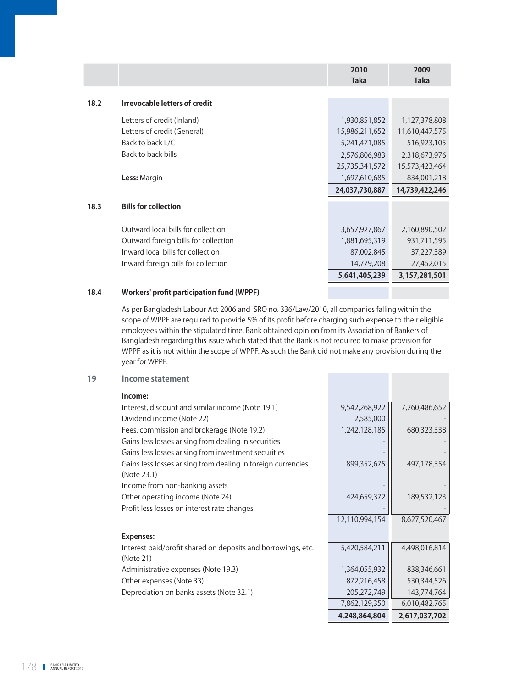|      |                                      | 2010<br><b>Taka</b> | 2009<br><b>Taka</b> |
|------|--------------------------------------|---------------------|---------------------|
|      |                                      |                     |                     |
| 18.2 | <b>Irrevocable letters of credit</b> |                     |                     |
|      | Letters of credit (Inland)           | 1,930,851,852       | 1,127,378,808       |
|      | Letters of credit (General)          | 15,986,211,652      | 11,610,447,575      |
|      | Back to back L/C                     | 5,241,471,085       | 516,923,105         |
|      | Back to back bills                   | 2,576,806,983       | 2,318,673,976       |
|      |                                      | 25,735,341,572      | 15,573,423,464      |
|      | Less: Margin                         | 1,697,610,685       | 834,001,218         |
|      |                                      | 24,037,730,887      | 14,739,422,246      |
| 18.3 | <b>Bills for collection</b>          |                     |                     |
|      | Outward local bills for collection   | 3,657,927,867       | 2,160,890,502       |
|      | Outward foreign bills for collection | 1,881,695,319       | 931,711,595         |
|      | Inward local bills for collection    | 87,002,845          | 37,227,389          |
|      | Inward foreign bills for collection  | 14,779,208          | 27,452,015          |
|      |                                      | 5,641,405,239       | 3,157,281,501       |

# 18.4 Workers' profit participation fund (WPPF)

As per Bangladesh Labour Act 2006 and SRO no. 336/Law/2010, all companies falling within the scope of WPPF are required to provide 5% of its profit before charging such expense to their eligible employees within the stipulated time. Bank obtained opinion from its Association of Bankers of Bangladesh regarding this issue which stated that the Bank is not required to make provision for WPPF as it is not within the scope of WPPF. As such the Bank did not make any provision during the year for WPPF.

### **19 Income statement**

### **Income:**

| Interest, discount and similar income (Note 19.1)            | 9,542,268,922  | 7,260,486,652 |
|--------------------------------------------------------------|----------------|---------------|
| Dividend income (Note 22)                                    | 2,585,000      |               |
| Fees, commission and brokerage (Note 19.2)                   | 1,242,128,185  | 680,323,338   |
| Gains less losses arising from dealing in securities         |                |               |
| Gains less losses arising from investment securities         |                |               |
| Gains less losses arising from dealing in foreign currencies | 899,352,675    | 497,178,354   |
| (Note 23.1)                                                  |                |               |
| Income from non-banking assets                               |                |               |
| Other operating income (Note 24)                             | 424,659,372    | 189,532,123   |
| Profit less losses on interest rate changes                  |                |               |
|                                                              | 12,110,994,154 | 8,627,520,467 |
| <b>Expenses:</b>                                             |                |               |
| Interest paid/profit shared on deposits and borrowings, etc. | 5,420,584,211  | 4,498,016,814 |
| (Note 21)                                                    |                |               |
| Administrative expenses (Note 19.3)                          | 1,364,055,932  | 838,346,661   |
| Other expenses (Note 33)                                     | 872,216,458    | 530,344,526   |
| Depreciation on banks assets (Note 32.1)                     | 205,272,749    | 143,774,764   |
|                                                              | 7,862,129,350  | 6,010,482,765 |
|                                                              | 4,248,864,804  | 2,617,037,702 |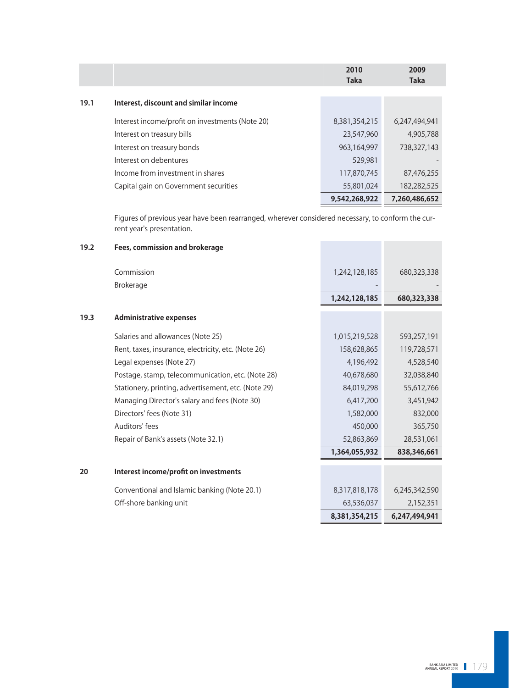|      |                                                 | 2010<br><b>Taka</b> | 2009<br><b>Taka</b> |
|------|-------------------------------------------------|---------------------|---------------------|
| 19.1 | Interest, discount and similar income           |                     |                     |
|      |                                                 |                     |                     |
|      | Interest income/profit on investments (Note 20) | 8,381,354,215       | 6,247,494,941       |
|      | Interest on treasury bills                      | 23,547,960          | 4,905,788           |
|      | Interest on treasury bonds                      | 963,164,997         | 738,327,143         |
|      | Interest on debentures                          | 529,981             |                     |
|      | Income from investment in shares                | 117,870,745         | 87,476,255          |
|      | Capital gain on Government securities           | 55,801,024          | 182,282,525         |
|      |                                                 | 9,542,268,922       | 7,260,486,652       |

Figures of previous year have been rearranged, wherever considered necessary, to conform the current year's presentation.

| 19.2 | Fees, commission and brokerage                      |               |               |
|------|-----------------------------------------------------|---------------|---------------|
|      | Commission                                          | 1,242,128,185 | 680,323,338   |
|      | Brokerage                                           |               |               |
|      |                                                     | 1,242,128,185 | 680,323,338   |
| 19.3 | <b>Administrative expenses</b>                      |               |               |
|      | Salaries and allowances (Note 25)                   | 1,015,219,528 | 593,257,191   |
|      | Rent, taxes, insurance, electricity, etc. (Note 26) | 158,628,865   | 119,728,571   |
|      | Legal expenses (Note 27)                            | 4,196,492     | 4,528,540     |
|      | Postage, stamp, telecommunication, etc. (Note 28)   | 40,678,680    | 32,038,840    |
|      | Stationery, printing, advertisement, etc. (Note 29) | 84,019,298    | 55,612,766    |
|      | Managing Director's salary and fees (Note 30)       | 6,417,200     | 3,451,942     |
|      | Directors' fees (Note 31)                           | 1,582,000     | 832,000       |
|      | Auditors' fees                                      | 450,000       | 365,750       |
|      | Repair of Bank's assets (Note 32.1)                 | 52,863,869    | 28,531,061    |
|      |                                                     | 1,364,055,932 | 838,346,661   |
| 20   | Interest income/profit on investments               |               |               |
|      | Conventional and Islamic banking (Note 20.1)        | 8,317,818,178 | 6,245,342,590 |
|      | Off-shore banking unit                              | 63,536,037    | 2,152,351     |
|      |                                                     | 8,381,354,215 | 6,247,494,941 |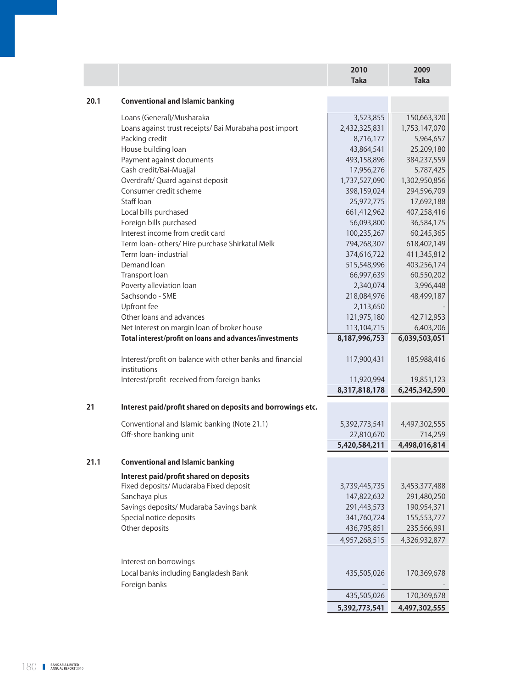|      |                                                                           | 2010<br><b>Taka</b>      | 2009          |
|------|---------------------------------------------------------------------------|--------------------------|---------------|
|      |                                                                           |                          | <b>Taka</b>   |
| 20.1 | <b>Conventional and Islamic banking</b>                                   |                          |               |
|      | Loans (General)/Musharaka                                                 | 3,523,855                | 150,663,320   |
|      | Loans against trust receipts/ Bai Murabaha post import                    | 2,432,325,831            | 1,753,147,070 |
|      | Packing credit                                                            | 8,716,177                | 5,964,657     |
|      | House building loan                                                       | 43,864,541               | 25,209,180    |
|      | Payment against documents                                                 | 493,158,896              | 384,237,559   |
|      | Cash credit/Bai-Muajjal                                                   | 17,956,276               | 5,787,425     |
|      | Overdraft/ Quard against deposit                                          | 1,737,527,090            | 1,302,950,856 |
|      | Consumer credit scheme                                                    | 398,159,024              | 294,596,709   |
|      | Staff Ioan                                                                | 25,972,775               | 17,692,188    |
|      | Local bills purchased                                                     | 661,412,962              | 407,258,416   |
|      | Foreign bills purchased                                                   | 56,093,800               | 36,584,175    |
|      | Interest income from credit card                                          | 100,235,267              | 60,245,365    |
|      | Term loan- others/ Hire purchase Shirkatul Melk                           | 794,268,307              | 618,402,149   |
|      | Term loan- industrial                                                     | 374,616,722              | 411,345,812   |
|      | Demand loan                                                               | 515,548,996              | 403,256,174   |
|      | Transport loan                                                            | 66,997,639               | 60,550,202    |
|      | Poverty alleviation loan<br>Sachsondo - SME                               | 2,340,074                | 3,996,448     |
|      | Upfront fee                                                               | 218,084,976              | 48,499,187    |
|      | Other loans and advances                                                  | 2,113,650<br>121,975,180 | 42,712,953    |
|      | Net Interest on margin loan of broker house                               | 113,104,715              | 6,403,206     |
|      | Total interest/profit on loans and advances/investments                   | 8,187,996,753            | 6,039,503,051 |
|      |                                                                           |                          |               |
|      | Interest/profit on balance with other banks and financial<br>institutions | 117,900,431              | 185,988,416   |
|      | Interest/profit received from foreign banks                               | 11,920,994               | 19,851,123    |
|      |                                                                           | 8,317,818,178            | 6,245,342,590 |
| 21   | Interest paid/profit shared on deposits and borrowings etc.               |                          |               |
|      | Conventional and Islamic banking (Note 21.1)                              | 5,392,773,541            | 4,497,302,555 |
|      | Off-shore banking unit                                                    | 27,810,670               | 714,259       |
|      |                                                                           | 5,420,584,211            | 4,498,016,814 |
| 21.1 | <b>Conventional and Islamic banking</b>                                   |                          |               |
|      | Interest paid/profit shared on deposits                                   |                          |               |
|      | Fixed deposits/ Mudaraba Fixed deposit                                    | 3,739,445,735            | 3,453,377,488 |
|      | Sanchaya plus                                                             | 147,822,632              | 291,480,250   |
|      | Savings deposits/ Mudaraba Savings bank                                   | 291,443,573              | 190,954,371   |
|      | Special notice deposits                                                   | 341,760,724              | 155,553,777   |
|      | Other deposits                                                            | 436,795,851              | 235,566,991   |
|      |                                                                           | 4,957,268,515            | 4,326,932,877 |
|      |                                                                           |                          |               |
|      | Interest on borrowings                                                    |                          |               |
|      | Local banks including Bangladesh Bank                                     | 435,505,026              | 170,369,678   |
|      | Foreign banks                                                             |                          |               |
|      |                                                                           | 435,505,026              | 170,369,678   |
|      |                                                                           | 5,392,773,541            | 4,497,302,555 |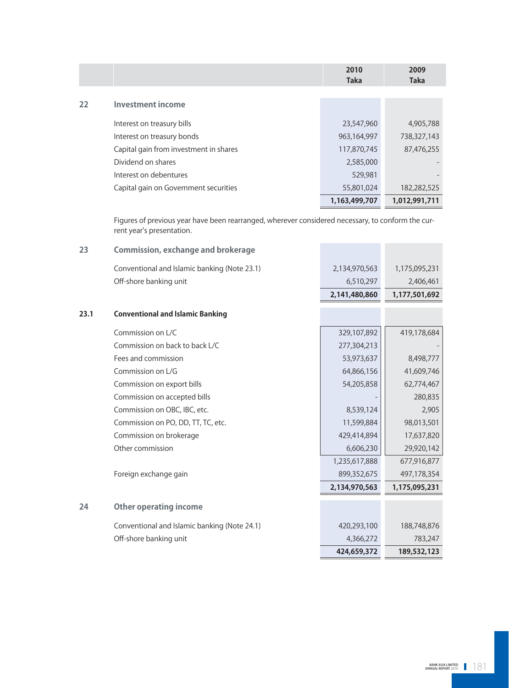|    |                                        | 2010<br><b>Taka</b> | 2009<br><b>Taka</b> |
|----|----------------------------------------|---------------------|---------------------|
|    |                                        |                     |                     |
| 22 | <b>Investment income</b>               |                     |                     |
|    | Interest on treasury bills             | 23,547,960          | 4,905,788           |
|    | Interest on treasury bonds             | 963,164,997         | 738,327,143         |
|    | Capital gain from investment in shares | 117,870,745         | 87,476,255          |
|    | Dividend on shares                     | 2,585,000           |                     |
|    | Interest on debentures                 | 529,981             |                     |
|    | Capital gain on Government securities  | 55,801,024          | 182,282,525         |
|    |                                        | 1,163,499,707       | 1,012,991,711       |

Figures of previous year have been rearranged, wherever considered necessary, to conform the current year's presentation.

| 23   | <b>Commission, exchange and brokerage</b>    |               |               |
|------|----------------------------------------------|---------------|---------------|
|      | Conventional and Islamic banking (Note 23.1) | 2,134,970,563 | 1,175,095,231 |
|      | Off-shore banking unit                       | 6,510,297     | 2,406,461     |
|      |                                              | 2,141,480,860 | 1,177,501,692 |
| 23.1 | <b>Conventional and Islamic Banking</b>      |               |               |
|      | Commission on L/C                            | 329,107,892   | 419,178,684   |
|      | Commission on back to back L/C               | 277,304,213   |               |
|      | Fees and commission                          | 53,973,637    | 8,498,777     |
|      | Commission on L/G                            | 64,866,156    | 41,609,746    |
|      | Commission on export bills                   | 54,205,858    | 62,774,467    |
|      | Commission on accepted bills                 |               | 280,835       |
|      | Commission on OBC, IBC, etc.                 | 8,539,124     | 2,905         |
|      | Commission on PO, DD, TT, TC, etc.           | 11,599,884    | 98,013,501    |
|      | Commission on brokerage                      | 429,414,894   | 17,637,820    |
|      | Other commission                             | 6,606,230     | 29,920,142    |
|      |                                              | 1,235,617,888 | 677,916,877   |
|      | Foreign exchange gain                        | 899,352,675   | 497,178,354   |
|      |                                              | 2,134,970,563 | 1,175,095,231 |
| 24   | <b>Other operating income</b>                |               |               |
|      | Conventional and Islamic banking (Note 24.1) | 420,293,100   | 188,748,876   |
|      | Off-shore banking unit                       | 4,366,272     | 783,247       |
|      |                                              | 424,659,372   | 189,532,123   |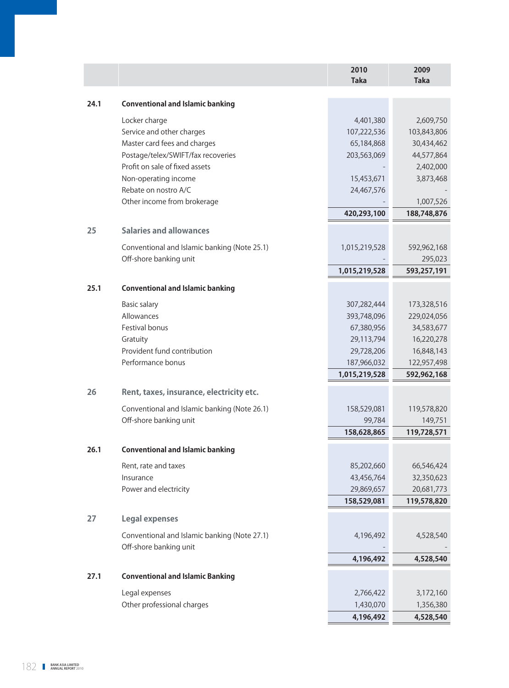|      |                                                                        | 2010<br><b>Taka</b> | 2009<br><b>Taka</b>    |
|------|------------------------------------------------------------------------|---------------------|------------------------|
|      |                                                                        |                     |                        |
| 24.1 | <b>Conventional and Islamic banking</b>                                |                     |                        |
|      | Locker charge                                                          | 4,401,380           | 2,609,750              |
|      | Service and other charges                                              | 107,222,536         | 103,843,806            |
|      | Master card fees and charges                                           | 65,184,868          | 30,434,462             |
|      | Postage/telex/SWIFT/fax recoveries                                     | 203,563,069         | 44,577,864             |
|      | Profit on sale of fixed assets                                         |                     | 2,402,000              |
|      | Non-operating income                                                   | 15,453,671          | 3,873,468              |
|      | Rebate on nostro A/C                                                   | 24,467,576          |                        |
|      | Other income from brokerage                                            |                     | 1,007,526              |
|      |                                                                        | 420,293,100         | 188,748,876            |
| 25   | <b>Salaries and allowances</b>                                         |                     |                        |
|      | Conventional and Islamic banking (Note 25.1)                           |                     |                        |
|      | Off-shore banking unit                                                 | 1,015,219,528       | 592,962,168<br>295,023 |
|      |                                                                        | 1,015,219,528       | 593,257,191            |
|      |                                                                        |                     |                        |
| 25.1 | <b>Conventional and Islamic banking</b>                                |                     |                        |
|      | Basic salary                                                           | 307,282,444         | 173,328,516            |
|      | Allowances                                                             | 393,748,096         | 229,024,056            |
|      | Festival bonus                                                         | 67,380,956          | 34,583,677             |
|      | Gratuity                                                               | 29,113,794          | 16,220,278             |
|      | Provident fund contribution                                            | 29,728,206          | 16,848,143             |
|      | Performance bonus                                                      | 187,966,032         | 122,957,498            |
|      |                                                                        | 1,015,219,528       | 592,962,168            |
| 26   | Rent, taxes, insurance, electricity etc.                               |                     |                        |
|      | Conventional and Islamic banking (Note 26.1)                           | 158,529,081         | 119,578,820            |
|      | Off-shore banking unit                                                 | 99,784              | 149,751                |
|      |                                                                        | 158,628,865         | 119,728,571            |
| 26.1 | <b>Conventional and Islamic banking</b>                                |                     |                        |
|      | Rent, rate and taxes                                                   | 85,202,660          | 66,546,424             |
|      | Insurance                                                              | 43,456,764          | 32,350,623             |
|      | Power and electricity                                                  | 29,869,657          | 20,681,773             |
|      |                                                                        | 158,529,081         | 119,578,820            |
| 27   | <b>Legal expenses</b>                                                  |                     |                        |
|      |                                                                        |                     |                        |
|      | Conventional and Islamic banking (Note 27.1)<br>Off-shore banking unit | 4,196,492           | 4,528,540              |
|      |                                                                        | 4,196,492           | 4,528,540              |
|      |                                                                        |                     |                        |
| 27.1 | <b>Conventional and Islamic Banking</b>                                |                     |                        |
|      | Legal expenses                                                         | 2,766,422           | 3,172,160              |
|      | Other professional charges                                             | 1,430,070           | 1,356,380              |
|      |                                                                        | 4,196,492           | 4,528,540              |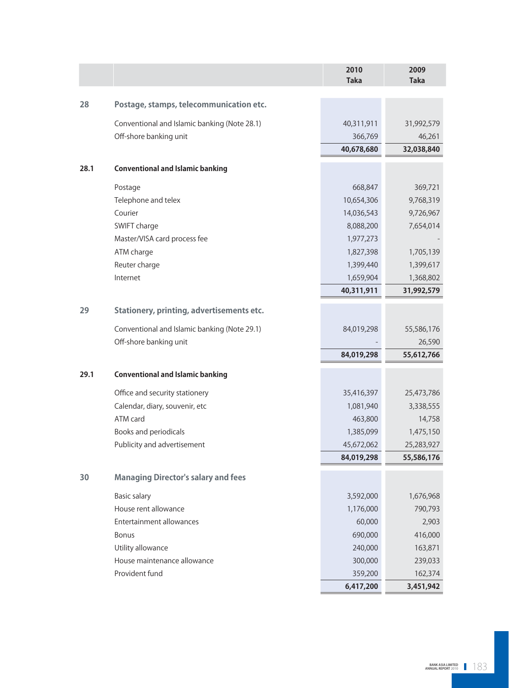|      |                                              | 2010<br><b>Taka</b> | 2009<br><b>Taka</b> |
|------|----------------------------------------------|---------------------|---------------------|
|      |                                              |                     |                     |
| 28   | Postage, stamps, telecommunication etc.      |                     |                     |
|      | Conventional and Islamic banking (Note 28.1) | 40,311,911          | 31,992,579          |
|      | Off-shore banking unit                       | 366,769             | 46,261              |
|      |                                              | 40,678,680          | 32,038,840          |
| 28.1 | <b>Conventional and Islamic banking</b>      |                     |                     |
|      | Postage                                      | 668,847             | 369,721             |
|      | Telephone and telex                          | 10,654,306          | 9,768,319           |
|      | Courier                                      | 14,036,543          | 9,726,967           |
|      | SWIFT charge                                 | 8,088,200           | 7,654,014           |
|      | Master/VISA card process fee                 | 1,977,273           |                     |
|      | ATM charge                                   | 1,827,398           | 1,705,139           |
|      | Reuter charge                                | 1,399,440           | 1,399,617           |
|      | Internet                                     | 1,659,904           | 1,368,802           |
|      |                                              | 40,311,911          | 31,992,579          |
| 29   | Stationery, printing, advertisements etc.    |                     |                     |
|      |                                              |                     |                     |
|      | Conventional and Islamic banking (Note 29.1) | 84,019,298          | 55,586,176          |
|      | Off-shore banking unit                       |                     | 26,590              |
|      |                                              | 84,019,298          | 55,612,766          |
| 29.1 | <b>Conventional and Islamic banking</b>      |                     |                     |
|      | Office and security stationery               | 35,416,397          | 25,473,786          |
|      | Calendar, diary, souvenir, etc               | 1,081,940           | 3,338,555           |
|      | ATM card                                     | 463,800             | 14,758              |
|      | Books and periodicals                        | 1,385,099           | 1,475,150           |
|      | Publicity and advertisement                  | 45,672,062          | 25,283,927          |
|      |                                              | 84,019,298          | 55,586,176          |
| 30   | <b>Managing Director's salary and fees</b>   |                     |                     |
|      | Basic salary                                 | 3,592,000           | 1,676,968           |
|      | House rent allowance                         | 1,176,000           | 790,793             |
|      | Entertainment allowances                     | 60,000              | 2,903               |
|      | Bonus                                        | 690,000             | 416,000             |
|      | Utility allowance                            | 240,000             | 163,871             |
|      | House maintenance allowance                  | 300,000             | 239,033             |
|      | Provident fund                               | 359,200             | 162,374             |
|      |                                              | 6,417,200           | 3,451,942           |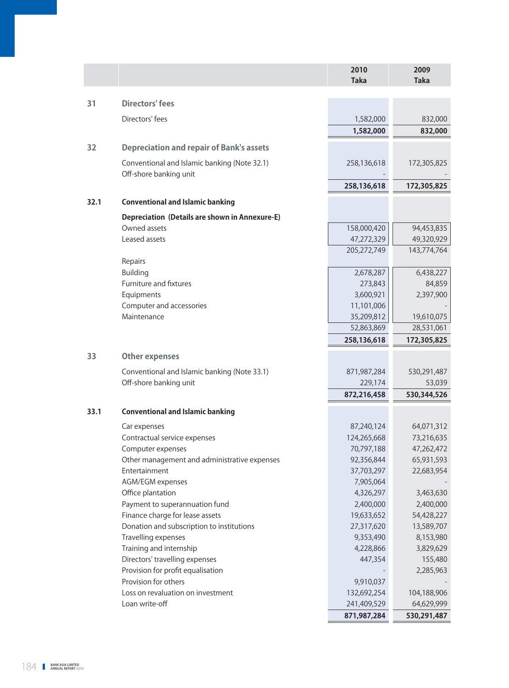|                                                                        | 2010<br><b>Taka</b> | 2009<br><b>Taka</b> |
|------------------------------------------------------------------------|---------------------|---------------------|
|                                                                        |                     |                     |
| 31<br><b>Directors' fees</b>                                           |                     |                     |
| Directors' fees                                                        | 1,582,000           | 832,000             |
|                                                                        | 1,582,000           | 832,000             |
|                                                                        |                     |                     |
| <b>Depreciation and repair of Bank's assets</b><br>32                  |                     |                     |
| Conventional and Islamic banking (Note 32.1)<br>Off-shore banking unit | 258,136,618         | 172,305,825         |
|                                                                        | 258,136,618         | 172,305,825         |
| <b>Conventional and Islamic banking</b><br>32.1                        |                     |                     |
| Depreciation (Details are shown in Annexure-E)                         |                     |                     |
| Owned assets                                                           | 158,000,420         | 94,453,835          |
| Leased assets                                                          | 47,272,329          | 49,320,929          |
|                                                                        | 205,272,749         | 143,774,764         |
| Repairs                                                                |                     |                     |
| Building                                                               | 2,678,287           | 6,438,227           |
| Furniture and fixtures                                                 | 273,843             | 84,859              |
| Equipments                                                             | 3,600,921           | 2,397,900           |
| Computer and accessories                                               | 11,101,006          |                     |
| Maintenance                                                            | 35,209,812          | 19,610,075          |
|                                                                        | 52,863,869          | 28,531,061          |
|                                                                        | 258,136,618         | 172,305,825         |
| 33<br><b>Other expenses</b>                                            |                     |                     |
| Conventional and Islamic banking (Note 33.1)                           | 871,987,284         | 530,291,487         |
| Off-shore banking unit                                                 | 229,174             | 53,039              |
|                                                                        | 872,216,458         | 530,344,526         |
| <b>Conventional and Islamic banking</b><br>33.1                        |                     |                     |
| Car expenses                                                           | 87,240,124          | 64,071,312          |
| Contractual service expenses                                           | 124,265,668         | 73,216,635          |
| Computer expenses                                                      | 70,797,188          | 47,262,472          |
| Other management and administrative expenses                           | 92,356,844          | 65,931,593          |
| Entertainment                                                          | 37,703,297          | 22,683,954          |
| AGM/EGM expenses                                                       | 7,905,064           |                     |
| Office plantation                                                      | 4,326,297           | 3,463,630           |
| Payment to superannuation fund                                         | 2,400,000           | 2,400,000           |
| Finance charge for lease assets                                        | 19,633,652          | 54,428,227          |
| Donation and subscription to institutions                              | 27,317,620          | 13,589,707          |
| Travelling expenses                                                    | 9,353,490           | 8,153,980           |
| Training and internship                                                | 4,228,866           | 3,829,629           |
| Directors' travelling expenses<br>Provision for profit equalisation    | 447,354             | 155,480             |
| Provision for others                                                   | 9,910,037           | 2,285,963           |
| Loss on revaluation on investment                                      | 132,692,254         | 104,188,906         |
| Loan write-off                                                         | 241,409,529         | 64,629,999          |
|                                                                        | 871,987,284         | 530,291,487         |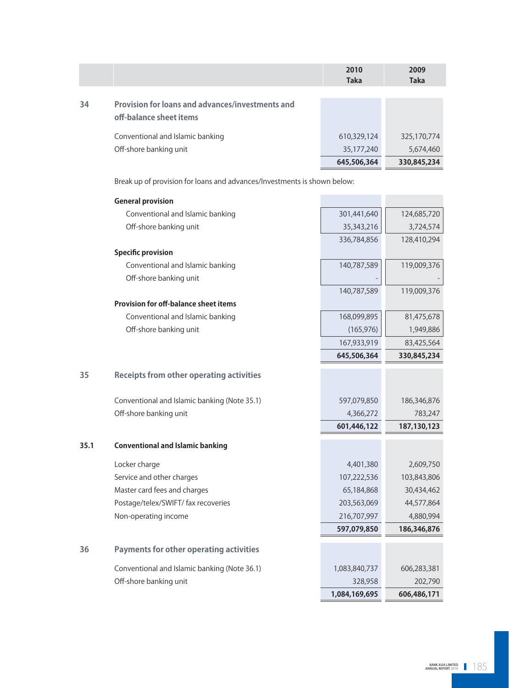|    |                                                  | 2010<br><b>Taka</b> | 2009<br><b>Taka</b> |
|----|--------------------------------------------------|---------------------|---------------------|
|    |                                                  |                     |                     |
| 34 | Provision for loans and advances/investments and |                     |                     |
|    | off-balance sheet items                          |                     |                     |
|    | Conventional and Islamic banking                 | 610,329,124         | 325,170,774         |
|    | Off-shore banking unit                           | 35,177,240          | 5,674,460           |
|    |                                                  | 645,506,364         | 330,845,234         |
|    |                                                  |                     |                     |

Break up of provision for loans and advances/Investments is shown below:

| <b>General provision</b>                              |               |               |
|-------------------------------------------------------|---------------|---------------|
| Conventional and Islamic banking                      | 301,441,640   | 124,685,720   |
| Off-shore banking unit                                | 35,343,216    | 3,724,574     |
|                                                       | 336,784,856   | 128,410,294   |
| <b>Specific provision</b>                             |               |               |
| Conventional and Islamic banking                      | 140,787,589   | 119,009,376   |
| Off-shore banking unit                                |               |               |
|                                                       | 140,787,589   | 119,009,376   |
| <b>Provision for off-balance sheet items</b>          |               |               |
| Conventional and Islamic banking                      | 168,099,895   | 81,475,678    |
| Off-shore banking unit                                | (165, 976)    | 1,949,886     |
|                                                       | 167,933,919   | 83,425,564    |
|                                                       | 645,506,364   | 330,845,234   |
| 35<br><b>Receipts from other operating activities</b> |               |               |
|                                                       |               |               |
| Conventional and Islamic banking (Note 35.1)          | 597,079,850   | 186,346,876   |
| Off-shore banking unit                                | 4,366,272     | 783,247       |
|                                                       | 601,446,122   | 187, 130, 123 |
| 35.1<br><b>Conventional and Islamic banking</b>       |               |               |
| Locker charge                                         | 4,401,380     | 2,609,750     |
| Service and other charges                             | 107,222,536   | 103,843,806   |
| Master card fees and charges                          | 65,184,868    | 30,434,462    |
| Postage/telex/SWIFT/ fax recoveries                   | 203,563,069   | 44,577,864    |
| Non-operating income                                  | 216,707,997   | 4,880,994     |
|                                                       | 597,079,850   | 186,346,876   |
|                                                       |               |               |
| 36<br><b>Payments for other operating activities</b>  |               |               |
| Conventional and Islamic banking (Note 36.1)          | 1,083,840,737 | 606,283,381   |
| Off-shore banking unit                                | 328,958       | 202,790       |
|                                                       | 1,084,169,695 | 606,486,171   |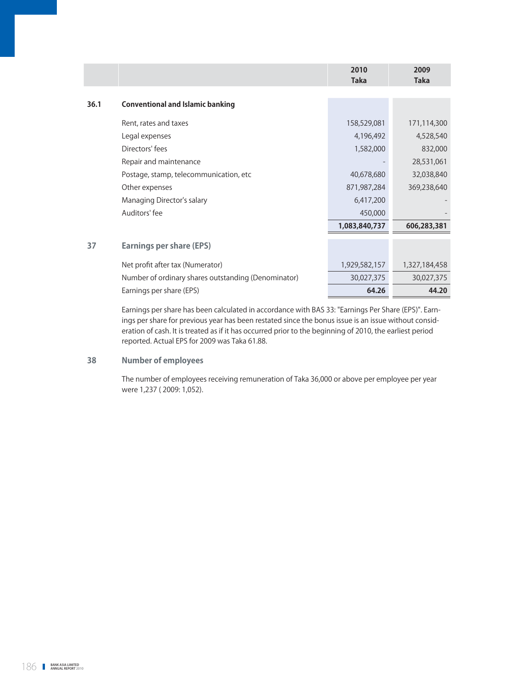|      |                                                     | 2010<br><b>Taka</b> | 2009<br><b>Taka</b> |
|------|-----------------------------------------------------|---------------------|---------------------|
|      |                                                     |                     |                     |
| 36.1 | <b>Conventional and Islamic banking</b>             |                     |                     |
|      | Rent, rates and taxes                               | 158,529,081         | 171,114,300         |
|      | Legal expenses                                      | 4,196,492           | 4,528,540           |
|      | Directors' fees                                     | 1,582,000           | 832,000             |
|      | Repair and maintenance                              |                     | 28,531,061          |
|      | Postage, stamp, telecommunication, etc              | 40,678,680          | 32,038,840          |
|      | Other expenses                                      | 871,987,284         | 369,238,640         |
|      | Managing Director's salary                          | 6,417,200           |                     |
|      | Auditors' fee                                       | 450,000             |                     |
|      |                                                     | 1,083,840,737       | 606,283,381         |
| 37   |                                                     |                     |                     |
|      | <b>Earnings per share (EPS)</b>                     |                     |                     |
|      | Net profit after tax (Numerator)                    | 1,929,582,157       | 1,327,184,458       |
|      | Number of ordinary shares outstanding (Denominator) | 30,027,375          | 30,027,375          |
|      | Earnings per share (EPS)                            | 64.26               | 44.20               |

Earnings per share has been calculated in accordance with BAS 33: "Earnings Per Share (EPS)". Earnings per share for previous year has been restated since the bonus issue is an issue without consideration of cash. It is treated as if it has occurred prior to the beginning of 2010, the earliest period reported. Actual EPS for 2009 was Taka 61.88.

# **38 Number of employees**

The number of employees receiving remuneration of Taka 36,000 or above per employee per year were 1,237 ( 2009: 1,052).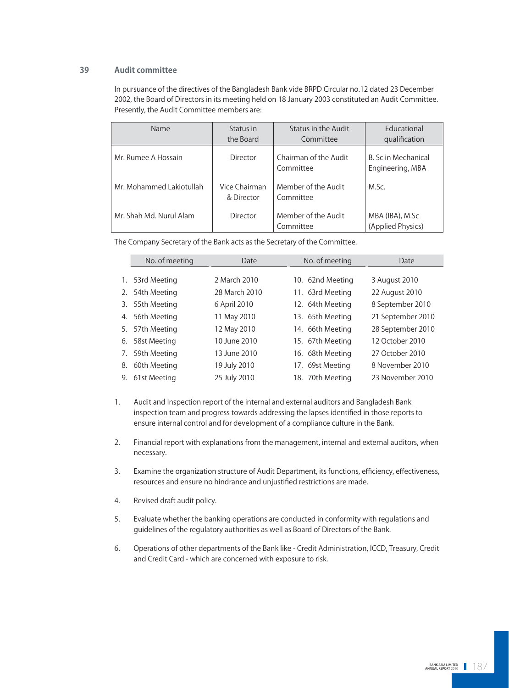### **39 Audit committee**

In pursuance of the directives of the Bangladesh Bank vide BRPD Circular no.12 dated 23 December 2002, the Board of Directors in its meeting held on 18 January 2003 constituted an Audit Committee. Presently, the Audit Committee members are:

| Name                     | Status in                   | Status in the Audit                | Educational                             |
|--------------------------|-----------------------------|------------------------------------|-----------------------------------------|
|                          | the Board                   | Committee                          | qualification                           |
| Mr. Rumee A Hossain      | Director                    | Chairman of the Audit<br>Committee | B. Sc in Mechanical<br>Engineering, MBA |
| Mr. Mohammed Lakiotullah | Vice Chairman<br>& Director | Member of the Audit<br>Committee   | M.Sc.                                   |
| Mr. Shah Md. Nurul Alam  | Director                    | Member of the Audit<br>Committee   | MBA (IBA), M.Sc<br>(Applied Physics)    |

The Company Secretary of the Bank acts as the Secretary of the Committee.

|    | No. of meeting  | Date          | No. of meeting   | Date              |
|----|-----------------|---------------|------------------|-------------------|
|    |                 |               |                  |                   |
|    | 1. 53rd Meeting | 2 March 2010  | 10. 62nd Meeting | 3 August 2010     |
|    | 2. 54th Meeting | 28 March 2010 | 11. 63rd Meeting | 22 August 2010    |
|    | 3. 55th Meeting | 6 April 2010  | 12. 64th Meeting | 8 September 2010  |
|    | 4. 56th Meeting | 11 May 2010   | 13. 65th Meeting | 21 September 2010 |
|    | 5. 57th Meeting | 12 May 2010   | 14. 66th Meeting | 28 September 2010 |
|    | 6. 58st Meeting | 10 June 2010  | 15. 67th Meeting | 12 October 2010   |
| 7. | 59th Meeting    | 13 June 2010  | 16. 68th Meeting | 27 October 2010   |
| 8. | 60th Meeting    | 19 July 2010  | 17. 69st Meeting | 8 November 2010   |
| 9. | 61st Meeting    | 25 July 2010  | 18. 70th Meeting | 23 November 2010  |

- 1. Audit and Inspection report of the internal and external auditors and Bangladesh Bank inspection team and progress towards addressing the lapses identified in those reports to ensure internal control and for development of a compliance culture in the Bank.
- 2. Financial report with explanations from the management, internal and external auditors, when necessary.
- 3. Examine the organization structure of Audit Department, its functions, efficiency, effectiveness, resources and ensure no hindrance and unjustified restrictions are made.
- 4. Revised draft audit policy.
- 5. Evaluate whether the banking operations are conducted in conformity with regulations and guidelines of the regulatory authorities as well as Board of Directors of the Bank.
- 6. Operations of other departments of the Bank like Credit Administration, ICCD, Treasury, Credit and Credit Card - which are concerned with exposure to risk.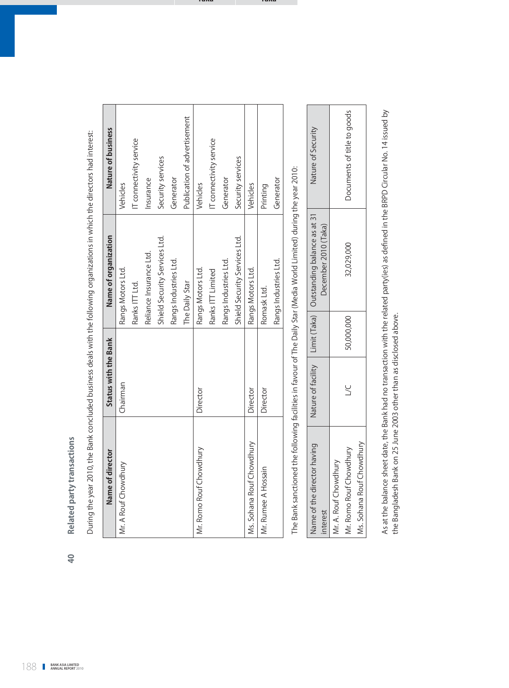Related party transactions **40 Related party transactions** 40

During the year 2010, the Bank concluded business deals with the following organizations in which the directors had interest: During the year 2010, the Bank concluded business deals with the following organizations in which the directors had interest:

| Name of director          | Status with the Bank | Name of organization                                                                                                                                                                                                          | Nature of business           |
|---------------------------|----------------------|-------------------------------------------------------------------------------------------------------------------------------------------------------------------------------------------------------------------------------|------------------------------|
| Mr. A Rouf Chowdhury      | Chairman             | Rangs Motors Ltd.                                                                                                                                                                                                             | Vehicles                     |
|                           |                      | Ranks ITT Ltd.                                                                                                                                                                                                                | IT connectivity service      |
|                           |                      | Reliance Insurance Ltd.                                                                                                                                                                                                       | Insurance                    |
|                           |                      | Shield Security Services Ltd.                                                                                                                                                                                                 | Security services            |
|                           |                      | Rangs Industries Ltd.                                                                                                                                                                                                         | Generator                    |
|                           |                      | The Daily Star                                                                                                                                                                                                                | Publication of advertisement |
| Mr. Romo Rouf Chowdhury   | Director             | Rangs Motors Ltd.                                                                                                                                                                                                             | Vehicles                     |
|                           |                      | Ranks ITT Limited                                                                                                                                                                                                             | IT connectivity service      |
|                           |                      | Rangs Industries Ltd.                                                                                                                                                                                                         | Generator                    |
|                           |                      | Shield Security Services Ltd.                                                                                                                                                                                                 | Security services            |
| Ms. Sohana Rouf Chowdhury | Director             | Rangs Motors Ltd.                                                                                                                                                                                                             | Vehicles                     |
| Mr. Rumee A Hossain       | Director             | Romask Ltd.                                                                                                                                                                                                                   | Printing                     |
|                           |                      | Rangs Industries Ltd.                                                                                                                                                                                                         | Generator                    |
| $\frac{1}{1}$             |                      | a California de l'Internet de la California de la California de la California de la California del la contenenta del california del california del california del california del california del california del california del |                              |

**Taka Taka**

The Bank sanctioned the following facilities in favour of The Daily Star (Media World Limited) during the year 2010: The Bank sanctioned the following facilities in favour of The Daily Star (Media World Limited) during the year 2010:

| having<br>Mr. A. Rouf Chowdhun<br>Name of the director h |            | Nature of facility   Limit (Taka)   Outstanding balance as at 31<br>December 2010 (Taka) | Nature of Security          |
|----------------------------------------------------------|------------|------------------------------------------------------------------------------------------|-----------------------------|
| Ms. Sohana Rouf Chowdhury<br>Mr. Romo Rouf Chowdhury     | 50,000,000 | 32,029,000                                                                               | Jocuments of title to goods |

As at the balance sheet date, the Bank had no transaction with the related party(ies) as defined in the BRPD Circular No. 14 issued by<br>the Bangladesh Bank on 25 June 2003 other than as disclosed above. As at the balance sheet date, the Bank had no transaction with the related party(ies) as defined in the BRPD Circular No. 14 issued by the Bangladesh Bank on 25 June 2003 other than as disclosed above.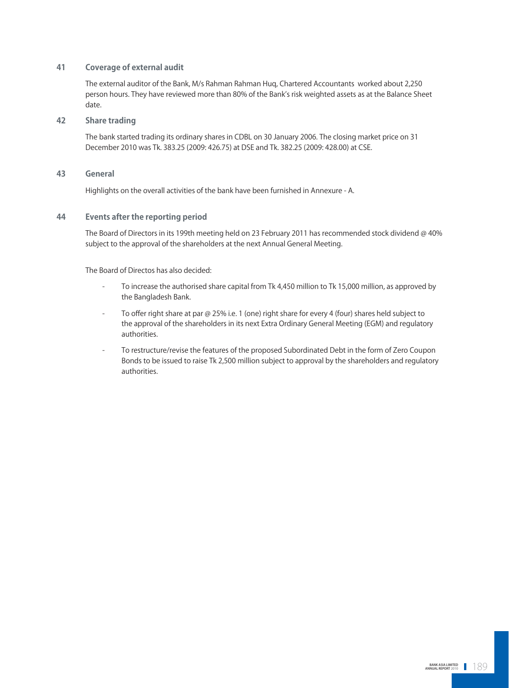### **41 Coverage of external audit**

 The external auditor of the Bank, M/s Rahman Rahman Huq, Chartered Accountants worked about 2,250 person hours. They have reviewed more than 80% of the Bank's risk weighted assets as at the Balance Sheet date.

### **42 Share trading**

 The bank started trading its ordinary shares in CDBL on 30 January 2006. The closing market price on 31 December 2010 was Tk. 383.25 (2009: 426.75) at DSE and Tk. 382.25 (2009: 428.00) at CSE.

### **43 General**

Highlights on the overall activities of the bank have been furnished in Annexure - A.

### **44 Events after the reporting period**

 The Board of Directors in its 199th meeting held on 23 February 2011 has recommended stock dividend @ 40% subject to the approval of the shareholders at the next Annual General Meeting.

The Board of Directos has also decided:

- To increase the authorised share capital from Tk 4,450 million to Tk 15,000 million, as approved by the Bangladesh Bank.
- To offer right share at par @ 25% i.e. 1 (one) right share for every 4 (four) shares held subject to the approval of the shareholders in its next Extra Ordinary General Meeting (EGM) and regulatory authorities.
- To restructure/revise the features of the proposed Subordinated Debt in the form of Zero Coupon Bonds to be issued to raise Tk 2,500 million subject to approval by the shareholders and regulatory authorities.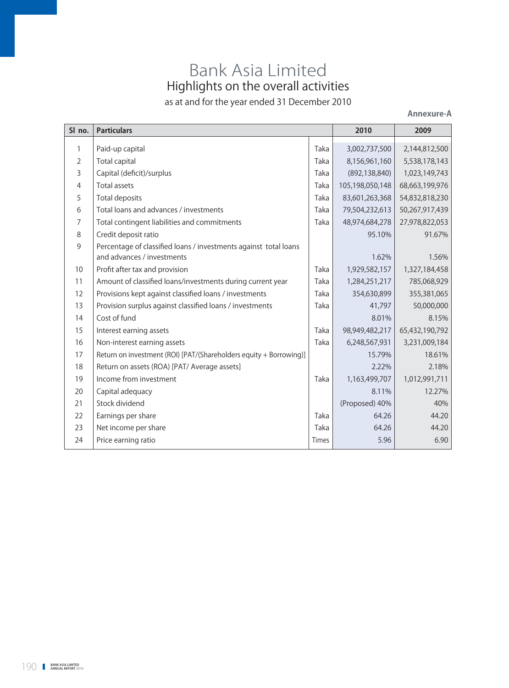# Bank Asia Limited Highlights on the overall activities as at and for the year ended 31 December 2010

**Annexure-A**

| SI no. | <b>Particulars</b>                                                 |              | 2010            | 2009           |
|--------|--------------------------------------------------------------------|--------------|-----------------|----------------|
|        |                                                                    |              |                 |                |
| 1      | Paid-up capital                                                    | Taka         | 3,002,737,500   | 2,144,812,500  |
| 2      | Total capital                                                      | Taka         | 8,156,961,160   | 5,538,178,143  |
| 3      | Capital (deficit)/surplus                                          | Taka         | (892, 138, 840) | 1,023,149,743  |
| 4      | <b>Total assets</b>                                                | Taka         | 105,198,050,148 | 68,663,199,976 |
| 5      | <b>Total deposits</b>                                              | Taka         | 83,601,263,368  | 54,832,818,230 |
| 6      | Total loans and advances / investments                             | Taka         | 79,504,232,613  | 50,267,917,439 |
| 7      | Total contingent liabilities and commitments                       | Taka         | 48,974,684,278  | 27,978,822,053 |
| 8      | Credit deposit ratio                                               |              | 95.10%          | 91.67%         |
| 9      | Percentage of classified loans / investments against total loans   |              |                 |                |
|        | and advances / investments                                         |              | 1.62%           | 1.56%          |
| 10     | Profit after tax and provision                                     | Taka         | 1,929,582,157   | 1,327,184,458  |
| 11     | Amount of classified loans/investments during current year         | Taka         | 1,284,251,217   | 785,068,929    |
| 12     | Provisions kept against classified loans / investments             | Taka         | 354,630,899     | 355,381,065    |
| 13     | Provision surplus against classified loans / investments           | Taka         | 41,797          | 50,000,000     |
| 14     | Cost of fund                                                       |              | 8.01%           | 8.15%          |
| 15     | Interest earning assets                                            | Taka         | 98,949,482,217  | 65,432,190,792 |
| 16     | Non-interest earning assets                                        | Taka         | 6,248,567,931   | 3,231,009,184  |
| 17     | Return on investment (ROI) [PAT/(Shareholders equity + Borrowing)] |              | 15.79%          | 18.61%         |
| 18     | Return on assets (ROA) [PAT/ Average assets]                       |              | 2.22%           | 2.18%          |
| 19     | Income from investment                                             | Taka         | 1,163,499,707   | 1,012,991,711  |
| 20     | Capital adequacy                                                   |              | 8.11%           | 12.27%         |
| 21     | Stock dividend                                                     |              | (Proposed) 40%  | 40%            |
| 22     | Earnings per share                                                 | Taka         | 64.26           | 44.20          |
| 23     | Net income per share                                               | Taka         | 64.26           | 44.20          |
| 24     | Price earning ratio                                                | <b>Times</b> | 5.96            | 6.90           |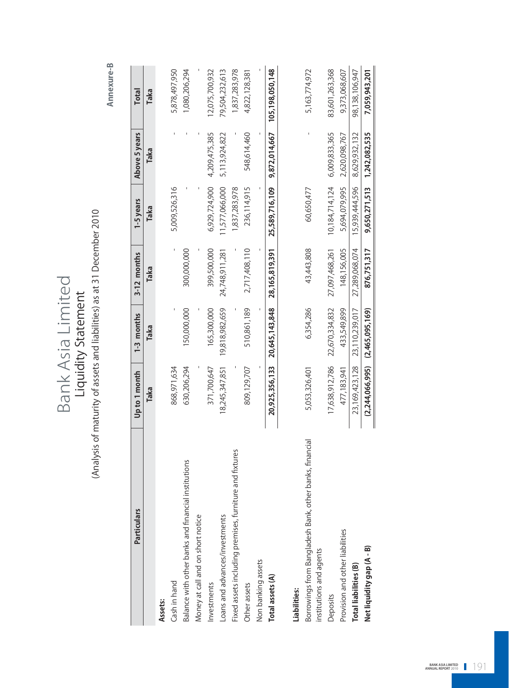# Bank Asia Limited<br>Liquidity Statement<br>(Analysis of maturity of assets and liabilities) as at 31 December 2010 (Analysis of maturity of assets and liabilities) as at 31 December 2010 Bank Asia Limited Liquidity Statement

Annexure-B **Annexure-B**

| <b>Particulars</b>                                                                 | Up to 1 month     | 1-3 months      | 3-12 months       | 1-5 years         | Above 5 years | <b>Total</b>       |
|------------------------------------------------------------------------------------|-------------------|-----------------|-------------------|-------------------|---------------|--------------------|
|                                                                                    | Taka              | Taka            | Taka              | Taka              | Taka          | Taka               |
| Assets:                                                                            |                   |                 |                   |                   |               |                    |
| Cash in hand                                                                       | 868,971,634       |                 |                   | 5,009,526,316     |               | 5,878,497,950      |
| Balance with other banks and financial institutions                                | 630,206,294       | 150,000,000     | 300,000,000       |                   |               | 1,080,206,294      |
| Money at call and on short notice                                                  |                   |                 |                   |                   |               |                    |
| Investments                                                                        | 371,700,647       | 165,300,000     | 399,500,000       | 6,929,724,900     | 4,209,475,385 | 12,075,700,932     |
| Loans and advances/investments                                                     | 18,245,347,851    | 19,818,982,659  | 24,748,911,281    | 11,577,066,000    | 5,113,924,822 | 79,504,232,613     |
| Fixed assets including premises, furniture and fixtures                            |                   |                 |                   | 1,837,283,978     |               | 1,837,283,978      |
| Other assets                                                                       | 809,129,707       | 510,861,189     | 2,717,408,110     | 236,114,915       | 548,614,460   | 4,822,128,381      |
| Non banking assets                                                                 |                   |                 |                   |                   |               |                    |
| Total assets (A)                                                                   | 20,925,356,133    | 20,645,143,848  | 28, 165, 819, 391 | 25,589,716,109    | 9,872,014,667 | 105, 198, 050, 148 |
| Liabilities:                                                                       |                   |                 |                   |                   |               |                    |
| Borrowings from Bangladesh Bank, other banks, financial<br>institutions and agents | 5,053,326,401     | 6,354,286       | 43,443,808        | 60,650,477        |               | 5,163,774,972      |
| Deposits                                                                           | 17,638,912,786    | 22,670,334,832  | 27,097,468,261    | 10, 184, 714, 124 | 6,009,833,365 | 83,601,263,368     |
| Provision and other liabilities                                                    | 477,183,941       | 433,549,899     | 148,156,005       | 5,694,079,995     | 2,620,098,767 | 9,373,068,607      |
| Total liabilities (B)                                                              | 23, 169, 423, 128 | 23,110,239,017  | 27,289,068,074    | 15,939,444,596    | 8,629,932,132 | 98,138,106,947     |
| Net liquidity gap (A - B)                                                          | (2,244,066,995)   | (2,465,095,169) | 876,751,317       | 9,650,271,513     | 1,242,082,535 | 7,059,943,201      |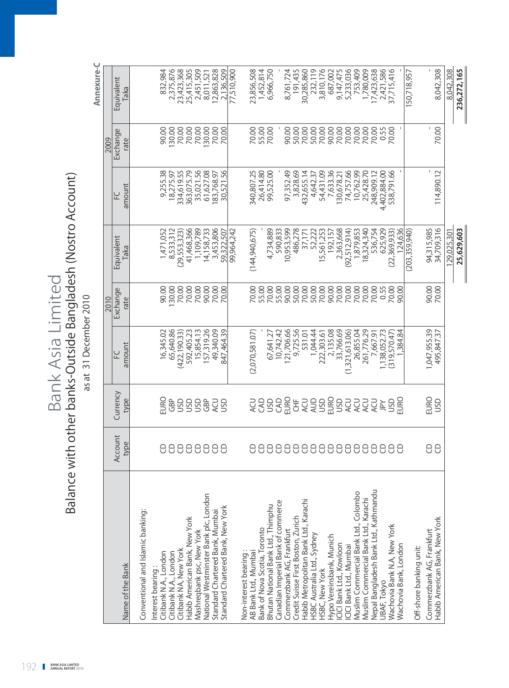Balance with other banks-Outside Bangladesh (Nostro Account)<br>as at 31 December 2010  $\text{Balance with other banks-Outside Banglades (Mostro Account)}\\ \begin{array}{c} \text{Balance with other banks-Outside Banglades (Mostro Account)}\\ \text{as at 31 December 2010} \end{array}$ 

|                                                                      |                 |                  |                         |                  |                         |                          |                  | Annexure-C              |
|----------------------------------------------------------------------|-----------------|------------------|-------------------------|------------------|-------------------------|--------------------------|------------------|-------------------------|
|                                                                      |                 |                  |                         | 2010             |                         |                          | 2009             |                         |
| Name of the Bank                                                     | Account<br>type | Currency<br>type | amount<br>F             | Exchange<br>rate | Equivalent<br>Taka      | amount<br>$\overline{F}$ | Exchange<br>rate | Equivalent<br>Taka      |
| Conventional and Islamic banking:                                    |                 |                  |                         |                  |                         |                          |                  |                         |
| Citibank N.A., London<br>nterest bearing:                            |                 | <b>DHO</b>       | 16,345.02               | 90.00            | 1,471,052               |                          | 90.00            | 832,984                 |
| Citibank N.A., London                                                |                 | GBP              | 65,640.86               | 130.00           | 8,533,312               | 9,255.38<br>18,275.97    | 130.00           | 2,375,876               |
| Citibank NA, New York                                                |                 | <b>USD</b>       | (422, 190.33)           | 70.00            | (29,553,323)            | 334,619.55               | 70.00            | 23,423,368              |
| Habib American Bank, New York<br>Mashreqbank psc, New York           |                 | usd<br>gsp       | 592,405.23<br>15,854.13 | 70.00<br>70.00   | 41,468,366<br>1,109,789 | 35,021.56<br>363,075.79  | 70.00<br>70.00   | 25,415,305<br>2,451,509 |
| National Westminster Bank plc, London                                |                 | GBP              | 157,319.26              | 90.00            | 14,158,733              | 61,627.08                | 130.00           | 8,011,521               |
| Standard Chartered Bank, New York<br>Standard Chartered Bank, Mumbai | 8888888         | <b>ACU</b>       | 49,340.09<br>847,464.39 | 70.00<br>70.00   | 3,453,806<br>59,322,507 | 30,521.56<br>183,768.97  | 70.00<br>70.00   | 12,863,828<br>2,136,509 |
|                                                                      |                 |                  |                         |                  | 99,964,242              |                          |                  | 77,510,900              |
| Non-interest bearing:                                                |                 |                  |                         |                  |                         |                          |                  |                         |
| AB Bank Ltd., Mumbai                                                 | 8               | ACU              | (2,070,581.07)          | 70.00            | (144,940,675)           | 340,807.25               | 70.00            | 23,856,508              |
| Bank of Nova Scotia, Toronto                                         | 8               | CAD              |                         | 55.00            |                         | 26,414.80                | 55.00            | 1,452,814               |
| Bhutan National Bank Ltd., Thimphu                                   | 8               | <b>USD</b>       | 67,641.27               | 70.00            | 4,734,889               | 99,525.00                | 70.00            | 6,966,750               |
| Canadian Imperial Bank of commerce                                   | 888             | GAD              | 10,742.42               | 55.00            | 590,833                 |                          |                  |                         |
| Commerzbank AG, Frankfurt                                            |                 | <b>DHU</b>       | 121,706.66              | 90.00            | 10,953,599              | 97,352.49                | 90.00            | 8,761,724               |
| Credit Suisse First Boston, Zurich                                   |                 | 告                | 9,725.56                | 50.00            | 486,278                 | 3,828.69                 | 50.00            | 191,435                 |
| Habib Metropolitan Bank Ltd., Karachi                                |                 | ACU              | 531.01                  | 70.00            | 37,171                  | 432,655.14               | 70.00            | 30,285,860              |
| HSBC Australia Ltd., Sydney                                          |                 | <b>AUD</b>       | 1,044.44                | 50.00            | 52,222                  | 4,642.37                 | 50.00            | 232,119                 |
| <b>HSBC, New York</b>                                                |                 |                  | 222,303.61              | 70.00            | 15,561,253              | 54,431.09                | 70.00            | 3,810,176               |
| Hypo Vereinsbank, Munich                                             |                 | EURO             | 2,135.08                | 90.00            | 192,157                 | 7,633.36                 | 90.00            | 687,002                 |
| CICI Bank Ltd., Kowloon                                              | 88888888        | <b>USD</b>       | 33,766.69               | 70.00            | 2,363,668               | 130,678.21               | 70.00            | 9,147,475               |
| ICICI Bank Ltd., Mumbai                                              |                 | ACU              | (1,321,613.06)          | 70.00            | (92,512,914)            | 74,757.66                | 70.00            | 5,233,036               |
| Muslim Commercial Bank Ltd., Colombo                                 |                 | ACU              | 26,855.04               | 70.00            | 1,879,853               | 10,762.99                | 70.00            | 753,409                 |
| Muslim Commercial Bank Ltd., Karachi                                 |                 | ACU              | 261,776.29              | 70.00            | 18,324,340              | 25,428.70                | 70.00            | 1,780,009               |
| Nepal Bangladesh Bank Ltd., Kathmandu                                | $\Theta$        | ACU              | 7,667.91                | 70.00            | 536,754                 | 248,909.12               | 70.00            | 17,423,638              |
| UBAF, Tokyo                                                          | 8               | λď               | 1,138,052.73            | 0.55             | 625,929                 | 4,402,884.00             | 0.55             | 2,421,586               |
| Wachovia Bank N.A, New York                                          | 88              | gsp              | (319,570.47)            | 70.00            | (22,369,933)            | 538,791.66               | 70.00            | 37,715,416              |
| Wachovia Bank, London                                                |                 | <b>DHO</b>       | 1,384.84                | 90.00            | 124,636                 |                          |                  |                         |
| Off-shore banking unit:                                              |                 |                  |                         |                  | (203,359,940)           |                          |                  | 150,718,957             |
| Commerzbank AG, Frankfurt                                            | 8               | EURO             | 1,047,955.39            | 90.00            | 94,315,985              |                          |                  |                         |
| Habib American Bank, New York                                        | $\Theta$        | <b>USD</b>       | 495,847.37              | 70.00            | 34,709,316              | 114,890.12               | 70.00            | 8,042,308               |
|                                                                      |                 |                  |                         |                  | 129,025,301             |                          |                  | 8,042,308               |
|                                                                      |                 |                  |                         |                  | 25,629,603              |                          |                  | 236,272,165             |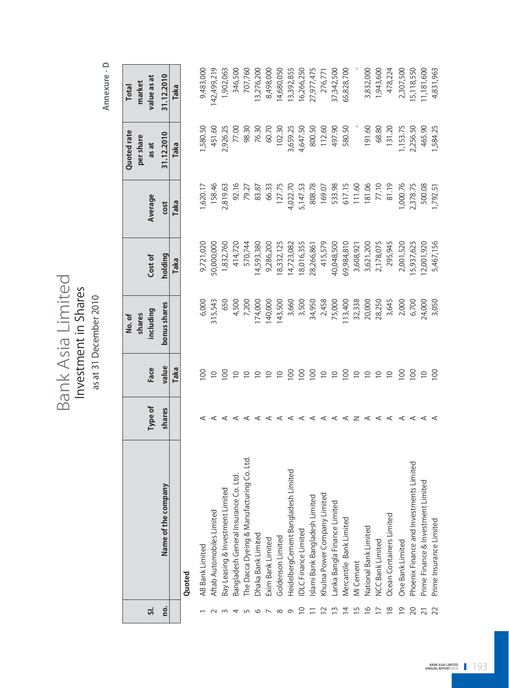# Bank Asia Limited<br>Investment in Shares Bank Asia Limited Investment in Shares as at 31 December 2010 as at 31 December 2010

Annexure - D **Annexure - D**

|                |                                           |                 |                  | No.of        |            |          | Quoted rate | <b>Total</b> |
|----------------|-------------------------------------------|-----------------|------------------|--------------|------------|----------|-------------|--------------|
|                |                                           |                 |                  | shares       |            |          | per share   | market       |
| <u>si</u>      |                                           | Type of         | Face             | including    | Cost of    | Average  | as at       | value as at  |
| <u>io</u>      | Name of the company                       | shares          | value            | bonus shares | holding    | cost     | 31.12.2010  | 31.12.2010   |
|                |                                           |                 | Taka             |              | Taka       | Taka     | Taka        | Taka         |
|                | Quoted                                    |                 |                  |              |            |          |             |              |
|                | AB Bank Limited                           |                 | 100              | 6,000        | 9,721,020  | 1,620.17 | 1,580.50    | 9,483,000    |
|                | Aftab Automobiles Limited                 | $\prec$ $\prec$ | $\overline{0}$   | 315,543      | 50,000,000 | 158.46   | 451.60      | 142,499,219  |
|                | Bay Leasing & Investment Limited          | $\prec$         | $\overline{100}$ | 650          | 1,832,760  | 2,819.63 | 2,926.25    | 1,902,063    |
|                | Bangladesh General Insurance Co. Ltd.     | $\prec$         | $\overline{0}$   | 4,500        | 414,720    | 92.16    | 77.00       | 346,500      |
|                | The Dacca Dyeing & Manufacturing Co. Ltd. | ⋖               | $\overline{C}$   | 7,200        | 570,744    | 79.27    | 98.30       | 707,760      |
|                | Dhaka Bank Limited                        | ⋖               | $\overline{C}$   | 174,000      | 14,593,380 | 83.87    | 76.30       | 13,276,200   |
|                | Exim Bank Limited                         | ⋖               | $\supseteq$      | 140,000      | 9,286,200  | 66.33    | 60.70       | 8,498,000    |
| $\infty$       | Goldenson Limited                         | ⋖               | $\supseteq$      | 143,500      | 18,332,125 | 127.75   | 102.30      | 14,680,050   |
|                | HeidelbergCement Bangladesh Limited       | $\prec$         | $\overline{100}$ | 3,660        | 14,723,082 | 4,022.70 | 3,659.25    | 13,392,855   |
|                | DLC Finance Limited                       | ⋖               | 100              | 3,500        | 8,016,355  | 5,147.53 | 4,647.50    | 16,266,250   |
|                | Islami Bank Bangladesh Limited            | $\prec$         | 100              | 34,950       | 28,266,861 | 808.78   | 800.50      | 27,977,475   |
|                | Khulna Power Company Limited              | $\prec$         | $\supseteq$      | 2,458        | 415,579    | 169.07   | 112.60      | 276,771      |
|                | Lanka Bangla Finance Limited              | ⋖               | $\supseteq$      | 75,000       | 40,048,500 | 533.98   | 497.90      | 37, 342, 500 |
| 4              | Mercantile Bank Limited                   | ⋖               | $\overline{100}$ | 113,400      | 69,984,810 | 617.15   | 580.50      | 65,828,700   |
|                | MI Cement                                 | Z               | $\supseteq$      | 32,338       | 3,608,921  | 111.60   |             |              |
|                | National Bank Limited                     | $\prec$         | $\supseteq$      | 20,000       | 3,621,200  | 181.06   | 191.60      | 3,832,000    |
|                | NCC Bank Limited                          | ⋖               | $\overline{C}$   | 28,250       | 2,178,075  | 77.10    | 68.80       | 1,943,600    |
| $\frac{8}{1}$  | Ocean Containers Limited                  | ⋖               | $\overline{0}$   | 3,645        | 295,945    | 81.19    | 131.20      | 478,224      |
| $\overline{0}$ | One Bank Limited                          | ⋖               | 100              | 2,000        | 2,001,520  | 1,000.76 | 1,153.75    | 2,307,500    |
| 20             | Phoenix Finance and Investments Limited   | $\prec$         | $\overline{100}$ | 6,700        | 5,937,625  | 2,378.75 | 2,256.50    | 15,118,550   |
|                | Prime Finance & Investment Limited        | $\prec$         | $\supseteq$      | 24,000       | 2,001,920  | 500.08   | 465.90      | 11,181,600   |
| 22             | Prime Insurance Limited                   | $\prec$         | 100              | 3,050        | 5,467,156  | 1,792.51 | 1,584.25    | 4,831,963    |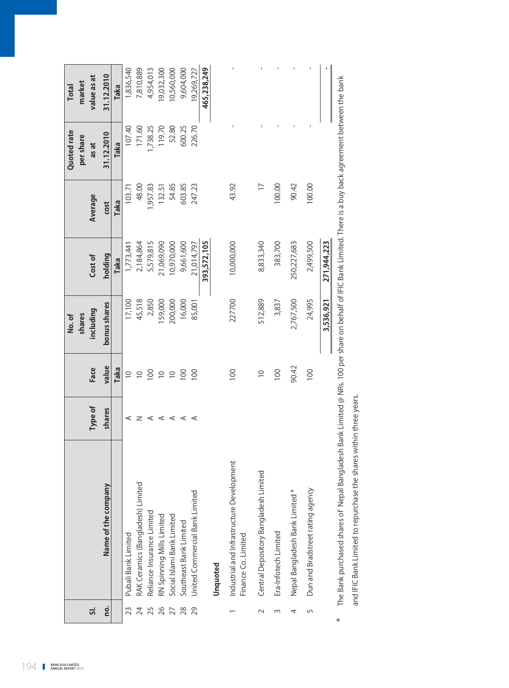| <b>Total</b> | value as at<br>market | 31.12.2010          | Taka | 1,836,540           | 7,810,889                         | 4,954,013                  | 19,032,300                | 10,560,000                 | 9,604,000              | 19,269,727                     | 465,238,249 |          | $\overline{1}$                                                   |                                       |                      |                                 |                                  |             |
|--------------|-----------------------|---------------------|------|---------------------|-----------------------------------|----------------------------|---------------------------|----------------------------|------------------------|--------------------------------|-------------|----------|------------------------------------------------------------------|---------------------------------------|----------------------|---------------------------------|----------------------------------|-------------|
| Quoted rate  | per share<br>as at    | 31.12.2010          | Taka | 107.40              | 171.60                            | 1,738.25                   | 119.70                    | 52.80                      | 600.25                 | 226.70                         |             |          |                                                                  |                                       |                      |                                 | ı                                |             |
|              | Average               | <b>cost</b>         | Taka | 103.71              | 48.00                             | 1,957.83                   | 132.51                    | 54.85                      | 603.85                 | 247.23                         |             |          | 43.92                                                            | $\overline{1}$                        | 100.00               | 90.42                           | 100.00                           |             |
|              | Cost of               | holding             | Taka | 1,773,441           | 2,184,864                         | 5,579,815                  | 21,069,090                | 10,970,000                 | 9,661,600              | 21,014,797                     | 393,572,105 |          | 10,000,000                                                       | 8,833,340                             | 383,700              | 250,227,683                     | 2,499,500                        | 271,944,223 |
| No.of        | including<br>shares   | bonus shares        |      | 17,100              | 45,518                            | 2,850                      | 59,000                    | 200,000                    | 16,000                 | 85,001                         |             |          | 227700                                                           | 512,889                               | 3,837                | 2,767,500                       | 24,995                           | 3,536,921   |
|              | Face                  | value               | Taka | $\supseteq$         | $\overline{C}$                    | 100                        | $\overline{C}$            | $\overline{C}$             | 100                    | 100                            |             |          | 100                                                              | $\supseteq$                           | $\overline{001}$     | 90.42                           | 100                              |             |
|              | Type of               | hares<br>ज          |      | ⋖                   | z                                 | ⋖                          | $\prec$                   | ⋖                          | ⋖                      | ⋖                              |             |          |                                                                  |                                       |                      |                                 |                                  |             |
|              |                       | Name of the company |      | Pubali Bank Limited | RAK Ceramics (Bangladesh) Limited | Reliance Insurance Limited | RN Spinning Mills Limited | Social Islami Bank Limited | Southeast Bank Limited | United Commercial Bank Limited |             | Unquoted | Industrial and Infrastructure Development<br>Finance Co. Limited | Central Depository Bangladesh Limited | Era-Infotech Limited | Nepal Bangladesh Bank Limited * | Dun and Bradstreet rating agency |             |
|              | <u>ត</u> ់            | no.                 |      | 23                  |                                   |                            | 26                        |                            | 28                     |                                |             |          |                                                                  | $\sim$                                | 3                    | 4                               | 5                                |             |

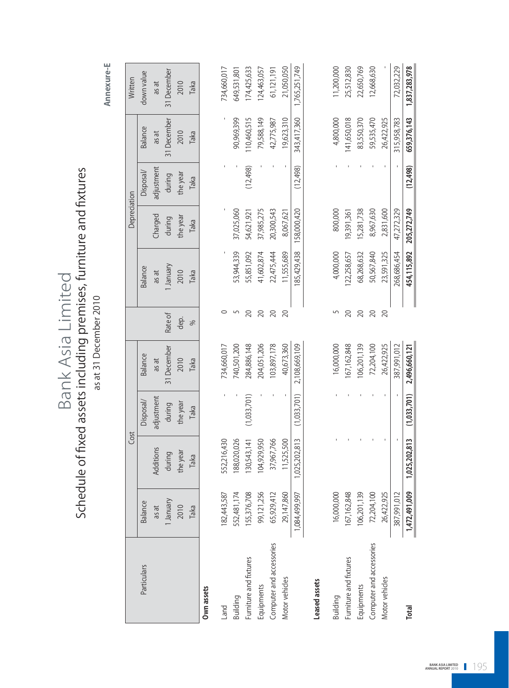# Bank Asia Limited<br>Schedule of fixed assets including premises, furniture and fixtures Schedule of fixed assets including premises, furniture and fixtures Bank Asia Limited as at 31 December 2010 as at 31 December 2010

Annexure-E **Annexure-E**

|                          |                | Cost             |             |                |                 |                | Depreciation |            |                | Written       |
|--------------------------|----------------|------------------|-------------|----------------|-----------------|----------------|--------------|------------|----------------|---------------|
| Particulars              | <b>Balance</b> |                  | Disposal/   | <b>Balance</b> |                 | <b>Balance</b> |              | Disposal/  | <b>Balance</b> | down value    |
|                          | as at          | <b>Additions</b> | adjustment  | as at          |                 | as at          | Charged      | adjustment | as at          | as at         |
|                          | 1 January      | during           | during      | 31 December    | Rate of         | 1 January      | during       | during     | 31 December    | 31 December   |
|                          | 2010           | the year         | the year    | 2010           | dep.            | 2010           | the year     | the year   | 2010           | 2010          |
|                          | Taka           | Taka             | Taka        | Taka           | $\%$            | Taka           | Taka         | Taka       | Taka           | Taka          |
| Own assets               |                |                  |             |                |                 |                |              |            |                |               |
| Land                     | 82,443,587     | 552,216,430      |             | 734,660,017    |                 |                |              |            |                | 734,660,017   |
| Building                 | 552,481,174    | 188,020,026      |             | 740,501,200    |                 | 53,944,339     | 37,025,060   |            | 90,969,399     | 649,531,801   |
| Furniture and fixtures   | 55,376,708     | 130,543,141      | (103, 701)  | 284,886,148    | 20              | 55,851,092     | 54,621,921   | (12, 498)  | 110,460,515    | 174,425,633   |
| Equipments               | 99,121,256     | 104,929,950      |             | 204,051,206    | 20              | 41,602,874     | 37,985,275   |            | 79,588,149     | 124,463,057   |
| Computer and accessories | 65,929,412     | 37,967,766       |             | 103,897,178    | $\overline{20}$ | 22,475,444     | 20,300,543   |            | 42,775,987     | 61,121,191    |
| Motor vehicles           | 29,147,860     | 11,525,500       |             | 40,673,360     | 20              | 11,555,689     | 8,067,621    |            | 19,623,310     | 21,050,050    |
|                          | 1,084,499,997  | 1,025,202,813    | (033,701)   | 2,108,669,109  |                 | 85,429,438     | 58,000,420   | (12, 498)  | 343,417,360    | 1,765,251,749 |
| Leased assets            |                |                  |             |                |                 |                |              |            |                |               |
| Building                 | 16,000,000     |                  |             | 16,000,000     |                 | 4,000,000      | 800,000      |            | 4,800,000      | 11,200,000    |
| Furniture and fixtures   | 167,162,848    |                  |             | 167, 162, 848  | $\Omega$        | 122,258,657    | 19,391,361   |            | 141,650,018    | 25,512,830    |
| Equipments               | 106,201,139    |                  |             | 106,201,139    | $\overline{20}$ | 68,268,632     | 15,281,738   |            | 83,550,370     | 22,650,769    |
| Computer and accessories | 72,204,100     |                  |             | 72,204,100     | $\overline{20}$ | 50,567,840     | 8,967,630    |            | 59,535,470     | 12,668,630    |
| Motor vehicles           | 26,422,925     |                  |             | 26,422,925     | 20              | 23,591,325     | 2,831,600    |            | 26,422,925     |               |
|                          | 387,991,012    |                  |             | 387,991,012    |                 | 268,686,454    | 47,272,329   |            | 315,958,783    | 72,032,229    |
| <b>Total</b>             | 1,472,491,009  | 1,025,202,813    | (1033, 701) | 2,496,660,121  |                 | 454,115,892    | 205,272,749  | (12, 498)  | 659,376,143    | 1,837,283,978 |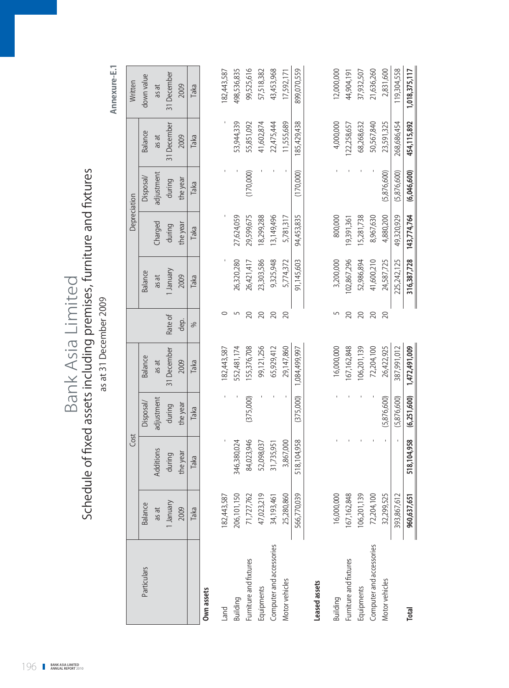Annexure-E.1 **Annexure-E.1**

as at 31 December 2009

as at 31 December 2009

Bank Asia Limited<br>Schedule of fixed assets including premises, furniture and fixtures

|                     |                | Cost      |                      |                |         |                | Depreciation |            |                | Written     |
|---------------------|----------------|-----------|----------------------|----------------|---------|----------------|--------------|------------|----------------|-------------|
| Particulars         | <b>Balance</b> |           | Disposal/            | <b>Balance</b> |         | <b>Balance</b> |              | Oisposal/  | <b>Balance</b> | down value  |
|                     | as at          | Additions |                      | as at          |         | as at          | Charged      | idjustment | as at          | as at       |
|                     | January        | during    | adjustment<br>during | 1 December     | Rate of | <b>January</b> | during       | during     | 31 December,   | 31 December |
|                     | 2009           | the year  | the year             | 2009           | dep.    | 2009           | the year     | the year   | 2009           | 2009        |
|                     | Taka           | Taka      | aka                  | Taka           |         | Taka           | Taka         | Taka       | Taka           | Taka        |
| Automobile Property |                |           |                      |                |         |                |              |            |                |             |

# Own assets **Own assets**

| pue                     | 32,443,587              |            |           | 82,443,587                |            |              |           |             | 82,443,587  |
|-------------------------|-------------------------|------------|-----------|---------------------------|------------|--------------|-----------|-------------|-------------|
|                         | 706,101,150             | 46,380,024 |           | 52,481,17                 | 26,320,280 | 27,624,059   |           | 53,944,339  | 198,536,835 |
| urniture and fixtures   | 71,727,762              | 34,023,946 | (375,000) | 55,376,708                | 26,421,417 | 29,599,675   | (170,000) | 5,851,092   | 99,525,616  |
| quipments               | 47,023,219              | 52,098,037 |           | 99,121,256                | 13,303,586 | 18,299,288   |           | 1,602,874   | 57,518,382  |
| omputer and accessories | 34,193,461              | 31,735,951 |           | 65,929,412                | 9,325,948  | 13, 149, 496 |           | 22,475,444  | 43,453,968  |
| lotor vehicles          | 25,280,860              | 3,867,000  |           | 29,147,860                | 5,774,372  | 5,781,317    |           | 1,555,689   | 7,592,171   |
|                         | 566,770,039 518,104,958 |            |           | $(375,000)$ 1,084,499,957 | 91,145,603 | 94,453,835   | (170,000) | 185,429,438 | 399,070,559 |
|                         |                         |            |           |                           |            |              |           |             |             |

# Leased assets **Leased assets**

| uilding                      | 5,000,000   |                         |             | 16,000,000                           | 3,200,000             | 800,000                          | 4,000,000                                                     | 12,000,000 |
|------------------------------|-------------|-------------------------|-------------|--------------------------------------|-----------------------|----------------------------------|---------------------------------------------------------------|------------|
| urniture and fixtures        | 167,162,848 |                         |             | 167, 162, 848                        | 102,867,296           | 19,391,36                        | 22,258,657                                                    | 44,904,191 |
| auipments                    | 06,201,139  |                         |             | 106,201,139                          | 52,986,894 15,281,738 |                                  | 68,268,632                                                    | 37,932,507 |
| computer and accessories     | 72,204,100  |                         |             | 72,204,100                           | 41,600,210            | 8,967,630                        | 50,567,840                                                    | 21,636,260 |
| <b><i>Aotor</i></b> vehicles | 32,299,525  |                         | (5,876,600) | 26,422,925                           |                       | 24,587,725 4,880,200 (5,876,600) | 23,591,325                                                    | 2,831,600  |
|                              | 393,867,612 |                         |             | $(5,876,600)$ 387,991,012            |                       |                                  | 225,242,125 49,320,929 (5,876,600) 268,686,454 119,304,558    |            |
| <b>Total</b>                 |             | 960,637,651 518,104,958 |             | $(6, 251, 600)$ $(1, 472, 491, 009)$ |                       |                                  | 316,387,728 143,774,764 (6,046,600) 454,115,892 1,018,375,117 |            |
|                              |             |                         |             |                                      |                       |                                  |                                                               |            |

2,831,600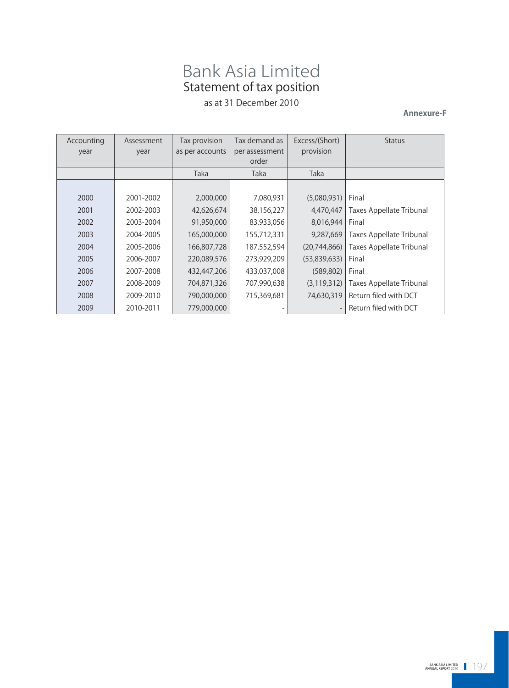# Bank Asia Limited Statement of tax position

as at 31 December 2010

**Annexure-F**

| Accounting | Assessment | Tax provision   | Tax demand as  | Excess/(Short) | <b>Status</b>                   |
|------------|------------|-----------------|----------------|----------------|---------------------------------|
| year       | year       | as per accounts | per assessment | provision      |                                 |
|            |            |                 | order          |                |                                 |
|            |            | Taka            | Taka           | Taka           |                                 |
|            |            |                 |                |                |                                 |
| 2000       | 2001-2002  | 2,000,000       | 7,080,931      | (5,080,931)    | Final                           |
| 2001       | 2002-2003  | 42,626,674      | 38,156,227     | 4,470,447      | <b>Taxes Appellate Tribunal</b> |
| 2002       | 2003-2004  | 91,950,000      | 83,933,056     | 8,016,944      | Final                           |
| 2003       | 2004-2005  | 165,000,000     | 155,712,331    | 9,287,669      | <b>Taxes Appellate Tribunal</b> |
| 2004       | 2005-2006  | 166,807,728     | 187,552,594    | (20,744,866)   | <b>Taxes Appellate Tribunal</b> |
| 2005       | 2006-2007  | 220,089,576     | 273,929,209    | (53,839,633)   | Final                           |
| 2006       | 2007-2008  | 432,447,206     | 433,037,008    | (589, 802)     | Final                           |
| 2007       | 2008-2009  | 704,871,326     | 707,990,638    | (3, 119, 312)  | <b>Taxes Appellate Tribunal</b> |
| 2008       | 2009-2010  | 790,000,000     | 715,369,681    | 74,630,319     | Return filed with DCT           |
| 2009       | 2010-2011  | 779,000,000     |                |                | Return filed with DCT           |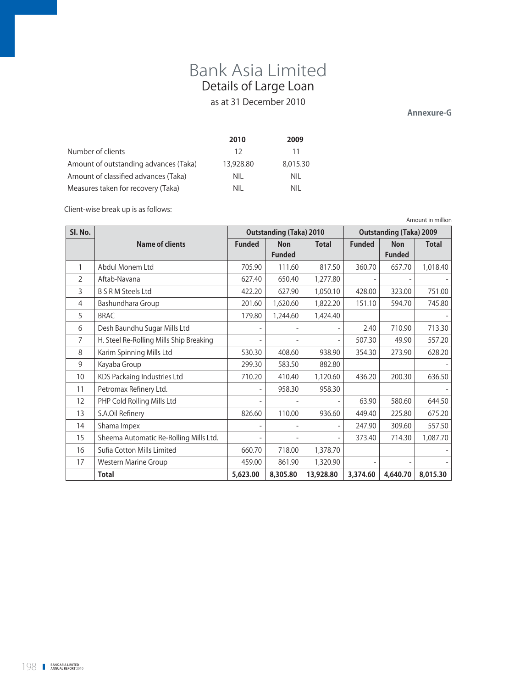# Bank Asia Limited Details of Large Loan as at 31 December 2010

**Annexure-G**

|                                       | 2010      | 2009     |
|---------------------------------------|-----------|----------|
| Number of clients                     | 12        | 11       |
| Amount of outstanding advances (Taka) | 13,928.80 | 8,015.30 |
| Amount of classified advances (Taka)  | NIL       | NIL      |
| Measures taken for recovery (Taka)    | NII       | NII      |

Client-wise break up is as follows:

|                |                                         |               |                                |              |               |                                | Amount in million |
|----------------|-----------------------------------------|---------------|--------------------------------|--------------|---------------|--------------------------------|-------------------|
| SI. No.        |                                         |               | <b>Outstanding (Taka) 2010</b> |              |               | <b>Outstanding (Taka) 2009</b> |                   |
|                | Name of clients                         | <b>Funded</b> | <b>Non</b>                     | <b>Total</b> | <b>Funded</b> | <b>Non</b>                     | <b>Total</b>      |
|                |                                         |               | <b>Funded</b>                  |              |               | <b>Funded</b>                  |                   |
| 1              | Abdul Monem Ltd                         | 705.90        | 111.60                         | 817.50       | 360.70        | 657.70                         | 1,018.40          |
| $\overline{2}$ | Aftab-Navana                            | 627.40        | 650.40                         | 1,277.80     |               |                                |                   |
| 3              | <b>B S R M Steels Ltd</b>               | 422.20        | 627.90                         | 1,050.10     | 428.00        | 323.00                         | 751.00            |
| 4              | Bashundhara Group                       | 201.60        | 1,620.60                       | 1,822.20     | 151.10        | 594.70                         | 745.80            |
| 5              | <b>BRAC</b>                             | 179.80        | 1,244.60                       | 1,424.40     |               |                                |                   |
| 6              | Desh Baundhu Sugar Mills Ltd            |               |                                |              | 2.40          | 710.90                         | 713.30            |
| $\overline{7}$ | H. Steel Re-Rolling Mills Ship Breaking |               |                                |              | 507.30        | 49.90                          | 557.20            |
| 8              | Karim Spinning Mills Ltd                | 530.30        | 408.60                         | 938.90       | 354.30        | 273.90                         | 628.20            |
| 9              | Kayaba Group                            | 299.30        | 583.50                         | 882.80       |               |                                |                   |
| 10             | KDS Packaing Industries Ltd             | 710.20        | 410.40                         | 1,120.60     | 436.20        | 200.30                         | 636.50            |
| 11             | Petromax Refinery Ltd.                  |               | 958.30                         | 958.30       |               |                                |                   |
| 12             | PHP Cold Rolling Mills Ltd              |               |                                |              | 63.90         | 580.60                         | 644.50            |
| 13             | S.A.Oil Refinery                        | 826.60        | 110.00                         | 936.60       | 449.40        | 225.80                         | 675.20            |
| 14             | Shama Impex                             |               |                                |              | 247.90        | 309.60                         | 557.50            |
| 15             | Sheema Automatic Re-Rolling Mills Ltd.  |               |                                |              | 373.40        | 714.30                         | 1,087.70          |
| 16             | Sufia Cotton Mills Limited              | 660.70        | 718.00                         | 1,378.70     |               |                                |                   |
| 17             | Western Marine Group                    | 459.00        | 861.90                         | 1,320.90     |               |                                |                   |
|                | <b>Total</b>                            | 5,623.00      | 8,305.80                       | 13,928.80    | 3,374.60      | 4,640.70                       | 8,015.30          |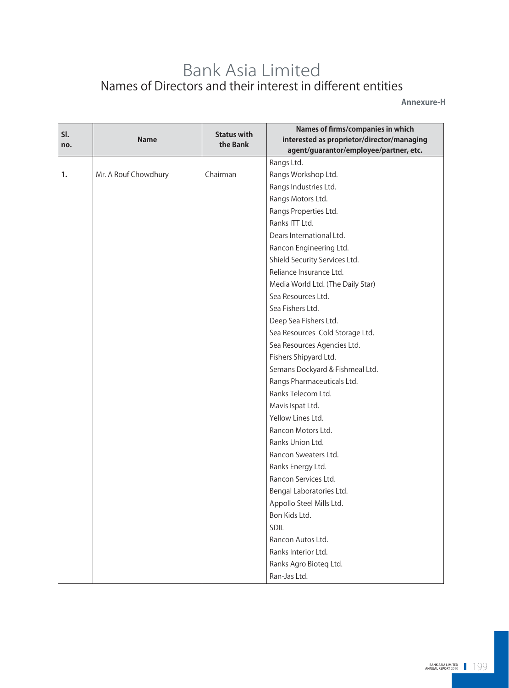# Bank Asia Limited Names of Directors and their interest in different entities

**Annexure-H**

| SI.<br>no. | <b>Name</b>          | <b>Status with</b><br>the Bank | Names of firms/companies in which<br>interested as proprietor/director/managing<br>agent/guarantor/employee/partner, etc. |
|------------|----------------------|--------------------------------|---------------------------------------------------------------------------------------------------------------------------|
|            |                      |                                | Rangs Ltd.                                                                                                                |
| 1.         | Mr. A Rouf Chowdhury | Chairman                       | Rangs Workshop Ltd.                                                                                                       |
|            |                      |                                | Rangs Industries Ltd.                                                                                                     |
|            |                      |                                | Rangs Motors Ltd.                                                                                                         |
|            |                      |                                | Rangs Properties Ltd.                                                                                                     |
|            |                      |                                | Ranks ITT Ltd.                                                                                                            |
|            |                      |                                | Dears International Ltd.                                                                                                  |
|            |                      |                                | Rancon Engineering Ltd.                                                                                                   |
|            |                      |                                | Shield Security Services Ltd.                                                                                             |
|            |                      |                                | Reliance Insurance Ltd.                                                                                                   |
|            |                      |                                | Media World Ltd. (The Daily Star)                                                                                         |
|            |                      |                                | Sea Resources Ltd.                                                                                                        |
|            |                      |                                | Sea Fishers Ltd.                                                                                                          |
|            |                      |                                | Deep Sea Fishers Ltd.                                                                                                     |
|            |                      |                                | Sea Resources Cold Storage Ltd.                                                                                           |
|            |                      |                                | Sea Resources Agencies Ltd.                                                                                               |
|            |                      |                                | Fishers Shipyard Ltd.                                                                                                     |
|            |                      |                                | Semans Dockyard & Fishmeal Ltd.                                                                                           |
|            |                      |                                | Rangs Pharmaceuticals Ltd.                                                                                                |
|            |                      |                                | Ranks Telecom Ltd.                                                                                                        |
|            |                      |                                | Mavis Ispat Ltd.                                                                                                          |
|            |                      |                                | Yellow Lines Ltd.                                                                                                         |
|            |                      |                                | Rancon Motors Ltd.                                                                                                        |
|            |                      |                                | Ranks Union Ltd.                                                                                                          |
|            |                      |                                | Rancon Sweaters Ltd.                                                                                                      |
|            |                      |                                | Ranks Energy Ltd.                                                                                                         |
|            |                      |                                | Rancon Services Ltd.                                                                                                      |
|            |                      |                                | Bengal Laboratories Ltd.                                                                                                  |
|            |                      |                                | Appollo Steel Mills Ltd.                                                                                                  |
|            |                      |                                | Bon Kids Ltd.                                                                                                             |
|            |                      |                                | SDIL                                                                                                                      |
|            |                      |                                | Rancon Autos Ltd.                                                                                                         |
|            |                      |                                | Ranks Interior Ltd.                                                                                                       |
|            |                      |                                | Ranks Agro Bioteq Ltd.                                                                                                    |
|            |                      |                                | Ran-Jas Ltd.                                                                                                              |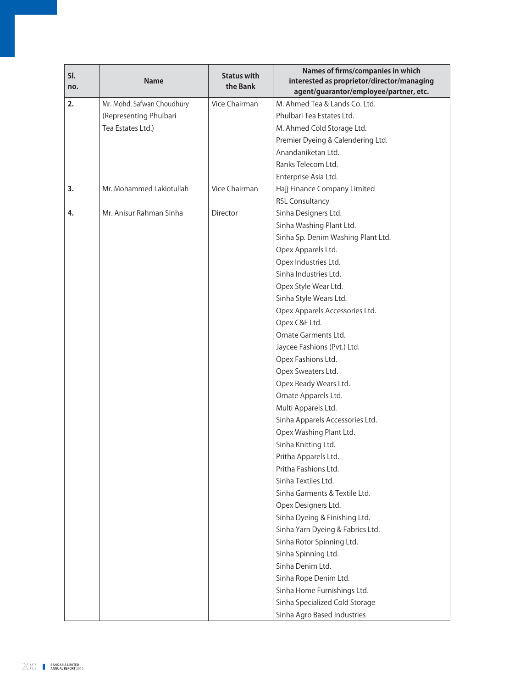| SI.<br>no. | <b>Name</b>                | <b>Status with</b><br>the Bank | Names of firms/companies in which<br>interested as proprietor/director/managing<br>agent/guarantor/employee/partner, etc. |
|------------|----------------------------|--------------------------------|---------------------------------------------------------------------------------------------------------------------------|
| 2.         | Mr. Mohd. Safwan Choudhury | Vice Chairman                  | M. Ahmed Tea & Lands Co. Ltd.                                                                                             |
|            | (Representing Phulbari     |                                | Phulbari Tea Estates Ltd.                                                                                                 |
|            | Tea Estates Ltd.)          |                                | M. Ahmed Cold Storage Ltd.                                                                                                |
|            |                            |                                | Premier Dyeing & Calendering Ltd.                                                                                         |
|            |                            |                                | Anandaniketan Ltd.                                                                                                        |
|            |                            |                                | Ranks Telecom Ltd.                                                                                                        |
|            |                            |                                | Enterprise Asia Ltd.                                                                                                      |
| 3.         | Mr. Mohammed Lakiotullah   | Vice Chairman                  | Hajj Finance Company Limited                                                                                              |
|            |                            |                                | <b>RSL Consultancy</b>                                                                                                    |
| 4.         | Mr. Anisur Rahman Sinha    | <b>Director</b>                | Sinha Designers Ltd.                                                                                                      |
|            |                            |                                | Sinha Washing Plant Ltd.                                                                                                  |
|            |                            |                                | Sinha Sp. Denim Washing Plant Ltd.                                                                                        |
|            |                            |                                | Opex Apparels Ltd.                                                                                                        |
|            |                            |                                | Opex Industries Ltd.                                                                                                      |
|            |                            |                                | Sinha Industries Ltd.                                                                                                     |
|            |                            |                                | Opex Style Wear Ltd.                                                                                                      |
|            |                            |                                | Sinha Style Wears Ltd.                                                                                                    |
|            |                            |                                | Opex Apparels Accessories Ltd.                                                                                            |
|            |                            |                                | Opex C&F Ltd.                                                                                                             |
|            |                            |                                | Ornate Garments Ltd.                                                                                                      |
|            |                            |                                | Jaycee Fashions (Pvt.) Ltd.                                                                                               |
|            |                            |                                | Opex Fashions Ltd.                                                                                                        |
|            |                            |                                | Opex Sweaters Ltd.                                                                                                        |
|            |                            |                                | Opex Ready Wears Ltd.                                                                                                     |
|            |                            |                                | Ornate Apparels Ltd.                                                                                                      |
|            |                            |                                | Multi Apparels Ltd.                                                                                                       |
|            |                            |                                | Sinha Apparels Accessories Ltd.                                                                                           |
|            |                            |                                | Opex Washing Plant Ltd.                                                                                                   |
|            |                            |                                | Sinha Knitting Ltd.                                                                                                       |
|            |                            |                                | Pritha Apparels Ltd.                                                                                                      |
|            |                            |                                | Pritha Fashions Ltd.                                                                                                      |
|            |                            |                                | Sinha Textiles Ltd.                                                                                                       |
|            |                            |                                | Sinha Garments & Textile Ltd.                                                                                             |
|            |                            |                                | Opex Designers Ltd.                                                                                                       |
|            |                            |                                | Sinha Dyeing & Finishing Ltd.                                                                                             |
|            |                            |                                | Sinha Yarn Dyeing & Fabrics Ltd.                                                                                          |
|            |                            |                                | Sinha Rotor Spinning Ltd.                                                                                                 |
|            |                            |                                | Sinha Spinning Ltd.                                                                                                       |
|            |                            |                                | Sinha Denim Ltd.                                                                                                          |
|            |                            |                                | Sinha Rope Denim Ltd.                                                                                                     |
|            |                            |                                | Sinha Home Furnishings Ltd.                                                                                               |
|            |                            |                                | Sinha Specialized Cold Storage                                                                                            |
|            |                            |                                | Sinha Agro Based Industries                                                                                               |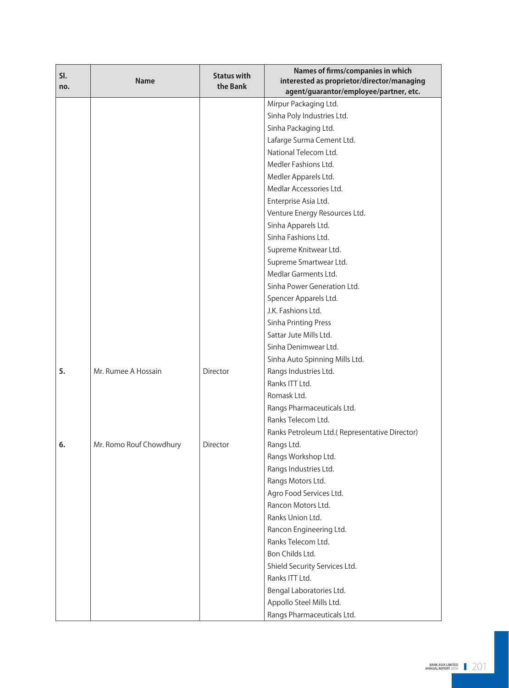| SI.<br>no. | <b>Name</b>             | <b>Status with</b><br>the Bank | Names of firms/companies in which<br>interested as proprietor/director/managing<br>agent/guarantor/employee/partner, etc. |
|------------|-------------------------|--------------------------------|---------------------------------------------------------------------------------------------------------------------------|
|            |                         |                                | Mirpur Packaging Ltd.                                                                                                     |
|            |                         |                                | Sinha Poly Industries Ltd.                                                                                                |
|            |                         |                                | Sinha Packaging Ltd.                                                                                                      |
|            |                         |                                | Lafarge Surma Cement Ltd.                                                                                                 |
|            |                         |                                | National Telecom Ltd.                                                                                                     |
|            |                         |                                | Medler Fashions Ltd.                                                                                                      |
|            |                         |                                | Medler Apparels Ltd.                                                                                                      |
|            |                         |                                | Medlar Accessories Ltd.                                                                                                   |
|            |                         |                                | Enterprise Asia Ltd.                                                                                                      |
|            |                         |                                | Venture Energy Resources Ltd.                                                                                             |
|            |                         |                                | Sinha Apparels Ltd.                                                                                                       |
|            |                         |                                | Sinha Fashions Ltd.                                                                                                       |
|            |                         |                                | Supreme Knitwear Ltd.                                                                                                     |
|            |                         |                                | Supreme Smartwear Ltd.                                                                                                    |
|            |                         |                                | Medlar Garments Ltd.                                                                                                      |
|            |                         |                                | Sinha Power Generation Ltd.                                                                                               |
|            |                         |                                | Spencer Apparels Ltd.                                                                                                     |
|            |                         |                                | J.K. Fashions Ltd.                                                                                                        |
|            |                         |                                | Sinha Printing Press                                                                                                      |
|            |                         |                                | Sattar Jute Mills Ltd.                                                                                                    |
|            |                         |                                | Sinha Denimwear Ltd.                                                                                                      |
|            |                         |                                | Sinha Auto Spinning Mills Ltd.                                                                                            |
| 5.         | Mr. Rumee A Hossain     | Director                       | Rangs Industries Ltd.                                                                                                     |
|            |                         |                                | Ranks ITT Ltd.                                                                                                            |
|            |                         |                                | Romask Ltd.                                                                                                               |
|            |                         |                                | Rangs Pharmaceuticals Ltd.                                                                                                |
|            |                         |                                | Ranks Telecom Ltd.                                                                                                        |
|            |                         |                                | Ranks Petroleum Ltd.(Representative Director)                                                                             |
| 6.         | Mr. Romo Rouf Chowdhury | Director                       | Rangs Ltd.                                                                                                                |
|            |                         |                                | Rangs Workshop Ltd.                                                                                                       |
|            |                         |                                | Rangs Industries Ltd.                                                                                                     |
|            |                         |                                | Rangs Motors Ltd.                                                                                                         |
|            |                         |                                | Agro Food Services Ltd.                                                                                                   |
|            |                         |                                | Rancon Motors Ltd.                                                                                                        |
|            |                         |                                | Ranks Union Ltd.                                                                                                          |
|            |                         |                                | Rancon Engineering Ltd.                                                                                                   |
|            |                         |                                | Ranks Telecom Ltd.                                                                                                        |
|            |                         |                                | Bon Childs Ltd.                                                                                                           |
|            |                         |                                | Shield Security Services Ltd.                                                                                             |
|            |                         |                                | Ranks ITT Ltd.                                                                                                            |
|            |                         |                                | Bengal Laboratories Ltd.                                                                                                  |
|            |                         |                                | Appollo Steel Mills Ltd.                                                                                                  |
|            |                         |                                | Rangs Pharmaceuticals Ltd.                                                                                                |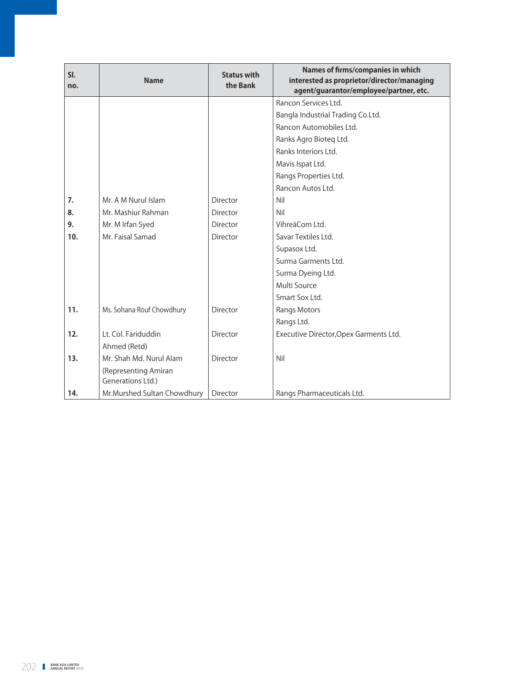| SI.<br>no. | <b>Name</b>                 | <b>Status with</b><br>the Bank | Names of firms/companies in which<br>interested as proprietor/director/managing<br>agent/guarantor/employee/partner, etc. |
|------------|-----------------------------|--------------------------------|---------------------------------------------------------------------------------------------------------------------------|
|            |                             |                                | Rancon Services Ltd.                                                                                                      |
|            |                             |                                | Bangla Industrial Trading Co.Ltd.                                                                                         |
|            |                             |                                | Rancon Automobiles Ltd.                                                                                                   |
|            |                             |                                | Ranks Agro Bioteq Ltd.                                                                                                    |
|            |                             |                                | Ranks Interiors Ltd.                                                                                                      |
|            |                             |                                | Mavis Ispat Ltd.                                                                                                          |
|            |                             |                                | Rangs Properties Ltd.                                                                                                     |
|            |                             |                                | Rancon Autos Ltd.                                                                                                         |
| 7.         | Mr. A M Nurul Islam         | Director                       | Nil                                                                                                                       |
| 8.         | Mr. Mashiur Rahman          | Director                       | Nil                                                                                                                       |
| 9.         | Mr. M Irfan Syed            | Director                       | VihreäCom Ltd.                                                                                                            |
| 10.        | Mr. Faisal Samad            | Director                       | Savar Textiles Ltd.                                                                                                       |
|            |                             |                                | Supasox Ltd.                                                                                                              |
|            |                             |                                | Surma Garments Ltd.                                                                                                       |
|            |                             |                                | Surma Dyeing Ltd.                                                                                                         |
|            |                             |                                | Multi Source                                                                                                              |
|            |                             |                                | Smart Sox Ltd.                                                                                                            |
| 11.        | Ms. Sohana Rouf Chowdhury   | <b>Director</b>                | Rangs Motors                                                                                                              |
|            |                             |                                | Rangs Ltd.                                                                                                                |
| 12.        | Lt. Col. Fariduddin         | Director                       | Executive Director, Opex Garments Ltd.                                                                                    |
|            | Ahmed (Retd)                |                                |                                                                                                                           |
| 13.        | Mr. Shah Md. Nurul Alam     | Director                       | Nil                                                                                                                       |
|            | (Representing Amiran        |                                |                                                                                                                           |
|            | Generations Ltd.)           |                                |                                                                                                                           |
| 14.        | Mr.Murshed Sultan Chowdhury | <b>Director</b>                | Rangs Pharmaceuticals Ltd.                                                                                                |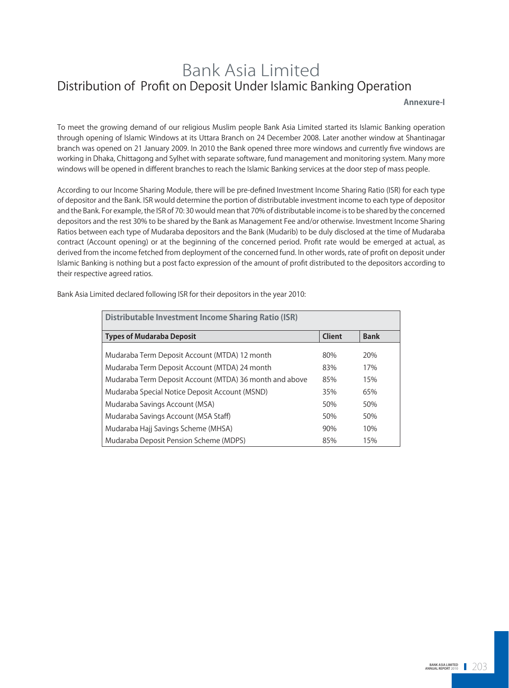# Bank Asia Limited Distribution of Profit on Deposit Under Islamic Banking Operation

**Annexure-I**

To meet the growing demand of our religious Muslim people Bank Asia Limited started its Islamic Banking operation through opening of Islamic Windows at its Uttara Branch on 24 December 2008. Later another window at Shantinagar branch was opened on 21 January 2009. In 2010 the Bank opened three more windows and currently five windows are working in Dhaka, Chittagong and Sylhet with separate software, fund management and monitoring system. Many more windows will be opened in different branches to reach the Islamic Banking services at the door step of mass people.

According to our Income Sharing Module, there will be pre-defined Investment Income Sharing Ratio (ISR) for each type of depositor and the Bank. ISR would determine the portion of distributable investment income to each type of depositor and the Bank. For example, the ISR of 70: 30 would mean that 70% of distributable income is to be shared by the concerned depositors and the rest 30% to be shared by the Bank as Management Fee and/or otherwise. Investment Income Sharing Ratios between each type of Mudaraba depositors and the Bank (Mudarib) to be duly disclosed at the time of Mudaraba contract (Account opening) or at the beginning of the concerned period. Profit rate would be emerged at actual, as derived from the income fetched from deployment of the concerned fund. In other words, rate of profit on deposit under Islamic Banking is nothing but a post facto expression of the amount of profi t distributed to the depositors according to their respective agreed ratios.

| <b>Distributable Investment Income Sharing Ratio (ISR)</b> |               |             |
|------------------------------------------------------------|---------------|-------------|
| <b>Types of Mudaraba Deposit</b>                           | <b>Client</b> | <b>Bank</b> |
|                                                            |               |             |
| Mudaraba Term Deposit Account (MTDA) 12 month              | 80%           | 20%         |
| Mudaraba Term Deposit Account (MTDA) 24 month              | 83%           | 17%         |
| Mudaraba Term Deposit Account (MTDA) 36 month and above    | 85%           | 15%         |
| Mudaraba Special Notice Deposit Account (MSND)             | 35%           | 65%         |
| Mudaraba Savings Account (MSA)                             | 50%           | 50%         |
| Mudaraba Savings Account (MSA Staff)                       | 50%           | 50%         |
| Mudaraba Hajj Savings Scheme (MHSA)                        | 90%           | 10%         |
| Mudaraba Deposit Pension Scheme (MDPS)                     | 85%           | 15%         |

Bank Asia Limited declared following ISR for their depositors in the year 2010: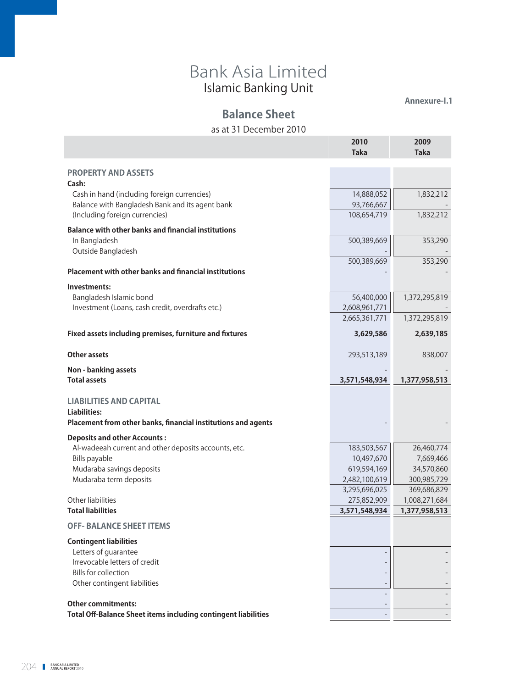# Bank Asia Limited Islamic Banking Unit

**Annexure-I.1**

# **Balance Sheet**

as at 31 December 2010

|                                                                       | 2010          | 2009          |
|-----------------------------------------------------------------------|---------------|---------------|
|                                                                       | <b>Taka</b>   | <b>Taka</b>   |
| <b>PROPERTY AND ASSETS</b>                                            |               |               |
| Cash:                                                                 |               |               |
| Cash in hand (including foreign currencies)                           | 14,888,052    | 1,832,212     |
| Balance with Bangladesh Bank and its agent bank                       | 93,766,667    |               |
| (Including foreign currencies)                                        | 108,654,719   | 1,832,212     |
| <b>Balance with other banks and financial institutions</b>            |               |               |
| In Bangladesh                                                         | 500,389,669   | 353,290       |
| Outside Bangladesh                                                    |               |               |
|                                                                       | 500,389,669   | 353,290       |
| <b>Placement with other banks and financial institutions</b>          |               |               |
| Investments:                                                          |               |               |
| Bangladesh Islamic bond                                               | 56,400,000    | 1,372,295,819 |
| Investment (Loans, cash credit, overdrafts etc.)                      | 2,608,961,771 |               |
|                                                                       | 2,665,361,771 | 1,372,295,819 |
| Fixed assets including premises, furniture and fixtures               | 3,629,586     | 2,639,185     |
|                                                                       |               |               |
| <b>Other assets</b>                                                   | 293,513,189   | 838,007       |
| <b>Non - banking assets</b>                                           |               |               |
| <b>Total assets</b>                                                   | 3,571,548,934 | 1,377,958,513 |
|                                                                       |               |               |
| <b>LIABILITIES AND CAPITAL</b>                                        |               |               |
| <b>Liabilities:</b>                                                   |               |               |
| Placement from other banks, financial institutions and agents         |               |               |
| <b>Deposits and other Accounts:</b>                                   |               |               |
| Al-wadeeah current and other deposits accounts, etc.                  | 183,503,567   | 26,460,774    |
| Bills payable                                                         | 10,497,670    | 7,669,466     |
| Mudaraba savings deposits                                             | 619,594,169   | 34,570,860    |
| Mudaraba term deposits                                                | 2,482,100,619 | 300,985,729   |
|                                                                       | 3,295,696,025 | 369,686,829   |
| Other liabilities                                                     | 275,852,909   | 1,008,271,684 |
| <b>Total liabilities</b>                                              | 3,571,548,934 | 1,377,958,513 |
| <b>OFF- BALANCE SHEET ITEMS</b>                                       |               |               |
| <b>Contingent liabilities</b>                                         |               |               |
| Letters of guarantee                                                  |               |               |
| Irrevocable letters of credit                                         |               |               |
| <b>Bills for collection</b>                                           |               |               |
| Other contingent liabilities                                          |               |               |
|                                                                       |               |               |
| <b>Other commitments:</b>                                             |               |               |
| <b>Total Off-Balance Sheet items including contingent liabilities</b> |               |               |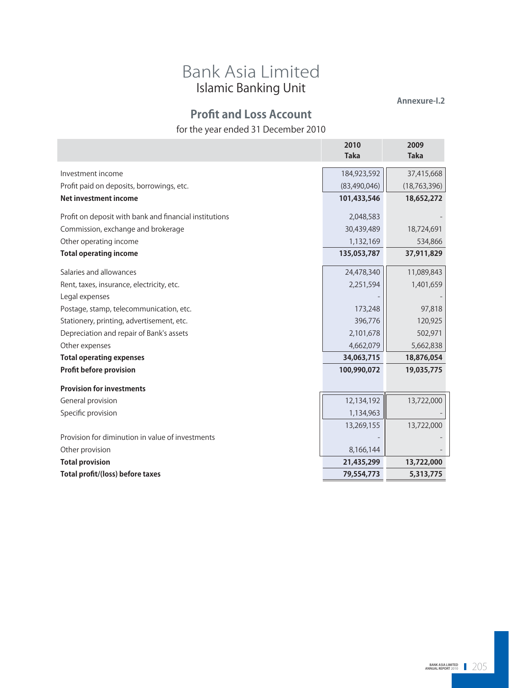# Bank Asia Limited Islamic Banking Unit

**Annexure-I.2**

## **Profit and Loss Account**

for the year ended 31 December 2010

|                                                        | 2010<br><b>Taka</b> | 2009<br><b>Taka</b> |
|--------------------------------------------------------|---------------------|---------------------|
|                                                        |                     |                     |
| Investment income                                      | 184,923,592         | 37,415,668          |
| Profit paid on deposits, borrowings, etc.              | (83, 490, 046)      | (18, 763, 396)      |
| <b>Net investment income</b>                           | 101,433,546         | 18,652,272          |
| Profit on deposit with bank and financial institutions | 2,048,583           |                     |
| Commission, exchange and brokerage                     | 30,439,489          | 18,724,691          |
| Other operating income                                 | 1,132,169           | 534,866             |
| <b>Total operating income</b>                          | 135,053,787         | 37,911,829          |
| Salaries and allowances                                | 24,478,340          | 11,089,843          |
| Rent, taxes, insurance, electricity, etc.              | 2,251,594           | 1,401,659           |
| Legal expenses                                         |                     |                     |
| Postage, stamp, telecommunication, etc.                | 173,248             | 97,818              |
| Stationery, printing, advertisement, etc.              | 396,776             | 120,925             |
| Depreciation and repair of Bank's assets               | 2,101,678           | 502,971             |
| Other expenses                                         | 4,662,079           | 5,662,838           |
| <b>Total operating expenses</b>                        | 34,063,715          | 18,876,054          |
| <b>Profit before provision</b>                         | 100,990,072         | 19,035,775          |
| <b>Provision for investments</b>                       |                     |                     |
| General provision                                      | 12,134,192          | 13,722,000          |
| Specific provision                                     | 1,134,963           |                     |
|                                                        | 13,269,155          | 13,722,000          |
| Provision for diminution in value of investments       |                     |                     |
| Other provision                                        | 8,166,144           |                     |
| <b>Total provision</b>                                 | 21,435,299          | 13,722,000          |
| Total profit/(loss) before taxes                       | 79,554,773          | 5,313,775           |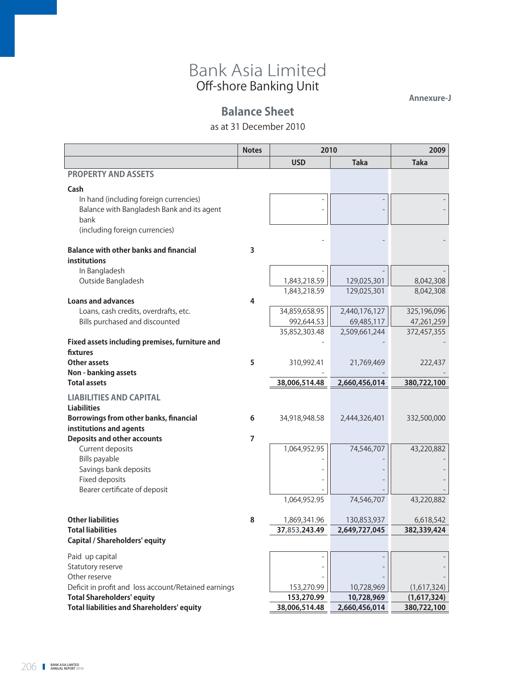# Bank Asia Limited Off-shore Banking Unit

**Annexure-J**

## **Balance Sheet**

as at 31 December 2010

|                                                               | <b>Notes</b>   |               | 2010          |             |
|---------------------------------------------------------------|----------------|---------------|---------------|-------------|
|                                                               |                | <b>USD</b>    | <b>Taka</b>   | <b>Taka</b> |
| <b>PROPERTY AND ASSETS</b>                                    |                |               |               |             |
| Cash                                                          |                |               |               |             |
| In hand (including foreign currencies)                        |                |               |               |             |
| Balance with Bangladesh Bank and its agent                    |                |               |               |             |
| bank                                                          |                |               |               |             |
| (including foreign currencies)                                |                |               |               |             |
| <b>Balance with other banks and financial</b>                 | 3              |               |               |             |
| institutions                                                  |                |               |               |             |
| In Bangladesh                                                 |                |               |               |             |
| Outside Bangladesh                                            |                | 1,843,218.59  | 129,025,301   | 8,042,308   |
|                                                               |                | 1,843,218.59  | 129,025,301   | 8,042,308   |
| <b>Loans and advances</b>                                     | 4              |               |               |             |
| Loans, cash credits, overdrafts, etc.                         |                | 34,859,658.95 | 2,440,176,127 | 325,196,096 |
| Bills purchased and discounted                                |                | 992,644.53    | 69,485,117    | 47,261,259  |
|                                                               |                | 35,852,303.48 | 2,509,661,244 | 372,457,355 |
| Fixed assets including premises, furniture and                |                |               |               |             |
| fixtures                                                      |                |               |               |             |
| Other assets                                                  | 5              | 310,992.41    | 21,769,469    | 222,437     |
| <b>Non - banking assets</b><br><b>Total assets</b>            |                | 38,006,514.48 | 2,660,456,014 | 380,722,100 |
|                                                               |                |               |               |             |
| <b>LIABILITIES AND CAPITAL</b>                                |                |               |               |             |
| <b>Liabilities</b>                                            |                |               |               |             |
| Borrowings from other banks, financial                        | 6              | 34,918,948.58 | 2,444,326,401 | 332,500,000 |
| institutions and agents<br><b>Deposits and other accounts</b> | $\overline{7}$ |               |               |             |
| Current deposits                                              |                | 1,064,952.95  | 74,546,707    | 43,220,882  |
| Bills payable                                                 |                |               |               |             |
| Savings bank deposits                                         |                |               |               |             |
| <b>Fixed deposits</b>                                         |                |               |               |             |
| Bearer certificate of deposit                                 |                |               |               |             |
|                                                               |                | 1,064,952.95  | 74,546,707    | 43,220,882  |
|                                                               |                |               |               |             |
| <b>Other liabilities</b>                                      | 8              | 1,869,341.96  | 130,853,937   | 6,618,542   |
| <b>Total liabilities</b>                                      |                | 37,853,243.49 | 2,649,727,045 | 382,339,424 |
| <b>Capital / Shareholders' equity</b>                         |                |               |               |             |
| Paid up capital                                               |                |               |               |             |
| Statutory reserve                                             |                |               |               |             |
| Other reserve                                                 |                |               |               |             |
| Deficit in profit and loss account/Retained earnings          |                | 153,270.99    | 10,728,969    | (1,617,324) |
| <b>Total Shareholders' equity</b>                             |                | 153,270.99    | 10,728,969    | (1,617,324) |
| <b>Total liabilities and Shareholders' equity</b>             |                | 38,006,514.48 | 2,660,456,014 | 380,722,100 |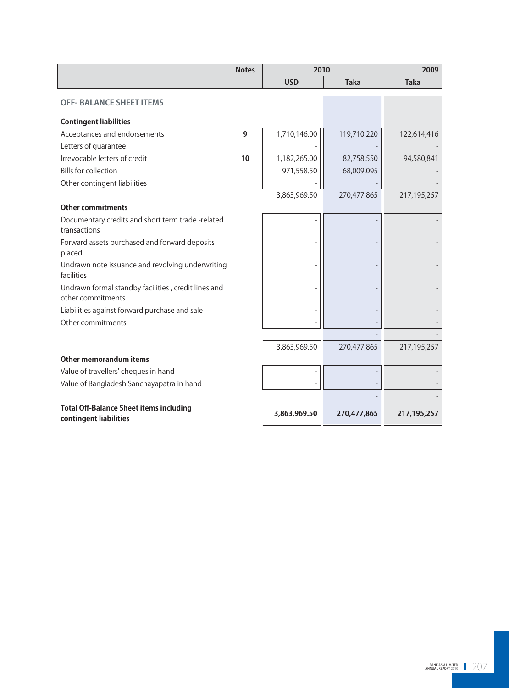|                                                                          | <b>Notes</b> | 2010         |             | 2009        |
|--------------------------------------------------------------------------|--------------|--------------|-------------|-------------|
|                                                                          |              | <b>USD</b>   | <b>Taka</b> | <b>Taka</b> |
| <b>OFF-BALANCE SHEET ITEMS</b>                                           |              |              |             |             |
|                                                                          |              |              |             |             |
| <b>Contingent liabilities</b>                                            |              |              |             |             |
| Acceptances and endorsements                                             | 9            | 1,710,146.00 | 119,710,220 | 122,614,416 |
| Letters of guarantee                                                     |              |              |             |             |
| Irrevocable letters of credit                                            | 10           | 1,182,265.00 | 82,758,550  | 94,580,841  |
| <b>Bills for collection</b>                                              |              | 971,558.50   | 68,009,095  |             |
| Other contingent liabilities                                             |              |              |             |             |
|                                                                          |              | 3,863,969.50 | 270,477,865 | 217,195,257 |
| <b>Other commitments</b>                                                 |              |              |             |             |
| Documentary credits and short term trade -related<br>transactions        |              |              |             |             |
| Forward assets purchased and forward deposits<br>placed                  |              |              |             |             |
| Undrawn note issuance and revolving underwriting<br>facilities           |              |              |             |             |
| Undrawn formal standby facilities, credit lines and<br>other commitments |              |              |             |             |
| Liabilities against forward purchase and sale                            |              |              |             |             |
| Other commitments                                                        |              |              |             |             |
|                                                                          |              |              |             |             |
|                                                                          |              | 3,863,969.50 | 270,477,865 | 217,195,257 |
| <b>Other memorandum items</b>                                            |              |              |             |             |
| Value of travellers' cheques in hand                                     |              |              |             |             |
| Value of Bangladesh Sanchayapatra in hand                                |              |              |             |             |
|                                                                          |              |              |             |             |
| <b>Total Off-Balance Sheet items including</b><br>contingent liabilities |              | 3,863,969.50 | 270,477,865 | 217,195,257 |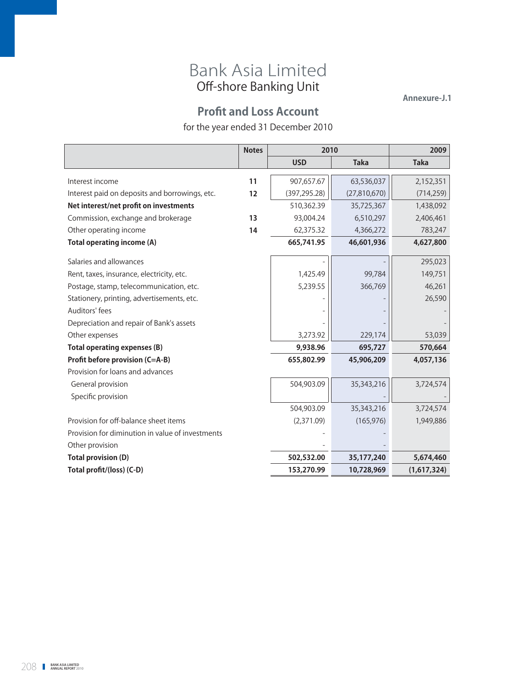# Bank Asia Limited Off-shore Banking Unit

**Annexure-J.1**

## **Profit and Loss Account**

for the year ended 31 December 2010

|                                                  | <b>Notes</b> | 2010          |              | 2009        |
|--------------------------------------------------|--------------|---------------|--------------|-------------|
|                                                  |              | <b>USD</b>    | <b>Taka</b>  | <b>Taka</b> |
| Interest income                                  | 11           | 907,657.67    | 63,536,037   | 2,152,351   |
| Interest paid on deposits and borrowings, etc.   | 12           | (397, 295.28) | (27,810,670) | (714, 259)  |
| Net interest/net profit on investments           |              | 510,362.39    | 35,725,367   | 1,438,092   |
| Commission, exchange and brokerage               | 13           | 93,004.24     | 6,510,297    | 2,406,461   |
| Other operating income                           | 14           | 62,375.32     | 4,366,272    | 783,247     |
| <b>Total operating income (A)</b>                |              | 665,741.95    | 46,601,936   | 4,627,800   |
| Salaries and allowances                          |              |               |              | 295,023     |
| Rent, taxes, insurance, electricity, etc.        |              | 1,425.49      | 99,784       | 149,751     |
| Postage, stamp, telecommunication, etc.          |              | 5,239.55      | 366,769      | 46,261      |
| Stationery, printing, advertisements, etc.       |              |               |              | 26,590      |
| Auditors' fees                                   |              |               |              |             |
| Depreciation and repair of Bank's assets         |              |               |              |             |
| Other expenses                                   |              | 3,273.92      | 229,174      | 53,039      |
| <b>Total operating expenses (B)</b>              |              | 9,938.96      | 695,727      | 570,664     |
| Profit before provision (C=A-B)                  |              | 655,802.99    | 45,906,209   | 4,057,136   |
| Provision for loans and advances                 |              |               |              |             |
| General provision                                |              | 504,903.09    | 35,343,216   | 3,724,574   |
| Specific provision                               |              |               |              |             |
|                                                  |              | 504,903.09    | 35,343,216   | 3,724,574   |
| Provision for off-balance sheet items            |              | (2,371.09)    | (165, 976)   | 1,949,886   |
| Provision for diminution in value of investments |              |               |              |             |
| Other provision                                  |              |               |              |             |
| <b>Total provision (D)</b>                       |              | 502,532.00    | 35,177,240   | 5,674,460   |
| Total profit/(loss) (C-D)                        |              | 153,270.99    | 10,728,969   | (1,617,324) |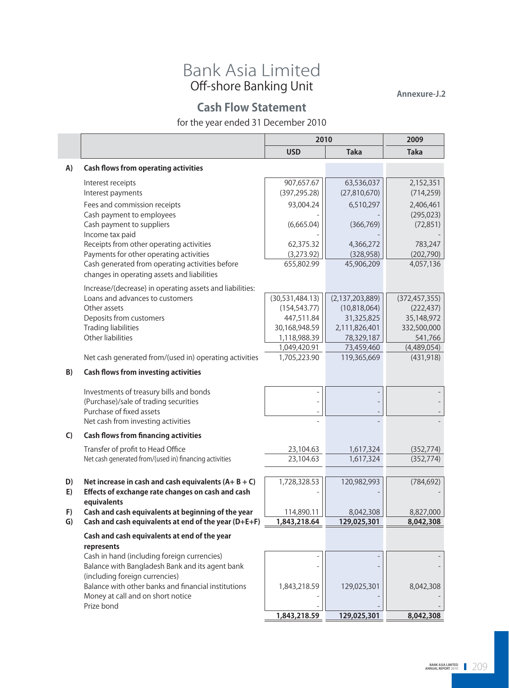# Bank Asia Limited Off-shore Banking Unit **Annexure-J.2**

## **Cash Flow Statement**

for the year ended 31 December 2010

|          |                                                                                                              | 2010                        |                            | 2009                     |
|----------|--------------------------------------------------------------------------------------------------------------|-----------------------------|----------------------------|--------------------------|
|          |                                                                                                              | <b>USD</b>                  | <b>Taka</b>                | <b>Taka</b>              |
| A)       | <b>Cash flows from operating activities</b>                                                                  |                             |                            |                          |
|          | Interest receipts<br>Interest payments                                                                       | 907,657.67<br>(397, 295.28) | 63,536,037<br>(27,810,670) | 2,152,351<br>(714, 259)  |
|          | Fees and commission receipts<br>Cash payment to employees                                                    | 93,004.24                   | 6,510,297                  | 2,406,461<br>(295, 023)  |
|          | Cash payment to suppliers<br>Income tax paid                                                                 | (6,665.04)                  | (366, 769)                 | (72, 851)                |
|          | Receipts from other operating activities<br>Payments for other operating activities                          | 62,375.32<br>(3,273.92)     | 4,366,272<br>(328, 958)    | 783,247<br>(202, 790)    |
|          | Cash generated from operating activities before<br>changes in operating assets and liabilities               | 655,802.99                  | 45,906,209                 | 4,057,136                |
|          | Increase/(decrease) in operating assets and liabilities:                                                     |                             |                            |                          |
|          | Loans and advances to customers                                                                              | (30,531,484.13)             | (2, 137, 203, 889)         | (372, 457, 355)          |
|          | Other assets<br>Deposits from customers                                                                      | (154, 543.77)<br>447,511.84 | (10,818,064)<br>31,325,825 | (222, 437)<br>35,148,972 |
|          | <b>Trading liabilities</b>                                                                                   | 30,168,948.59               | 2,111,826,401              | 332,500,000              |
|          | Other liabilities                                                                                            | 1,118,988.39                | 78,329,187                 | 541,766                  |
|          |                                                                                                              | 1,049,420.91                | 73,459,460                 | (4,489,054)              |
|          | Net cash generated from/(used in) operating activities                                                       | 1,705,223.90                | 119,365,669                | (431, 918)               |
| B)       | <b>Cash flows from investing activities</b>                                                                  |                             |                            |                          |
|          | Investments of treasury bills and bonds                                                                      |                             |                            |                          |
|          | (Purchase)/sale of trading securities                                                                        |                             |                            |                          |
|          | Purchase of fixed assets                                                                                     |                             |                            |                          |
|          | Net cash from investing activities                                                                           |                             |                            |                          |
| C)       | <b>Cash flows from financing activities</b>                                                                  |                             |                            |                          |
|          | Transfer of profit to Head Office                                                                            | 23,104.63                   | 1,617,324                  | (352, 774)               |
|          | Net cash generated from/(used in) financing activities                                                       | 23,104.63                   | 1,617,324                  | (352, 774)               |
|          |                                                                                                              |                             |                            |                          |
| D)<br>E) | Net increase in cash and cash equivalents $(A + B + C)$<br>Effects of exchange rate changes on cash and cash | 1,728,328.53                | 120,982,993                | (784, 692)               |
|          | equivalents                                                                                                  |                             |                            |                          |
| F)       | Cash and cash equivalents at beginning of the year                                                           | 114,890.11                  | 8,042,308                  | 8,827,000                |
| G)       | Cash and cash equivalents at end of the year (D+E+F)                                                         | 1,843,218.64                | 129,025,301                | 8,042,308                |
|          | Cash and cash equivalents at end of the year<br>represents                                                   |                             |                            |                          |
|          | Cash in hand (including foreign currencies)                                                                  |                             |                            |                          |
|          | Balance with Bangladesh Bank and its agent bank                                                              |                             |                            |                          |
|          | (including foreign currencies)                                                                               |                             |                            |                          |
|          | Balance with other banks and financial institutions                                                          | 1,843,218.59                | 129,025,301                | 8,042,308                |
|          | Money at call and on short notice<br>Prize bond                                                              |                             |                            |                          |
|          |                                                                                                              | 1,843,218.59                | 129,025,301                | 8,042,308                |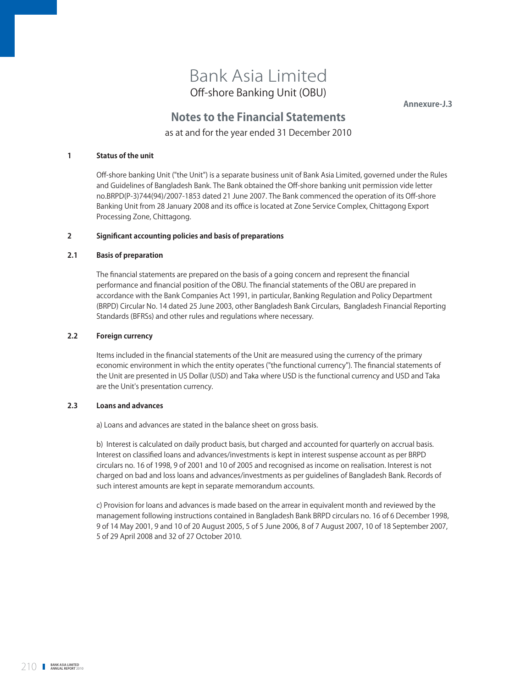## Bank Asia Limited Off -shore Banking Unit (OBU)

**Annexure-J.3**

## **Notes to the Financial Statements**

as at and for the year ended 31 December 2010

#### **1 Status of the unit**

Off -shore banking Unit ("the Unit") is a separate business unit of Bank Asia Limited, governed under the Rules and Guidelines of Bangladesh Bank. The Bank obtained the Off-shore banking unit permission vide letter no.BRPD(P-3)744(94)/2007-1853 dated 21 June 2007. The Bank commenced the operation of its Off -shore Banking Unit from 28 January 2008 and its office is located at Zone Service Complex, Chittagong Export Processing Zone, Chittagong.

#### **2 Signifi cant accounting policies and basis of preparations**

#### **2.1 Basis of preparation**

The financial statements are prepared on the basis of a going concern and represent the financial performance and financial position of the OBU. The financial statements of the OBU are prepared in accordance with the Bank Companies Act 1991, in particular, Banking Regulation and Policy Department (BRPD) Circular No. 14 dated 25 June 2003, other Bangladesh Bank Circulars, Bangladesh Financial Reporting Standards (BFRSs) and other rules and regulations where necessary.

#### **2.2 Foreign currency**

Items included in the financial statements of the Unit are measured using the currency of the primary economic environment in which the entity operates ("the functional currency"). The financial statements of the Unit are presented in US Dollar (USD) and Taka where USD is the functional currency and USD and Taka are the Unit's presentation currency.

#### **2.3 Loans and advances**

a) Loans and advances are stated in the balance sheet on gross basis.

b) Interest is calculated on daily product basis, but charged and accounted for quarterly on accrual basis. Interest on classified loans and advances/investments is kept in interest suspense account as per BRPD circulars no. 16 of 1998, 9 of 2001 and 10 of 2005 and recognised as income on realisation. Interest is not charged on bad and loss loans and advances/investments as per guidelines of Bangladesh Bank. Records of such interest amounts are kept in separate memorandum accounts.

c) Provision for loans and advances is made based on the arrear in equivalent month and reviewed by the management following instructions contained in Bangladesh Bank BRPD circulars no. 16 of 6 December 1998, 9 of 14 May 2001, 9 and 10 of 20 August 2005, 5 of 5 June 2006, 8 of 7 August 2007, 10 of 18 September 2007, 5 of 29 April 2008 and 32 of 27 October 2010.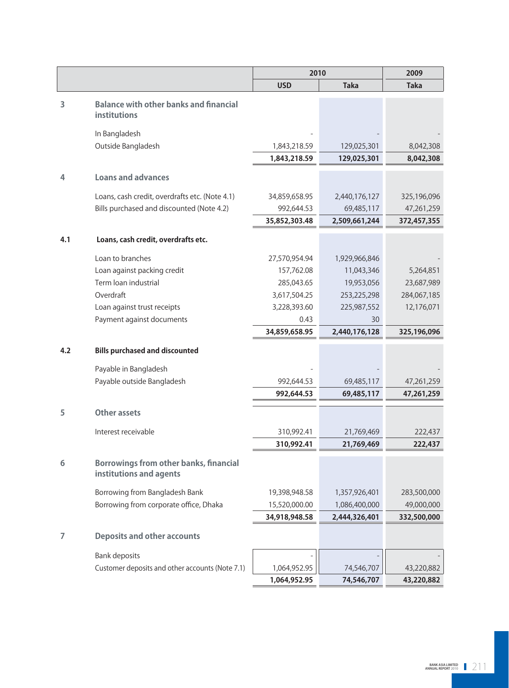|     |                                                                          | 2010          |               | 2009        |
|-----|--------------------------------------------------------------------------|---------------|---------------|-------------|
|     |                                                                          | <b>USD</b>    | <b>Taka</b>   | <b>Taka</b> |
| 3   | <b>Balance with other banks and financial</b><br>institutions            |               |               |             |
|     | In Bangladesh                                                            |               |               |             |
|     | Outside Bangladesh                                                       | 1,843,218.59  | 129,025,301   | 8,042,308   |
|     |                                                                          | 1,843,218.59  | 129,025,301   | 8,042,308   |
| 4   | <b>Loans and advances</b>                                                |               |               |             |
|     | Loans, cash credit, overdrafts etc. (Note 4.1)                           | 34,859,658.95 | 2,440,176,127 | 325,196,096 |
|     | Bills purchased and discounted (Note 4.2)                                | 992,644.53    | 69,485,117    | 47,261,259  |
|     |                                                                          | 35,852,303.48 | 2,509,661,244 | 372,457,355 |
| 4.1 | Loans, cash credit, overdrafts etc.                                      |               |               |             |
|     | Loan to branches                                                         | 27,570,954.94 | 1,929,966,846 |             |
|     | Loan against packing credit                                              | 157,762.08    | 11,043,346    | 5,264,851   |
|     | Term loan industrial                                                     | 285,043.65    | 19,953,056    | 23,687,989  |
|     | Overdraft                                                                | 3,617,504.25  | 253,225,298   | 284,067,185 |
|     | Loan against trust receipts                                              | 3,228,393.60  | 225,987,552   | 12,176,071  |
|     | Payment against documents                                                | 0.43          | 30            |             |
|     |                                                                          | 34,859,658.95 | 2,440,176,128 | 325,196,096 |
| 4.2 | <b>Bills purchased and discounted</b>                                    |               |               |             |
|     | Payable in Bangladesh                                                    |               |               |             |
|     | Payable outside Bangladesh                                               | 992,644.53    | 69,485,117    | 47,261,259  |
|     |                                                                          | 992,644.53    | 69,485,117    | 47,261,259  |
| 5   | <b>Other assets</b>                                                      |               |               |             |
|     | Interest receivable                                                      | 310,992.41    | 21,769,469    | 222,437     |
|     |                                                                          | 310,992.41    | 21,769,469    | 222,437     |
| 6   | <b>Borrowings from other banks, financial</b><br>institutions and agents |               |               |             |
|     | Borrowing from Bangladesh Bank                                           | 19,398,948.58 | 1,357,926,401 | 283,500,000 |
|     | Borrowing from corporate office, Dhaka                                   | 15,520,000.00 | 1,086,400,000 | 49,000,000  |
|     |                                                                          | 34,918,948.58 | 2,444,326,401 | 332,500,000 |
| 7   | <b>Deposits and other accounts</b>                                       |               |               |             |
|     | <b>Bank deposits</b>                                                     |               |               |             |
|     | Customer deposits and other accounts (Note 7.1)                          | 1,064,952.95  | 74,546,707    | 43,220,882  |
|     |                                                                          | 1,064,952.95  | 74,546,707    | 43,220,882  |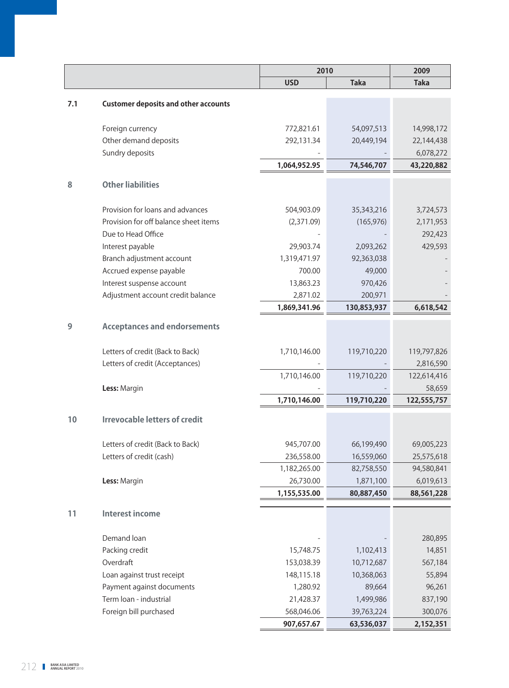|     |                                             | 2010         |             | 2009        |
|-----|---------------------------------------------|--------------|-------------|-------------|
|     |                                             | <b>USD</b>   | <b>Taka</b> | <b>Taka</b> |
| 7.1 | <b>Customer deposits and other accounts</b> |              |             |             |
|     | Foreign currency                            | 772,821.61   | 54,097,513  | 14,998,172  |
|     | Other demand deposits                       | 292,131.34   | 20,449,194  | 22,144,438  |
|     | Sundry deposits                             |              |             | 6,078,272   |
|     |                                             | 1,064,952.95 | 74,546,707  | 43,220,882  |
| 8   | <b>Other liabilities</b>                    |              |             |             |
|     | Provision for loans and advances            | 504,903.09   | 35,343,216  | 3,724,573   |
|     | Provision for off balance sheet items       | (2,371.09)   | (165, 976)  | 2,171,953   |
|     | Due to Head Office                          |              |             | 292,423     |
|     | Interest payable                            | 29,903.74    | 2,093,262   | 429,593     |
|     | Branch adjustment account                   | 1,319,471.97 | 92,363,038  |             |
|     | Accrued expense payable                     | 700.00       | 49,000      |             |
|     | Interest suspense account                   | 13,863.23    | 970,426     |             |
|     | Adjustment account credit balance           | 2,871.02     | 200,971     |             |
|     |                                             | 1,869,341.96 | 130,853,937 | 6,618,542   |
| 9   | <b>Acceptances and endorsements</b>         |              |             |             |
|     | Letters of credit (Back to Back)            | 1,710,146.00 | 119,710,220 | 119,797,826 |
|     | Letters of credit (Acceptances)             |              |             | 2,816,590   |
|     |                                             | 1,710,146.00 | 119,710,220 | 122,614,416 |
|     | Less: Margin                                |              |             | 58,659      |
|     |                                             | 1,710,146.00 | 119,710,220 | 122,555,757 |
| 10  | <b>Irrevocable letters of credit</b>        |              |             |             |
|     | Letters of credit (Back to Back)            | 945,707.00   | 66,199,490  | 69,005,223  |
|     | Letters of credit (cash)                    | 236,558.00   | 16,559,060  | 25,575,618  |
|     |                                             | 1,182,265.00 | 82,758,550  | 94,580,841  |
|     | Less: Margin                                | 26,730.00    | 1,871,100   | 6,019,613   |
|     |                                             | 1,155,535.00 | 80,887,450  | 88,561,228  |
| 11  | <b>Interest income</b>                      |              |             |             |
|     | Demand loan                                 |              |             | 280,895     |
|     | Packing credit                              | 15,748.75    | 1,102,413   | 14,851      |
|     | Overdraft                                   | 153,038.39   | 10,712,687  | 567,184     |
|     | Loan against trust receipt                  | 148,115.18   | 10,368,063  | 55,894      |
|     | Payment against documents                   | 1,280.92     | 89,664      | 96,261      |
|     | Term loan - industrial                      | 21,428.37    | 1,499,986   | 837,190     |
|     | Foreign bill purchased                      | 568,046.06   | 39,763,224  | 300,076     |
|     |                                             | 907,657.67   | 63,536,037  | 2,152,351   |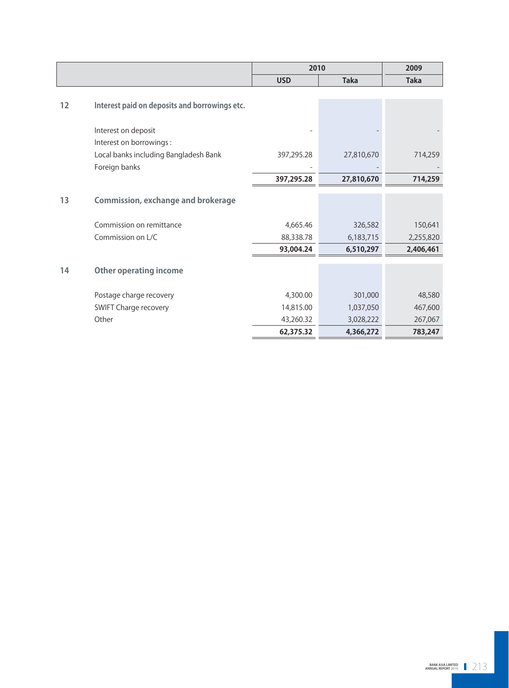|    |                                               | 2010       |             | 2009        |
|----|-----------------------------------------------|------------|-------------|-------------|
|    |                                               | <b>USD</b> | <b>Taka</b> | <b>Taka</b> |
|    |                                               |            |             |             |
| 12 | Interest paid on deposits and borrowings etc. |            |             |             |
|    | Interest on deposit                           |            |             |             |
|    | Interest on borrowings :                      |            |             |             |
|    | Local banks including Bangladesh Bank         | 397,295.28 | 27,810,670  | 714,259     |
|    | Foreign banks                                 |            |             |             |
|    |                                               | 397,295.28 | 27,810,670  | 714,259     |
| 13 | <b>Commission, exchange and brokerage</b>     |            |             |             |
|    | Commission on remittance                      | 4,665.46   | 326,582     | 150,641     |
|    | Commission on L/C                             | 88,338.78  | 6,183,715   | 2,255,820   |
|    |                                               | 93,004.24  | 6,510,297   | 2,406,461   |
|    |                                               |            |             |             |
| 14 | <b>Other operating income</b>                 |            |             |             |
|    | Postage charge recovery                       | 4,300.00   | 301,000     | 48,580      |
|    | SWIFT Charge recovery                         | 14,815.00  | 1,037,050   | 467,600     |
|    | Other                                         | 43,260.32  | 3,028,222   | 267,067     |
|    |                                               | 62,375.32  | 4,366,272   | 783,247     |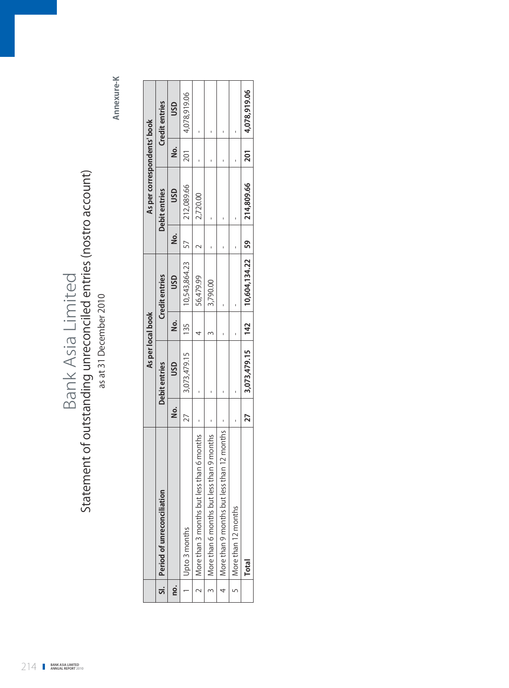# Bank Asia Limited<br>Statement of outstanding unreconciled entries (nostro account)  $\mathbb{R}^{\mathbb{R}}_{\mathbb{R}^{\mathbb{R}}_{\mathbb{R}^{\mathbb{R}}_{\mathbb{R}^{\mathbb{R}}_{\mathbb{R}^{\mathbb{R}}_{\mathbb{R}^{\mathbb{R}}_{\mathbb{R}}_{\mathbb{R}^{\mathbb{R}}_{\mathbb{R}^{\mathbb{R}}_{\mathbb{R}^{\mathbb{R}}_{\mathbb{R}^{\mathbb{R}}_{\mathbb{R}^{\mathbb{R}}_{\mathbb{R}^{\mathbb{R}}_{\mathbb{R}^{\mathbb{R}}_{\mathbb{R}^{\mathbb{R}}_{\mathbb{R}^{\mathbb{R}}_{\mathbb$ as at 31 December 2010 as at 31 December 2010

Annexure-K **Annexure-K**

|   |                                               |          |                      | As per local book |                                                                                        |               | As per correspondents' book |               |                |
|---|-----------------------------------------------|----------|----------------------|-------------------|----------------------------------------------------------------------------------------|---------------|-----------------------------|---------------|----------------|
|   | SI. Period of unreconciliation                |          | Debit entries        |                   | <b>Credit entries</b>                                                                  |               | Debit entries               |               | Credit entries |
| ë |                                               | <u>ó</u> | USD                  | ġ                 | USD                                                                                    | <u>o</u><br>Z | USD                         | <u>o</u><br>Z | USD            |
|   | Upto 3 months                                 |          | 3,073,479.15         | 135               | 10,543,864.23                                                                          |               | 212,089.66                  | 201           | 4,078,919.06   |
|   | 2   More than 3 months but less than 6 months |          |                      |                   | 56,479.99                                                                              |               | 2,720.00                    |               |                |
|   | 3   More than 6 months but less than 9 months |          |                      |                   | 3,790.00                                                                               |               |                             |               |                |
|   | More than 9 months but less than 12 months    |          |                      |                   |                                                                                        |               |                             |               |                |
|   | More than 12 months                           |          |                      |                   |                                                                                        |               |                             |               |                |
|   | <b>Total</b>                                  | 27       | $3,073,479.15$   142 |                   | $\begin{array}{ c c c c c c c c } \hline \text{10,604,134.22} & \text{59} \end{array}$ |               | 214,809.66                  | 201           | 4,078,919.06   |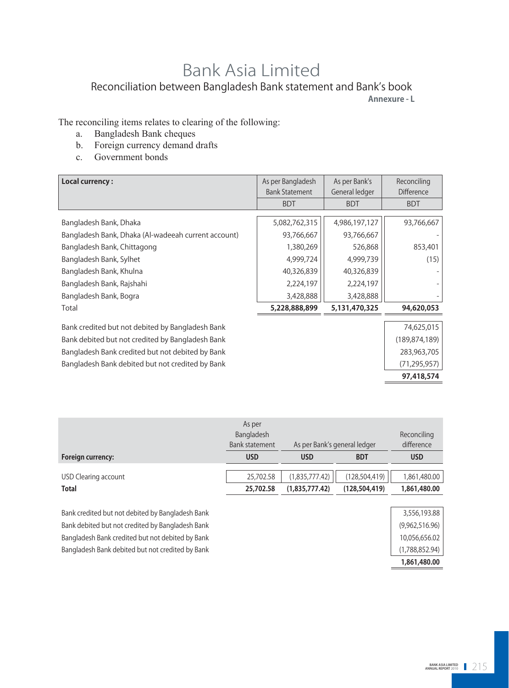# Bank Asia Limited

Reconciliation between Bangladesh Bank statement and Bank's book

**Annexure - L**

The reconciling items relates to clearing of the following:

- a. Bangladesh Bank cheques
- b. Foreign currency demand drafts
- c. Government bonds

| Local currency:                                     | As per Bangladesh     | As per Bank's  | Reconciling       |
|-----------------------------------------------------|-----------------------|----------------|-------------------|
|                                                     | <b>Bank Statement</b> | General ledger | <b>Difference</b> |
|                                                     | <b>BDT</b>            | <b>BDT</b>     | <b>BDT</b>        |
|                                                     |                       |                |                   |
| Bangladesh Bank, Dhaka                              | 5,082,762,315         | 4,986,197,127  | 93,766,667        |
| Bangladesh Bank, Dhaka (Al-wadeeah current account) | 93,766,667            | 93,766,667     |                   |
| Bangladesh Bank, Chittagong                         | 1,380,269             | 526,868        | 853,401           |
| Bangladesh Bank, Sylhet                             | 4,999,724             | 4,999,739      | (15)              |
| Bangladesh Bank, Khulna                             | 40,326,839            | 40,326,839     |                   |
| Bangladesh Bank, Rajshahi                           | 2,224,197             | 2,224,197      |                   |
| Bangladesh Bank, Bogra                              | 3,428,888             | 3,428,888      |                   |
| Total                                               | 5,228,888,899         | 5,131,470,325  | 94,620,053        |
|                                                     |                       |                |                   |
| Bank credited but not debited by Bangladesh Bank    |                       |                | 74,625,015        |
| Bank debited but not credited by Bangladesh Bank    |                       |                | (189, 874, 189)   |
| Bangladesh Bank credited but not debited by Bank    |                       |                | 283,963,705       |
| Bangladesh Bank debited but not credited by Bank    |                       |                | (71, 295, 957)    |
|                                                     |                       |                | 97,418,574        |

| As per         |                |                 |                              |
|----------------|----------------|-----------------|------------------------------|
| Bangladesh     |                |                 | Reconciling                  |
| Bank statement |                |                 | difference                   |
| <b>USD</b>     | <b>USD</b>     | <b>BDT</b>      | <b>USD</b>                   |
|                |                |                 |                              |
| 25,702.58      | (1,835,777.42) | (128, 504, 419) | 1,861,480.00                 |
| 25,702.58      | (1,835,777.42) | (128, 504, 419) | 1,861,480.00                 |
|                |                |                 | As per Bank's general ledger |

Bank credited but not debited by Bangladesh Bank Bank debited but not credited by Bangladesh Bank Bangladesh Bank credited but not debited by Bank Bangladesh Bank debited but not credited by Bank

| 1,861,480.00   |
|----------------|
| (1,788,852.94) |
| 10,056,656.02  |
| (9,962,516.96) |
| 3,556,193.88   |
|                |